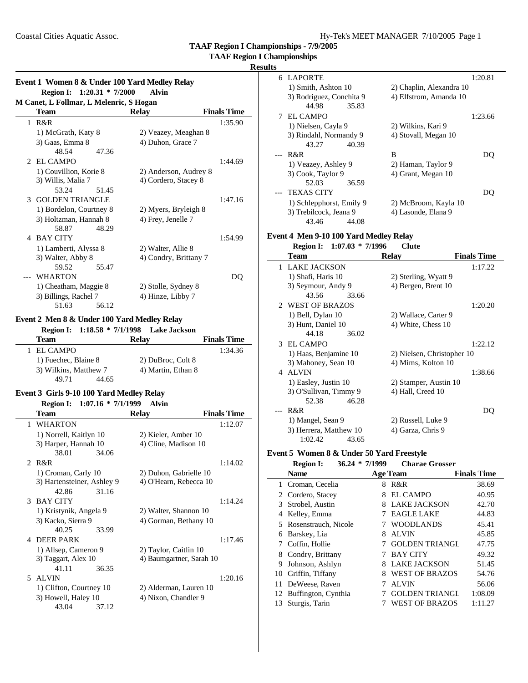| Hy-Tek's MEET MANAGER 7/10/2005 Page 1 |  |  |
|----------------------------------------|--|--|
|----------------------------------------|--|--|

**TAAF Region I Championships**

# **Results**

|   | M Canet, L Follmar, L Melenric, S Hogan<br><b>Team</b> | <b>Relay</b>          | <b>Finals Time</b> |
|---|--------------------------------------------------------|-----------------------|--------------------|
|   | $1$ R&R                                                |                       | 1:35.90            |
|   | 1) McGrath, Katy 8                                     | 2) Veazey, Meaghan 8  |                    |
|   | 3) Gaas, Emma 8                                        | 4) Duhon, Grace 7     |                    |
|   | 48.54<br>47.36                                         |                       |                    |
|   | 2 EL CAMPO                                             |                       | 1:44.69            |
|   | 1) Couvillion, Korie 8                                 | 2) Anderson, Audrey 8 |                    |
|   | 3) Willis, Malia 7                                     | 4) Cordero, Stacey 8  |                    |
|   | 53.24<br>51.45                                         |                       |                    |
|   | 3 GOLDEN TRIANGLE                                      |                       | 1:47.16            |
|   | 1) Bordelon, Courtney 8                                | 2) Myers, Bryleigh 8  |                    |
|   | 3) Holtzman, Hannah 8                                  | 4) Frey, Jenelle 7    |                    |
|   | 58.87<br>48.29                                         |                       |                    |
| 4 | <b>BAY CITY</b>                                        |                       | 1:54.99            |
|   | 1) Lamberti, Alyssa 8                                  | 2) Walter, Allie 8    |                    |
|   | 3) Walter, Abby 8                                      | 4) Condry, Brittany 7 |                    |
|   | 59.52<br>55.47                                         |                       |                    |
|   | --- WHARTON                                            |                       | DO                 |
|   | 1) Cheatham, Maggie 8                                  | 2) Stolle, Sydney 8   |                    |
|   | 3) Billings, Rachel 7                                  | 4) Hinze, Libby 7     |                    |
|   | 51.63<br>56.12                                         |                       |                    |

# **Event 2 Men 8 & Under 100 Yard Medley Relay**

|                       | Region I: 1:18.58 * 7/1/1998 Lake Jackson |                    |
|-----------------------|-------------------------------------------|--------------------|
| Team                  | <b>Relay</b>                              | <b>Finals Time</b> |
| 1 EL CAMPO            |                                           | 1:34.36            |
| 1) Fuechec, Blaine 8  | 2) DuBroc, Colt 8                         |                    |
| 3) Wilkins, Matthew 7 | 4) Martin, Ethan 8                        |                    |
| 44.65<br>49.71        |                                           |                    |

#### **Event 3 Girls 9-10 100 Yard Medley Relay**<br> **Event 1.0716**  $*$  7/1/1000 **Region I: 1:07.16 \* 7/1/1999 Alvin**

| <b>Finals Time</b><br><b>Relay</b><br>Team<br>1 WHARTON<br>1:12.07<br>1) Norrell, Kaitlyn 10<br>2) Kieler, Amber 10<br>4) Cline, Madison 10<br>3) Harper, Hannah 10<br>38.01<br>34.06<br>2 R&R<br>1:14.02<br>1) Croman, Carly 10<br>2) Duhon, Gabrielle 10<br>4) O'Hearn, Rebecca 10<br>3) Hartensteiner, Ashley 9<br>42.86<br>31.16<br>3 BAY CITY<br>1:14.24<br>1) Kristynik, Angela 9<br>2) Walter, Shannon 10<br>3) Kacko, Sierra 9<br>4) Gorman, Bethany 10 | <b>Region 1:</b> 1:07.16 $*$ 7/1/1999 | Alvın |  |
|-----------------------------------------------------------------------------------------------------------------------------------------------------------------------------------------------------------------------------------------------------------------------------------------------------------------------------------------------------------------------------------------------------------------------------------------------------------------|---------------------------------------|-------|--|
|                                                                                                                                                                                                                                                                                                                                                                                                                                                                 |                                       |       |  |
|                                                                                                                                                                                                                                                                                                                                                                                                                                                                 |                                       |       |  |
|                                                                                                                                                                                                                                                                                                                                                                                                                                                                 |                                       |       |  |
|                                                                                                                                                                                                                                                                                                                                                                                                                                                                 |                                       |       |  |
|                                                                                                                                                                                                                                                                                                                                                                                                                                                                 |                                       |       |  |
|                                                                                                                                                                                                                                                                                                                                                                                                                                                                 |                                       |       |  |
|                                                                                                                                                                                                                                                                                                                                                                                                                                                                 |                                       |       |  |
|                                                                                                                                                                                                                                                                                                                                                                                                                                                                 |                                       |       |  |
|                                                                                                                                                                                                                                                                                                                                                                                                                                                                 |                                       |       |  |
|                                                                                                                                                                                                                                                                                                                                                                                                                                                                 |                                       |       |  |
|                                                                                                                                                                                                                                                                                                                                                                                                                                                                 |                                       |       |  |
|                                                                                                                                                                                                                                                                                                                                                                                                                                                                 |                                       |       |  |
|                                                                                                                                                                                                                                                                                                                                                                                                                                                                 | 40.25<br>33.99                        |       |  |
| 4 DEER PARK<br>1:17.46                                                                                                                                                                                                                                                                                                                                                                                                                                          |                                       |       |  |
| 1) Allsep, Cameron 9<br>2) Taylor, Caitlin 10                                                                                                                                                                                                                                                                                                                                                                                                                   |                                       |       |  |
| 3) Taggart, Alex 10<br>4) Baumgartner, Sarah 10                                                                                                                                                                                                                                                                                                                                                                                                                 |                                       |       |  |
| 41.11<br>36.35                                                                                                                                                                                                                                                                                                                                                                                                                                                  |                                       |       |  |
| 5 ALVIN<br>1:20.16                                                                                                                                                                                                                                                                                                                                                                                                                                              |                                       |       |  |
| 1) Clifton, Courtney 10<br>2) Alderman, Lauren 10                                                                                                                                                                                                                                                                                                                                                                                                               |                                       |       |  |
| 3) Howell, Haley 10<br>4) Nixon, Chandler 9                                                                                                                                                                                                                                                                                                                                                                                                                     |                                       |       |  |
| 43.04<br>37.12                                                                                                                                                                                                                                                                                                                                                                                                                                                  |                                       |       |  |

| 6 LAPORTE                | 1:20.81                  |
|--------------------------|--------------------------|
| 1) Smith, Ashton 10      | 2) Chaplin, Alexandra 10 |
| 3) Rodriguez, Conchita 9 | 4) Elfstrom, Amanda 10   |
| 44.98<br>35.83           |                          |
| EL CAMPO                 | 1:23.66                  |
| 1) Nielsen, Cayla 9      | 2) Wilkins, Kari 9       |
| 3) Rindahl, Normandy 9   | 4) Stovall, Megan 10     |
| 43.27<br>40.39           |                          |
| R&R                      | B                        |
| 1) Veazey, Ashley 9      | 2) Haman, Taylor 9       |
| 3) Cook, Taylor 9        | 4) Grant, Megan 10       |
| 52.03<br>36.59           |                          |
| TEXAS CITY               |                          |
| 1) Schlepphorst, Emily 9 | 2) McBroom, Kayla 10     |
| 3) Trebilcock, Jeana 9   | 4) Lasonde, Elana 9      |
| 43.46<br>44.08           |                          |

# **Event 4 Men 9-10 100 Yard Medley Relay**

| Region I: 1:07.03 * 7/1996 |       | <b>Clute</b>               |                    |
|----------------------------|-------|----------------------------|--------------------|
| Team                       |       | <b>Relay</b>               | <b>Finals Time</b> |
| 1 LAKE JACKSON             |       |                            | 1:17.22            |
| 1) Shafi, Haris 10         |       | 2) Sterling, Wyatt 9       |                    |
| 3) Seymour, Andy 9         |       | 4) Bergen, Brent 10        |                    |
| 43.56                      | 33.66 |                            |                    |
| 2 WEST OF BRAZOS           |       |                            | 1:20.20            |
| 1) Bell, Dylan 10          |       | 2) Wallace, Carter 9       |                    |
| 3) Hunt, Daniel 10         |       | 4) White, Chess 10         |                    |
| 44.18                      | 36.02 |                            |                    |
| 3 EL CAMPO                 |       |                            | 1:22.12            |
| 1) Haas, Benjamine 10      |       | 2) Nielsen, Christopher 10 |                    |
| 3) Mahoney, Sean 10        |       | 4) Mims, Kolton 10         |                    |
| 4 ALVIN                    |       |                            | 1:38.66            |
| 1) Easley, Justin 10       |       | 2) Stamper, Austin 10      |                    |
| 3) O'Sullivan, Timmy 9     |       | 4) Hall, Creed 10          |                    |
| 52.38                      | 46.28 |                            |                    |
| R&R                        |       |                            | DO                 |
| 1) Mangel, Sean 9          |       | 2) Russell, Luke 9         |                    |
| 3) Herrera, Matthew 10     |       | 4) Garza, Chris 9          |                    |
| 1:02.42                    | 43.65 |                            |                    |

# **Event 5 Women 8 & Under 50 Yard Freestyle**

|    | <b>Region I:</b>       | $36.24 * 7/1999$ |   | <b>Charae Grosser</b> |                    |
|----|------------------------|------------------|---|-----------------------|--------------------|
|    | <b>Name</b>            |                  |   | <b>Age Team</b>       | <b>Finals Time</b> |
| 1  | Croman, Cecelia        |                  | 8 | R&R                   | 38.69              |
|    | 2 Cordero, Stacey      |                  | 8 | EL CAMPO              | 40.95              |
| 3  | Strobel, Austin        |                  | 8 | <b>LAKE JACKSON</b>   | 42.70              |
| 4  | Kelley, Emma           |                  |   | <b>EAGLE LAKE</b>     | 44.83              |
| 5. | Rosenstrauch, Nicole   |                  |   | <b>WOODLANDS</b>      | 45.41              |
| 6  | Barskey, Lia           |                  | 8 | <b>ALVIN</b>          | 45.85              |
|    | Coffin, Hollie         |                  |   | <b>GOLDEN TRIANGI</b> | 47.75              |
| 8  | Condry, Brittany       |                  |   | <b>BAY CITY</b>       | 49.32              |
| 9  | Johnson, Ashlyn        |                  | 8 | <b>LAKE JACKSON</b>   | 51.45              |
| 10 | Griffin, Tiffany       |                  | 8 | <b>WEST OF BRAZOS</b> | 54.76              |
|    | 11 DeWeese, Raven      |                  |   | <b>ALVIN</b>          | 56.06              |
|    | 12 Buffington, Cynthia |                  |   | <b>GOLDEN TRIANGI</b> | 1:08.09            |
| 13 | Sturgis, Tarin         |                  |   | WEST OF BRAZOS        | 1:11.27            |
|    |                        |                  |   |                       |                    |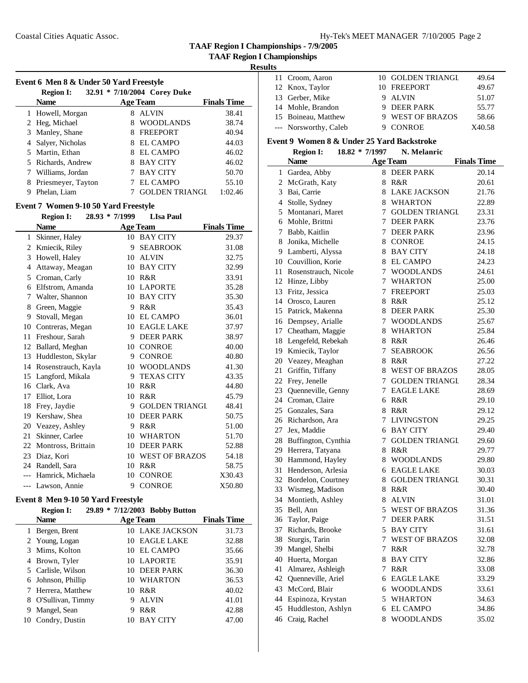**TAAF Region I Championships - 7/9/2005**

# **Results**

| Event 6 Men 8 & Under 50 Yard Freestyle |                                                  |                       |                    |  |  |  |  |
|-----------------------------------------|--------------------------------------------------|-----------------------|--------------------|--|--|--|--|
|                                         | 32.91 * 7/10/2004 Corey Duke<br><b>Region I:</b> |                       |                    |  |  |  |  |
|                                         | <b>Name</b>                                      | <b>Age Team</b>       | <b>Finals Time</b> |  |  |  |  |
|                                         | 1 Howell, Morgan                                 | <b>ALVIN</b><br>8     | 38.41              |  |  |  |  |
|                                         | 2 Heg, Michael                                   | <b>WOODLANDS</b><br>8 | 38.74              |  |  |  |  |
|                                         | 3 Manley, Shane                                  | <b>FREEPORT</b>       | 40.94              |  |  |  |  |
|                                         | 4 Salver, Nicholas                               | EL CAMPO              | 44.03              |  |  |  |  |
|                                         | 5 Martin, Ethan                                  | EL CAMPO              | 46.02              |  |  |  |  |
|                                         | 5 Richards, Andrew                               | <b>BAY CITY</b>       | 46.02              |  |  |  |  |
|                                         | Williams, Jordan                                 | <b>BAY CITY</b>       | 50.70              |  |  |  |  |
| 8                                       | Priesmeyer, Tayton                               | EL CAMPO              | 55.10              |  |  |  |  |
| 9                                       | Phelan, Liam                                     | <b>GOLDEN TRIANGI</b> | 1:02.46            |  |  |  |  |

# **Event 7 Women 9-10 50 Yard Freestyle**

|       | <b>Region I:</b>    | $28.93 * 7/1999$ | <b>LIsa Paul</b>      |                    |
|-------|---------------------|------------------|-----------------------|--------------------|
|       | <b>Name</b>         |                  | <b>Age Team</b>       | <b>Finals Time</b> |
| 1     | Skinner, Haley      |                  | 10 BAY CITY           | 29.37              |
| 2     | Kmiecik, Riley      | 9                | <b>SEABROOK</b>       | 31.08              |
| 3     | Howell, Haley       | 10               | <b>ALVIN</b>          | 32.75              |
| 4     | Attaway, Meagan     | 10               | <b>BAY CITY</b>       | 32.99              |
| 5     | Croman, Carly       | 10               | R&R                   | 33.91              |
| 6     | Elfstrom, Amanda    | 10               | <b>LAPORTE</b>        | 35.28              |
| 7     | Walter, Shannon     | 10               | <b>BAY CITY</b>       | 35.30              |
| 8     | Green, Maggie       | 9                | R&R                   | 35.43              |
| 9     | Stovall, Megan      | 10               | <b>EL CAMPO</b>       | 36.01              |
| 10    | Contreras, Megan    | 10               | <b>EAGLE LAKE</b>     | 37.97              |
| 11    | Freshour, Sarah     | 9                | <b>DEER PARK</b>      | 38.97              |
| 12    | Ballard, Meghan     | 10               | <b>CONROE</b>         | 40.00              |
| 13    | Huddleston, Skylar  | 9                | <b>CONROE</b>         | 40.80              |
| 14    | Rosenstrauch, Kayla | 10               | <b>WOODLANDS</b>      | 41.30              |
| 15    | Langford, Mikala    | 9                | <b>TEXAS CITY</b>     | 43.35              |
| 16    | Clark, Ava          | 10               | R&R                   | 44.80              |
| 17    | Elliot, Lora        | 10               | R&R                   | 45.79              |
| 18    | Frey, Jaydie        | 9                | <b>GOLDEN TRIANGL</b> | 48.41              |
| 19    | Kershaw, Shea       | 10               | <b>DEER PARK</b>      | 50.75              |
| 20    | Veazey, Ashley      | 9                | R&R                   | 51.00              |
| 21    | Skinner, Carlee     | 10               | <b>WHARTON</b>        | 51.70              |
| 22    | Montross, Brittain  | 10               | <b>DEER PARK</b>      | 52.88              |
| 23    | Diaz, Kori          | 10               | <b>WEST OF BRAZOS</b> | 54.18              |
| 24    | Randell, Sara       | 10               | R&R                   | 58.75              |
| $---$ | Hamrick, Michaela   | 10               | <b>CONROE</b>         | X30.43             |
| $---$ | Lawson, Annie       | 9                | <b>CONROE</b>         | X50.80             |

# **Event 8 Men 9-10 50 Yard Freestyle**

|    | <b>Region I:</b>    |                 | 29.89 * 7/12/2003 Bobby Button |       |
|----|---------------------|-----------------|--------------------------------|-------|
|    | <b>Name</b>         | <b>Age Team</b> | <b>Finals Time</b>             |       |
|    | Bergen, Brent       |                 | 10 LAKE JACKSON                | 31.73 |
|    | 2 Young, Logan      | 10              | <b>EAGLE LAKE</b>              | 32.88 |
|    | 3 Mims, Kolton      |                 | 10 EL CAMPO                    | 35.66 |
|    | 4 Brown, Tyler      |                 | 10 LAPORTE                     | 35.91 |
|    | 5 Carlisle, Wilson  |                 | 10 DEER PARK                   | 36.30 |
|    | 6 Johnson, Phillip  |                 | 10 WHARTON                     | 36.53 |
|    | 7 Herrera, Matthew  | 10              | R&R                            | 40.02 |
|    | 8 O'Sullivan, Timmy | 9               | <b>ALVIN</b>                   | 41.01 |
| 9  | Mangel, Sean        |                 | R&R                            | 42.88 |
| 10 | Condry, Dustin      |                 | <b>BAY CITY</b>                | 47.00 |

| 11 Croom, Aaron       | 10 GOLDEN TRIANGL | 49.64  |
|-----------------------|-------------------|--------|
| 12 Knox, Taylor       | 10 FREEPORT       | 49.67  |
| 13 Gerber, Mike       | 9 ALVIN           | 51.07  |
| 14 Mohle, Brandon     | 9 DEER PARK       | 55.77  |
| 15 Boineau, Matthew   | 9 WEST OF BRAZOS  | 58.66  |
| --- Norsworthy, Caleb | 9 CONROE          | X40.58 |

# **Event 9 Women 8 & Under 25 Yard Backstroke**

|     | <b>Region I:</b>      | 18.82 * 7/1997 | N. Melanric           |                    |
|-----|-----------------------|----------------|-----------------------|--------------------|
|     | <b>Name</b>           |                | <b>Age Team</b>       | <b>Finals Time</b> |
|     | 1 Gardea, Abby        |                | 8 DEER PARK           | 20.14              |
|     | 2 McGrath, Katy       |                | 8 R&R                 | 20.61              |
|     | 3 Bai, Carrie         |                | 8 LAKE JACKSON        | 21.76              |
|     | 4 Stolle, Sydney      | 8              | <b>WHARTON</b>        | 22.89              |
| 5   | Montanari, Maret      | 7              | <b>GOLDEN TRIANGL</b> | 23.31              |
|     | 6 Mohle, Brittni      |                | 7 DEER PARK           | 23.76              |
|     | 7 Babb, Kaitlin       |                | 7 DEER PARK           | 23.96              |
|     | 8 Jonika, Michelle    |                | 8 CONROE              | 24.15              |
|     | 9 Lamberti, Alyssa    |                | 8 BAY CITY            | 24.18              |
|     | 10 Couvillion, Korie  |                | 8 EL CAMPO            | 24.23              |
| 11- | Rosenstrauch, Nicole  |                | 7 WOODLANDS           | 24.61              |
|     | 12 Hinze, Libby       |                | 7 WHARTON             | 25.00              |
|     | 13 Fritz, Jessica     |                | 7 FREEPORT            | 25.03              |
|     | 14 Orosco, Lauren     |                | 8 R&R                 | 25.12              |
|     | 15 Patrick, Makenna   |                | 8 DEER PARK           | 25.30              |
|     | 16 Dempsey, Arialle   | 7              | <b>WOODLANDS</b>      | 25.67              |
|     | 17 Cheatham, Maggie   |                | 8 WHARTON             | 25.84              |
|     | 18 Lengefeld, Rebekah |                | 8 R&R                 | 26.46              |
|     | 19 Kmiecik, Taylor    | 7              | SEABROOK              | 26.56              |
|     | 20 Veazey, Meaghan    |                | 8 R&R                 | 27.22              |
| 21  | Griffin, Tiffany      |                | 8 WEST OF BRAZOS      | 28.05              |
|     | 22 Frey, Jenelle      |                | 7 GOLDEN TRIANGL      | 28.34              |
|     | 23 Quenneville, Genny |                | 7 EAGLE LAKE          | 28.69              |
|     | 24 Croman, Claire     |                | 6 R&R                 | 29.10              |
|     | 25 Gonzales, Sara     |                | 8 R&R                 | 29.12              |
|     | 26 Richardson, Ara    |                | 7 LIVINGSTON          | 29.25              |
| 27  | Jex, Maddie           |                | 6 BAY CITY            | 29.40              |
| 28  | Buffington, Cynthia   | 7              | <b>GOLDEN TRIANGL</b> | 29.60              |
|     | 29 Herrera, Tatyana   |                | 8 R&R                 | 29.77              |
|     | 30 Hammond, Hayley    |                | 8 WOODLANDS           | 29.80              |
| 31  | Henderson, Arlesia    |                | 6 EAGLE LAKE          | 30.03              |
|     | 32 Bordelon, Courtney |                | 8 GOLDEN TRIANGL      | 30.31              |
|     | 33 Wismeg, Madison    |                | 8 R&R                 | 30.40              |
|     | 34 Montieth, Ashley   | 8.             | <b>ALVIN</b>          | 31.01              |
|     | 35 Bell, Ann          |                | 5 WEST OF BRAZOS      | 31.36              |
|     | 36 Taylor, Paige      |                | 7 DEER PARK           | 31.51              |
| 37  | Richards, Brooke      |                | 5 BAY CITY            | 31.61              |
| 38  | Sturgis, Tarin        | 7              | <b>WEST OF BRAZOS</b> | 32.08              |
| 39  | Mangel, Shelbi        | 7              | R&R                   | 32.78              |
| 40  | Huerta, Morgan        | 8              | <b>BAY CITY</b>       | 32.86              |
| 41  | Almarez, Ashleigh     | 7              | R&R                   | 33.08              |
| 42  | Quenneville, Ariel    | 6              | <b>EAGLE LAKE</b>     | 33.29              |
| 43  | McCord, Blair         | 6              | <b>WOODLANDS</b>      | 33.61              |
| 44  | Espinoza, Krystan     |                | 5 WHARTON             | 34.63              |
| 45  | Huddleston, Ashlyn    | 6              | EL CAMPO              | 34.86              |
| 46  | Craig, Rachel         | 8              | <b>WOODLANDS</b>      | 35.02              |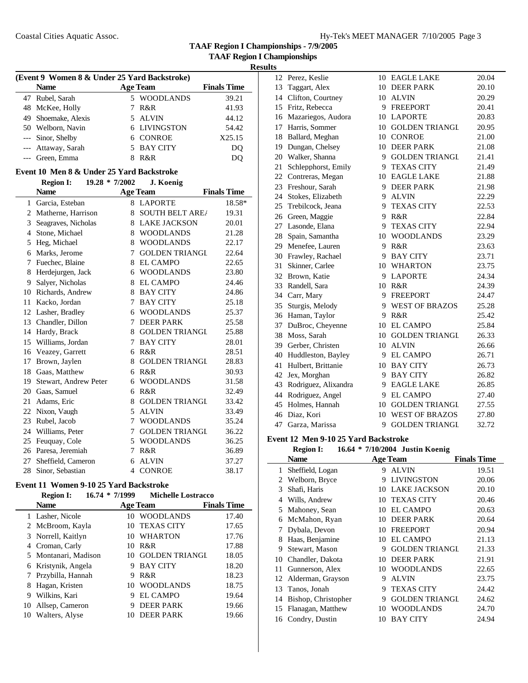**TAAF Region I Championships - 7/9/2005 TAAF Region I Championships**

|             | (Event 9 Women 8 & Under 25 Yard Backstroke) |  |                 |                    |  |  |
|-------------|----------------------------------------------|--|-----------------|--------------------|--|--|
| <b>Name</b> |                                              |  | <b>Age Team</b> | <b>Finals Time</b> |  |  |
|             | 47 Rubel, Sarah                              |  | 5 WOODLANDS     | 39.21              |  |  |
|             | 48 McKee, Holly                              |  | R&R             | 41.93              |  |  |
|             | 49 Shoemake, Alexis                          |  | 5 ALVIN         | 44.12              |  |  |
|             | 50 Welborn, Navin                            |  | 6 LIVINGSTON    | 54.42              |  |  |
|             | --- Sinor, Shelby                            |  | 6 CONROE        | X25.15             |  |  |
|             | --- Attaway, Sarah                           |  | 5 BAY CITY      | DO                 |  |  |
|             | --- Green, Emma                              |  | R&R             |                    |  |  |

# **Event 10 Men 8 & Under 25 Yard Backstroke**

|    | <b>Region I:</b><br>19.28 * 7/2002 |                | J. Koenig              |                    |
|----|------------------------------------|----------------|------------------------|--------------------|
|    | <b>Name</b>                        |                | <b>Age Team</b>        | <b>Finals Time</b> |
| 1  | Garcia, Esteban                    | 8              | <b>LAPORTE</b>         | 18.58*             |
| 2  | Matherne, Harrison                 | 8              | <b>SOUTH BELT AREA</b> | 19.31              |
| 3  | Seagraves, Nicholas                | 8              | <b>LAKE JACKSON</b>    | 20.01              |
| 4  | Stone, Michael                     | 8              | <b>WOODLANDS</b>       | 21.28              |
| 5  | Heg, Michael                       | 8              | <b>WOODLANDS</b>       | 22.17              |
| 6  | Marks, Jerome                      | 7              | <b>GOLDEN TRIANGL</b>  | 22.64              |
| 7  | Fuechec, Blaine                    | 8              | <b>EL CAMPO</b>        | 22.65              |
| 8  | Herdejurgen, Jack                  | 6              | <b>WOODLANDS</b>       | 23.80              |
| 9  | Salyer, Nicholas                   | 8              | <b>EL CAMPO</b>        | 24.46              |
| 10 | Richards, Andrew                   | 8              | <b>BAY CITY</b>        | 24.86              |
| 11 | Kacko, Jordan                      | 7              | <b>BAY CITY</b>        | 25.18              |
| 12 | Lasher, Bradley                    | 6              | <b>WOODLANDS</b>       | 25.37              |
| 13 | Chandler, Dillon                   | 7              | <b>DEER PARK</b>       | 25.58              |
| 14 | Hardy, Brack                       | 8              | <b>GOLDEN TRIANGL</b>  | 25.88              |
| 15 | Williams, Jordan                   | 7              | <b>BAY CITY</b>        | 28.01              |
| 16 | Veazey, Garrett                    | 6              | R&R                    | 28.51              |
| 17 | Brown, Jaylen                      | 8              | <b>GOLDEN TRIANGL</b>  | 28.83              |
| 18 | Gaas, Matthew                      | 6              | R&R                    | 30.93              |
| 19 | Stewart, Andrew Peter              | 6              | <b>WOODLANDS</b>       | 31.58              |
| 20 | Gaas, Samuel                       | 6              | R&R                    | 32.49              |
| 21 | Adams, Eric                        | 8              | <b>GOLDEN TRIANGL</b>  | 33.42              |
| 22 | Nixon, Vaugh                       | 5              | <b>ALVIN</b>           | 33.49              |
| 23 | Rubel, Jacob                       | 7              | <b>WOODLANDS</b>       | 35.24              |
| 24 | Williams, Peter                    | 7              | <b>GOLDEN TRIANGL</b>  | 36.22              |
| 25 | Feuquay, Cole                      | 5              | <b>WOODLANDS</b>       | 36.25              |
| 26 | Paresa, Jeremiah                   | 7              | R&R                    | 36.89              |
| 27 | Sheffield, Cameron                 | 6              | <b>ALVIN</b>           | 37.27              |
| 28 | Sinor, Sebastian                   | $\overline{4}$ | <b>CONROE</b>          | 38.17              |

# **Event 11 Women 9-10 25 Yard Backstroke**

# **Region I: 16.74 \* 7/1999 Michelle Lostracco**

|   | <b>Name</b>          | Age Team |                   | <b>Finals Time</b> |  |
|---|----------------------|----------|-------------------|--------------------|--|
|   | 1 Lasher, Nicole     | 10       | <b>WOODLANDS</b>  | 17.40              |  |
|   | 2 McBroom, Kayla     |          | 10 TEXAS CITY     | 17.65              |  |
|   | 3 Norrell, Kaitlyn   |          | 10 WHARTON        | 17.76              |  |
| 4 | Croman, Carly        | 10       | R&R               | 17.88              |  |
|   | 5 Montanari, Madison |          | 10 GOLDEN TRIANGL | 18.05              |  |
|   | 6 Kristynik, Angela  | 9        | <b>BAY CITY</b>   | 18.20              |  |
| 7 | Przybilla, Hannah    | 9        | R&R               | 18.23              |  |
| 8 | Hagan, Kristen       |          | 10 WOODLANDS      | 18.75              |  |
| 9 | Wilkins, Kari        | 9        | EL CAMPO          | 19.64              |  |
|   | 10 Allsep, Cameron   | 9        | <b>DEER PARK</b>  | 19.66              |  |
|   | 10 Walters, Alyse    |          | <b>DEER PARK</b>  | 19.66              |  |

| 12 | Perez, Keslie         |    | 10 EAGLE LAKE         | 20.04 |
|----|-----------------------|----|-----------------------|-------|
| 13 | Taggart, Alex         | 10 | <b>DEER PARK</b>      | 20.10 |
|    | 14 Clifton, Courtney  |    | 10 ALVIN              | 20.29 |
|    | 15 Fritz, Rebecca     |    | 9 FREEPORT            | 20.41 |
|    | 16 Mazariegos, Audora |    | 10 LAPORTE            | 20.83 |
|    | 17 Harris, Sommer     |    | 10 GOLDEN TRIANGL     | 20.95 |
|    | 18 Ballard, Meghan    |    | 10 CONROE             | 21.00 |
|    | 19 Dungan, Chelsey    |    | 10 DEER PARK          | 21.08 |
| 20 | Walker, Shanna        |    | 9 GOLDEN TRIANGL      | 21.41 |
| 21 | Schlepphorst, Emily   | 9  | <b>TEXAS CITY</b>     | 21.49 |
| 22 | Contreras, Megan      | 10 | <b>EAGLE LAKE</b>     | 21.88 |
| 23 | Freshour, Sarah       | 9  | <b>DEER PARK</b>      | 21.98 |
| 24 | Stokes, Elizabeth     | 9  | <b>ALVIN</b>          | 22.29 |
| 25 | Trebilcock, Jeana     | 9  | <b>TEXAS CITY</b>     | 22.53 |
| 26 | Green, Maggie         | 9  | R&R                   | 22.84 |
| 27 | Lasonde, Elana        | 9  | <b>TEXAS CITY</b>     | 22.94 |
| 28 | Spain, Samantha       | 10 | <b>WOODLANDS</b>      | 23.29 |
| 29 | Menefee, Lauren       | 9. | R&R                   | 23.63 |
| 30 | Frawley, Rachael      | 9  | <b>BAY CITY</b>       | 23.71 |
| 31 | Skinner, Carlee       |    | 10 WHARTON            | 23.75 |
| 32 | Brown, Katie          | 9. | <b>LAPORTE</b>        | 24.34 |
| 33 | Randell, Sara         |    | 10 R&R                | 24.39 |
|    | 34 Carr, Mary         | 9  | <b>FREEPORT</b>       | 24.47 |
| 35 | Sturgis, Melody       |    | 9 WEST OF BRAZOS      | 25.28 |
|    | 36 Haman, Taylor      | 9  | R&R                   | 25.42 |
| 37 | DuBroc, Cheyenne      | 10 | <b>EL CAMPO</b>       | 25.84 |
| 38 | Moss, Sarah           | 10 | <b>GOLDEN TRIANGL</b> | 26.33 |
|    | 39 Gerber, Christen   | 10 | <b>ALVIN</b>          | 26.66 |
| 40 | Huddleston, Bayley    | 9. | <b>EL CAMPO</b>       | 26.71 |
| 41 | Hulbert, Brittanie    | 10 | <b>BAY CITY</b>       | 26.73 |
| 42 | Jex, Morghan          | 9. | <b>BAY CITY</b>       | 26.82 |
| 43 | Rodriguez, Alixandra  | 9  | <b>EAGLE LAKE</b>     | 26.85 |
| 44 | Rodriguez, Angel      | 9  | <b>EL CAMPO</b>       | 27.40 |
| 45 | Holmes, Hannah        | 10 | <b>GOLDEN TRIANGL</b> | 27.55 |
| 46 | Diaz, Kori            | 10 | <b>WEST OF BRAZOS</b> | 27.80 |
|    | 47 Garza, Marissa     | 9  | <b>GOLDEN TRIANGL</b> | 32.72 |
|    |                       |    |                       |       |

# **Event 12 Men 9-10 25 Yard Backstroke**

|    | <b>Region I:</b>    |    | 16.64 * 7/10/2004 Justin Koenig |                    |
|----|---------------------|----|---------------------------------|--------------------|
|    | <b>Name</b>         |    | <b>Age Team</b>                 | <b>Finals Time</b> |
| 1  | Sheffield, Logan    | 9  | <b>ALVIN</b>                    | 19.51              |
| 2  | Welborn, Bryce      | 9  | <b>LIVINGSTON</b>               | 20.06              |
| 3  | Shafi, Haris        | 10 | <b>LAKE JACKSON</b>             | 20.10              |
| 4  | Wills, Andrew       | 10 | <b>TEXAS CITY</b>               | 20.46              |
| 5  | Mahoney, Sean       | 10 | <b>EL CAMPO</b>                 | 20.63              |
| 6  | McMahon, Ryan       | 10 | <b>DEER PARK</b>                | 20.64              |
| 7  | Dybala, Devon       | 10 | <b>FREEPORT</b>                 | 20.94              |
| 8  | Haas, Benjamine     | 10 | EL CAMPO                        | 21.13              |
| 9  | Stewart, Mason      | 9  | <b>GOLDEN TRIANGI</b>           | 21.33              |
| 10 | Chandler, Dakota    | 10 | <b>DEER PARK</b>                | 21.91              |
| 11 | Gunnerson, Alex     | 10 | <b>WOODLANDS</b>                | 22.65              |
| 12 | Alderman, Grayson   | 9  | <b>ALVIN</b>                    | 23.75              |
| 13 | Tanos, Jonah        | 9  | <b>TEXAS CITY</b>               | 24.42              |
| 14 | Bishop, Christopher | 9  | <b>GOLDEN TRIANGL</b>           | 24.62              |
| 15 | Flanagan, Matthew   | 10 | <b>WOODLANDS</b>                | 24.70              |
|    | 16 Condry, Dustin   | 10 | <b>BAY CITY</b>                 | 24.94              |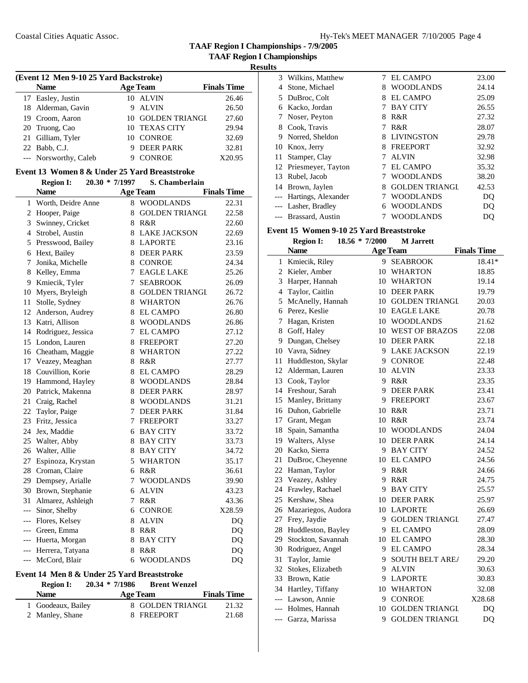**TAAF Region I Championships - 7/9/2005**

**TAAF Region I Championships**

 $\overline{\phantom{a}}$ 

| (Event 12 Men 9-10 25 Yard Backstroke) |                       |   |                   |                    |  |  |
|----------------------------------------|-----------------------|---|-------------------|--------------------|--|--|
|                                        | <b>Name</b>           |   | <b>Age Team</b>   | <b>Finals Time</b> |  |  |
|                                        | 17 Easley, Justin     |   | 10 ALVIN          | 26.46              |  |  |
|                                        | 18 Alderman, Gavin    | 9 | <b>ALVIN</b>      | 26.50              |  |  |
|                                        | 19 Croom, Aaron       |   | 10 GOLDEN TRIANGL | 27.60              |  |  |
|                                        | 20 Truong, Cao        |   | 10 TEXAS CITY     | 29.94              |  |  |
|                                        | 21 Gilliam, Tyler     |   | 10 CONROE         | 32.69              |  |  |
|                                        | 22 Babb, C.J.         |   | 9 DEER PARK       | 32.81              |  |  |
|                                        | --- Norsworthy, Caleb |   | <b>CONROE</b>     | X20.95             |  |  |

# **Event 13 Women 8 & Under 25 Yard Breaststroke**

|       | <b>Region I:</b>    | 20.30 * 7/1997 | S. Chamberlain        |                    |
|-------|---------------------|----------------|-----------------------|--------------------|
|       | <b>Name</b>         |                | <b>Age Team</b>       | <b>Finals Time</b> |
| 1     | Worth, Deidre Anne  | 8              | <b>WOODLANDS</b>      | 22.31              |
|       | 2 Hooper, Paige     | 8              | <b>GOLDEN TRIANGL</b> | 22.58              |
| 3     | Swinney, Cricket    | 8              | R&R                   | 22.60              |
| 4     | Strobel, Austin     | 8              | <b>LAKE JACKSON</b>   | 22.69              |
| 5     | Presswood, Bailey   | 8              | <b>LAPORTE</b>        | 23.16              |
| 6     | Hext, Bailey        | 8              | <b>DEER PARK</b>      | 23.59              |
| 7     | Jonika, Michelle    | 8              | <b>CONROE</b>         | 24.34              |
| 8     | Kelley, Emma        | 7              | <b>EAGLE LAKE</b>     | 25.26              |
| 9     | Kmiecik, Tyler      | 7              | <b>SEABROOK</b>       | 26.09              |
| 10    | Myers, Bryleigh     | 8              | <b>GOLDEN TRIANGL</b> | 26.72              |
| 11    | Stolle, Sydney      | 8              | <b>WHARTON</b>        | 26.76              |
|       | 12 Anderson, Audrey | 8              | <b>EL CAMPO</b>       | 26.80              |
| 13    | Katri, Allison      | 8              | <b>WOODLANDS</b>      | 26.86              |
| 14    | Rodriguez, Jessica  | 7              | <b>EL CAMPO</b>       | 27.12              |
| 15    | London, Lauren      | 8              | <b>FREEPORT</b>       | 27.20              |
| 16    | Cheatham, Maggie    | 8              | <b>WHARTON</b>        | 27.22              |
|       | 17 Veazey, Meaghan  | 8              | R&R                   | 27.77              |
| 18    | Couvillion, Korie   | 8              | <b>EL CAMPO</b>       | 28.29              |
| 19    | Hammond, Hayley     | 8              | <b>WOODLANDS</b>      | 28.84              |
| 20    | Patrick, Makenna    | 8              | <b>DEER PARK</b>      | 28.97              |
| 21    | Craig, Rachel       | 8              | <b>WOODLANDS</b>      | 31.21              |
| 22    | Taylor, Paige       | 7              | <b>DEER PARK</b>      | 31.84              |
| 23    | Fritz, Jessica      | 7              | <b>FREEPORT</b>       | 33.27              |
| 24    | Jex, Maddie         | 6              | <b>BAY CITY</b>       | 33.72              |
| 25    | Walter, Abby        | 8              | <b>BAY CITY</b>       | 33.73              |
| 26    | Walter, Allie       |                | 8 BAY CITY            | 34.72              |
| 27    | Espinoza, Krystan   |                | 5 WHARTON             | 35.17              |
| 28    | Croman, Claire      |                | 6 R&R                 | 36.61              |
| 29    | Dempsey, Arialle    | 7              | <b>WOODLANDS</b>      | 39.90              |
| 30    | Brown, Stephanie    | 6              | <b>ALVIN</b>          | 43.23              |
| 31    | Almarez, Ashleigh   | 7              | R&R                   | 43.36              |
| ---   | Sinor, Shelby       | 6              | <b>CONROE</b>         | X28.59             |
| $---$ | Flores, Kelsey      | 8              | <b>ALVIN</b>          | DQ                 |
| ---   | Green, Emma         | 8              | R&R                   | DQ                 |
| ---   | Huerta, Morgan      | 8              | <b>BAY CITY</b>       | DQ                 |
| ---   | Herrera, Tatyana    | 8              | R&R                   | DQ                 |
| $---$ | McCord, Blair       | 6              | <b>WOODLANDS</b>      | DQ                 |

# **Event 14 Men 8 & Under 25 Yard Breaststroke**

| <b>Region I:</b>                      | $20.34 * 7/1986$ | <b>Brent Wenzel</b>            |                    |                |
|---------------------------------------|------------------|--------------------------------|--------------------|----------------|
| <b>Name</b>                           | <b>Age Team</b>  |                                | <b>Finals Time</b> |                |
| 1 Goodeaux, Bailey<br>2 Manley, Shane |                  | 8 GOLDEN TRIANGI<br>8 FREEPORT |                    | 21.32<br>21.68 |

|               | 3 Wilkins, Matthew      |   | <b>EL CAMPO</b>       | 23.00 |
|---------------|-------------------------|---|-----------------------|-------|
| 4             | Stone, Michael          | 8 | <b>WOODLANDS</b>      | 24.14 |
| 5.            | DuBroc, Colt            | 8 | EL CAMPO              | 25.09 |
| 6             | Kacko, Jordan           |   | <b>BAY CITY</b>       | 26.55 |
| $\frac{1}{2}$ | Noser, Peyton           | 8 | R&R                   | 27.32 |
| 8             | Cook, Travis            | 7 | R&R                   | 28.07 |
| 9             | Norred, Sheldon         | 8 | <b>LIVINGSTON</b>     | 29.78 |
| 10            | Knox, Jerry             | 8 | <b>FREEPORT</b>       | 32.92 |
| 11            | Stamper, Clay           |   | <b>ALVIN</b>          | 32.98 |
|               | 12 Priesmeyer, Tayton   |   | EL CAMPO              | 35.32 |
| 13            | Rubel, Jacob            |   | <b>WOODLANDS</b>      | 38.20 |
| 14            | Brown, Jaylen           | 8 | <b>GOLDEN TRIANGI</b> | 42.53 |
|               | --- Hartings, Alexander |   | <b>WOODLANDS</b>      | DO    |
|               | Lasher, Bradley         | 6 | <b>WOODLANDS</b>      | DO    |
|               | --- Brassard, Austin    |   | WOODLANDS             | DO    |

# **Event 15 Women 9-10 25 Yard Breaststroke**

|       | <b>Region I:</b>   | 18.56 * 7/2000 | <b>M</b> Jarrett       |                    |
|-------|--------------------|----------------|------------------------|--------------------|
|       | <b>Name</b>        |                | <b>Age Team</b>        | <b>Finals Time</b> |
| 1     | Kmiecik, Riley     | 9              | <b>SEABROOK</b>        | 18.41*             |
| 2     | Kieler, Amber      | 10             | <b>WHARTON</b>         | 18.85              |
| 3     | Harper, Hannah     | 10             | WHARTON                | 19.14              |
| 4     | Taylor, Caitlin    | 10             | <b>DEER PARK</b>       | 19.79              |
| 5     | McAnelly, Hannah   | 10             | <b>GOLDEN TRIANGL</b>  | 20.03              |
| 6     | Perez, Keslie      | 10             | <b>EAGLE LAKE</b>      | 20.78              |
| 7     | Hagan, Kristen     | 10             | <b>WOODLANDS</b>       | 21.62              |
| 8     | Goff, Haley        |                | 10 WEST OF BRAZOS      | 22.08              |
| 9     | Dungan, Chelsey    |                | 10 DEER PARK           | 22.18              |
| 10    | Vavra, Sidney      |                | 9 LAKE JACKSON         | 22.19              |
| 11    | Huddleston, Skylar |                | 9 CONROE               | 22.48              |
| 12    | Alderman, Lauren   |                | 10 ALVIN               | 23.33              |
| 13    | Cook, Taylor       | 9              | R&R                    | 23.35              |
| 14    | Freshour, Sarah    | 9              | <b>DEER PARK</b>       | 23.41              |
| 15    | Manley, Brittany   | 9              | <b>FREEPORT</b>        | 23.67              |
| 16    | Duhon, Gabrielle   | 10             | R&R                    | 23.71              |
| 17    | Grant, Megan       | 10             | R&R                    | 23.74              |
| 18    | Spain, Samantha    | 10             | <b>WOODLANDS</b>       | 24.04              |
| 19    | Walters, Alyse     | 10             | <b>DEER PARK</b>       | 24.14              |
| 20    | Kacko, Sierra      | 9              | <b>BAY CITY</b>        | 24.52              |
| 21    | DuBroc, Cheyenne   |                | 10 EL CAMPO            | 24.56              |
| 22    | Haman, Taylor      | 9              | R&R                    | 24.66              |
| 23    | Veazey, Ashley     | 9              | R&R                    | 24.75              |
| 24    | Frawley, Rachael   | 9              | <b>BAY CITY</b>        | 25.57              |
| 25    | Kershaw, Shea      |                | 10 DEER PARK           | 25.97              |
| 26    | Mazariegos, Audora |                | 10 LAPORTE             | 26.69              |
| 27    | Frey, Jaydie       | 9              | <b>GOLDEN TRIANGL</b>  | 27.47              |
| 28    | Huddleston, Bayley | 9              | <b>EL CAMPO</b>        | 28.09              |
| 29    | Stockton, Savannah |                | 10 EL CAMPO            | 28.30              |
| 30    | Rodriguez, Angel   | 9              | <b>EL CAMPO</b>        | 28.34              |
| 31    | Taylor, Jamie      | 9              | <b>SOUTH BELT AREA</b> | 29.20              |
| 32    | Stokes, Elizabeth  | 9              | <b>ALVIN</b>           | 30.63              |
| 33    | Brown, Katie       |                | 9 LAPORTE              | 30.83              |
| 34    | Hartley, Tiffany   |                | 10 WHARTON             | 32.08              |
|       | --- Lawson, Annie  | 9              | <b>CONROE</b>          | X28.68             |
| $---$ | Holmes, Hannah     | 10             | <b>GOLDEN TRIANGL</b>  | DQ                 |
| $---$ | Garza, Marissa     | 9              | <b>GOLDEN TRIANGL</b>  | DQ                 |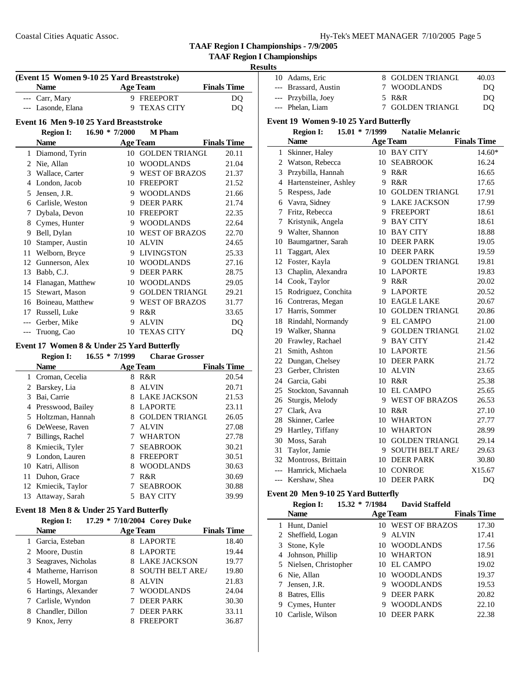| Hy-Tek's MEET MANAGER 7/10/2005 Page 5 |  |  |
|----------------------------------------|--|--|
|----------------------------------------|--|--|

**TAAF Region I Championships**

### **Results**

| (Event 15 Women 9-10 25 Yard Breaststroke) |                                            |                  |                       |                    |
|--------------------------------------------|--------------------------------------------|------------------|-----------------------|--------------------|
|                                            | <b>Name</b>                                |                  | <b>Age Team</b>       | <b>Finals Time</b> |
|                                            | --- Carr, Mary                             |                  | 9 FREEPORT            | DQ                 |
|                                            | --- Lasonde, Elana                         | 9                | <b>TEXAS CITY</b>     | DQ                 |
|                                            | Event 16 Men 9-10 25 Yard Breaststroke     |                  |                       |                    |
|                                            | <b>Region I:</b>                           | $16.90 * 7/2000$ | <b>M</b> Pham         |                    |
|                                            | <b>Name</b>                                |                  | <b>Age Team</b>       | <b>Finals Time</b> |
|                                            | 1 Diamond, Tyrin                           |                  | 10 GOLDEN TRIANGL     | 20.11              |
|                                            | 2 Nie, Allan                               |                  | 10 WOODLANDS          | 21.04              |
|                                            | 3 Wallace, Carter                          |                  | 9 WEST OF BRAZOS      | 21.37              |
|                                            | 4 London, Jacob                            |                  | 10 FREEPORT           | 21.52              |
|                                            | 5 Jensen, J.R.                             |                  | 9 WOODLANDS           | 21.66              |
|                                            | 6 Carlisle, Weston                         |                  | 9 DEER PARK           | 21.74              |
| $7\phantom{.0}$                            | Dybala, Devon                              |                  | 10 FREEPORT           | 22.35              |
|                                            | 8 Cymes, Hunter                            |                  | 9 WOODLANDS           | 22.64              |
|                                            | 9 Bell, Dylan                              |                  | 10 WEST OF BRAZOS     | 22.70              |
|                                            | 10 Stamper, Austin                         |                  | 10 ALVIN              | 24.65              |
|                                            | 11 Welborn, Bryce                          |                  | 9 LIVINGSTON          | 25.33              |
|                                            | 12 Gunnerson, Alex                         |                  | 10 WOODLANDS          | 27.16              |
|                                            | 13 Babb, C.J.                              |                  | 9 DEER PARK           | 28.75              |
|                                            | 14 Flanagan, Matthew                       |                  | 10 WOODLANDS          | 29.05              |
|                                            | 15 Stewart, Mason                          |                  | 9 GOLDEN TRIANGL      | 29.21              |
|                                            | 16 Boineau, Matthew                        |                  | 9 WEST OF BRAZOS      | 31.77              |
|                                            | 17 Russell, Luke                           |                  | 9 R&R                 | 33.65              |
|                                            | --- Gerber, Mike                           |                  | 9 ALVIN               | <b>DQ</b>          |
| $---$                                      | Truong, Cao                                | 10               | <b>TEXAS CITY</b>     | DQ                 |
|                                            | Event 17 Women 8 & Under 25 Yard Butterfly |                  |                       |                    |
|                                            | <b>Region I:</b>                           | $16.55 * 7/1999$ | <b>Charae Grosser</b> |                    |
|                                            | <b>Name</b>                                |                  | <b>Age Team</b>       | <b>Finals Time</b> |
|                                            | 1 Croman, Cecelia                          |                  | 8 R&R                 | 20.54              |
|                                            | 2 Barskey, Lia                             |                  | 8 ALVIN               | 20.71              |
|                                            | 3 Bai, Carrie                              |                  | 8 LAKE JACKSON        | 21.53              |
|                                            | 4 Presswood, Bailey                        |                  | 8 LAPORTE             | 23.11              |
|                                            | 5 Holtzman, Hannah                         |                  | 8 GOLDEN TRIANGL      | 26.05              |
|                                            | 6 DeWeese, Raven                           | $7^{\circ}$      | <b>ALVIN</b>          | 27.08              |
|                                            | 7 Billings, Rachel                         |                  | 7 WHARTON             | 27.78              |
|                                            | 8 Kmiecik, Tyler                           |                  | 7 SEABROOK            | 30.21              |
|                                            | 9 London, Lauren                           |                  | 8 FREEPORT            | 30.51              |
|                                            | 10 Katri, Allison                          |                  | 8 WOODLANDS           | 30.63              |
| 11                                         | Duhon, Grace                               |                  | 7 R&R                 | 30.69              |
| 12                                         | Kmiecik, Taylor                            | 7                | <b>SEABROOK</b>       | 30.88              |

# **Event 18 Men 8 & Under 25 Yard Butterfly**

### **Region I: 17.29 \* 7/10/2004 Corey Duke**

| <b>Name</b>            | <b>Age Team</b>             | <b>Finals Time</b> |
|------------------------|-----------------------------|--------------------|
| 1 Garcia, Esteban      | 8 LAPORTE                   | 18.40              |
| 2 Moore, Dustin        | <b>LAPORTE</b><br>8         | 19.44              |
| 3 Seagraves, Nicholas  | 8 LAKE JACKSON              | 19.77              |
| 4 Matherne, Harrison   | <b>SOUTH BELT AREA</b><br>8 | 19.80              |
| 5 Howell, Morgan       | <b>ALVIN</b><br>8           | 21.83              |
| 6 Hartings, Alexander  | <b>WOODLANDS</b>            | 24.04              |
| 7 Carlisle, Wyndon     | <b>DEER PARK</b>            | 30.30              |
| Chandler, Dillon<br>8. | <b>DEER PARK</b>            | 33.11              |
| Knox, Jerry            | <b>FREEPORT</b><br>8        | 36.87              |

13 Attaway, Sarah 5 BAY CITY 39.99

| 10    | Adams, Eric                           | 8                | <b>GOLDEN TRIANGL</b>   | 40.03              |
|-------|---------------------------------------|------------------|-------------------------|--------------------|
|       | --- Brassard, Austin                  | 7                | <b>WOODLANDS</b>        | DQ                 |
|       | --- Przybilla, Joey                   | 5                | R&R                     | DQ                 |
|       | --- Phelan, Liam                      | 7                | <b>GOLDEN TRIANGL</b>   | DQ                 |
|       | Event 19 Women 9-10 25 Yard Butterfly |                  |                         |                    |
|       |                                       | 15.01 * 7/1999   | <b>Natalie Melanric</b> |                    |
|       | <b>Region I:</b><br><b>Name</b>       |                  |                         | <b>Finals Time</b> |
|       |                                       |                  | <b>Age Team</b>         |                    |
|       | 1 Skinner, Haley                      |                  | 10 BAY CITY             | 14.60*             |
|       | 2 Watson, Rebecca                     |                  | 10 SEABROOK             | 16.24              |
|       | 3 Przybilla, Hannah                   |                  | 9 R&R                   | 16.65              |
|       | 4 Hartensteiner, Ashley               |                  | 9 R&R                   | 17.65              |
|       | 5 Respess, Jade                       |                  | 10 GOLDEN TRIANGL       | 17.91              |
|       | 6 Vavra, Sidney                       |                  | 9 LAKE JACKSON          | 17.99              |
|       | 7 Fritz, Rebecca                      |                  | 9 FREEPORT              | 18.61              |
|       | 7 Kristynik, Angela                   |                  | 9 BAY CITY              | 18.61              |
|       | 9 Walter, Shannon                     |                  | 10 BAY CITY             | 18.88              |
|       | 10 Baumgartner, Sarah                 |                  | 10 DEER PARK            | 19.05              |
| 11    | Taggart, Alex                         |                  | 10 DEER PARK            | 19.59              |
|       | 12 Foster, Kayla                      |                  | 9 GOLDEN TRIANGL        | 19.81              |
|       | 13 Chaplin, Alexandra                 |                  | 10 LAPORTE              | 19.83              |
|       | 14 Cook, Taylor                       |                  | 9 R&R                   | 20.02              |
| 15    | Rodriguez, Conchita                   |                  | 9 LAPORTE               | 20.52              |
|       | 16 Contreras, Megan                   |                  | 10 EAGLE LAKE           | 20.67              |
|       | 17 Harris, Sommer                     |                  | 10 GOLDEN TRIANGL       | 20.86              |
|       | 18 Rindahl, Normandy                  |                  | 9 EL CAMPO              | 21.00              |
|       | 19 Walker, Shanna                     |                  | 9 GOLDEN TRIANGL        | 21.02              |
|       | 20 Frawley, Rachael                   |                  | 9 BAY CITY              | 21.42              |
|       | 21 Smith, Ashton                      |                  | 10 LAPORTE              | 21.56              |
|       | 22 Dungan, Chelsey                    |                  | 10 DEER PARK            | 21.72              |
|       | 23 Gerber, Christen                   |                  | 10 ALVIN                | 23.65              |
|       | 24 Garcia, Gabi                       |                  | 10 R&R                  | 25.38              |
|       | 25 Stockton, Savannah                 |                  | 10 EL CAMPO             | 25.65              |
|       | 26 Sturgis, Melody                    |                  | 9 WEST OF BRAZOS        | 26.53              |
|       | 27 Clark, Ava                         |                  | 10 R&R                  | 27.10              |
|       | 28 Skinner, Carlee                    |                  | 10 WHARTON              | 27.77              |
|       | 29 Hartley, Tiffany                   |                  | 10 WHARTON              | 28.99              |
|       | 30 Moss, Sarah                        |                  | 10 GOLDEN TRIANGL       | 29.14              |
| 31    | Taylor, Jamie                         | 9                | <b>SOUTH BELT AREA</b>  | 29.63              |
|       | 32 Montross, Brittain                 |                  | 10 DEER PARK            | 30.80              |
| $---$ | Hamrick, Michaela                     |                  | 10 CONROE               | X15.67             |
| $---$ | Kershaw, Shea                         |                  | 10 DEER PARK            | DQ                 |
|       | Event 20 Men 9-10 25 Yard Butterfly   |                  |                         |                    |
|       | <b>Region I:</b>                      | $15.32 * 7/1984$ | <b>David Staffeld</b>   |                    |
|       | <b>Name</b>                           |                  | <b>Age Team</b>         | <b>Finals Time</b> |
| 1     | Hunt, Daniel                          |                  | 10 WEST OF BRAZOS       | 17.30              |

2 Sheffield, Logan 9 ALVIN 17.41 3 Stone, Kyle 10 WOODLANDS 17.56 4 Johnson, Phillip 10 WHARTON 18.91 Nielsen, Christopher 10 EL CAMPO 19.02 Nie, Allan 10 WOODLANDS 19.37 Jensen, J.R. 9 WOODLANDS 19.53 8 Batres, Ellis 9 DEER PARK 20.82 9 Cymes, Hunter 9 WOODLANDS 22.10 Carlisle, Wilson 10 DEER PARK 22.38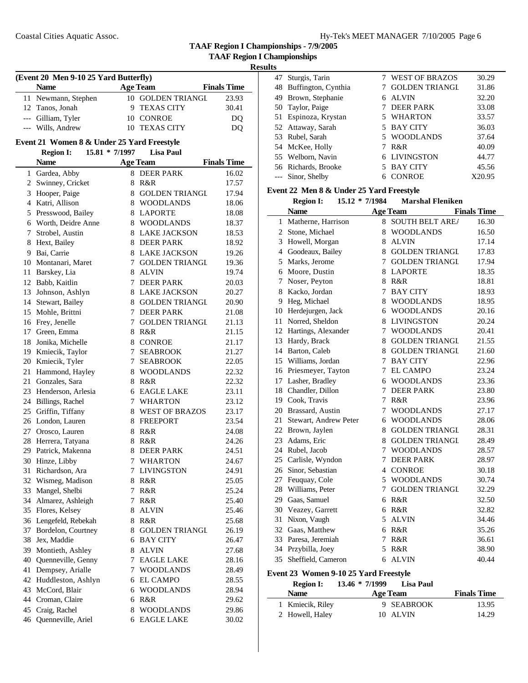**TAAF Region I Championships - 7/9/2005**

# **Results**

| (Event 20 Men 9-10 25 Yard Butterfly) |                     |  |                   |                    |  |  |
|---------------------------------------|---------------------|--|-------------------|--------------------|--|--|
|                                       | <b>Name</b>         |  | <b>Age Team</b>   | <b>Finals Time</b> |  |  |
|                                       | 11 Newmann, Stephen |  | 10 GOLDEN TRIANGL | 23.93              |  |  |
|                                       | 12 Tanos, Jonah     |  | 9 TEXAS CITY      | 30.41              |  |  |
|                                       | --- Gilliam, Tyler  |  | 10 CONROE         | DO                 |  |  |
|                                       | --- Wills, Andrew   |  | 10 TEXAS CITY     |                    |  |  |

# **Event 21 Women 8 & Under 25 Yard Freestyle**

### **Region I: 15.81 \* 7/1997 Lisa Paul**

|    | <b>Name</b>                               |        | <b>Age Team</b>        | <b>Finals Time</b> |
|----|-------------------------------------------|--------|------------------------|--------------------|
| 1  | Gardea, Abby                              | 8      | <b>DEER PARK</b>       | 16.02              |
| 2  | Swinney, Cricket                          |        | 8 R&R                  | 17.57              |
| 3  | Hooper, Paige                             | 8      | <b>GOLDEN TRIANGL</b>  | 17.94              |
|    | 4 Katri, Allison                          |        | 8 WOODLANDS            | 18.06              |
| 5  | Presswood, Bailey                         |        | 8 LAPORTE              | 18.08              |
| 6  | Worth, Deidre Anne                        |        | 8 WOODLANDS            | 18.37              |
| 7  | Strobel, Austin                           |        | 8 LAKE JACKSON         | 18.53              |
| 8  | Hext, Bailey                              |        | 8 DEER PARK            | 18.92              |
|    | 9 Bai, Carrie                             |        | 8 LAKE JACKSON         | 19.26              |
|    | 10 Montanari, Maret                       | 7      | <b>GOLDEN TRIANGL</b>  | 19.36              |
| 11 | Barskey, Lia                              | 8      | <b>ALVIN</b>           | 19.74              |
|    | 12 Babb, Kaitlin                          | 7      | <b>DEER PARK</b>       | 20.03              |
| 13 | Johnson, Ashlyn                           |        | 8 LAKE JACKSON         | 20.27              |
| 14 | Stewart, Bailey                           | 8      | <b>GOLDEN TRIANGL</b>  | 20.90              |
| 15 | Mohle, Brittni                            | 7      | <b>DEER PARK</b>       | 21.08              |
|    | 16 Frey, Jenelle                          | $\tau$ | <b>GOLDEN TRIANGL</b>  | 21.13              |
|    | 17 Green, Emma                            | 8      | R&R                    | 21.15              |
|    | 18 Jonika, Michelle<br>19 Kmiecik, Taylor |        | 8 CONROE<br>7 SEABROOK | 21.17              |
|    | 20 Kmiecik, Tyler                         | 7      | <b>SEABROOK</b>        | 21.27<br>22.05     |
| 21 | Hammond, Hayley                           |        | 8 WOODLANDS            | 22.32              |
| 21 | Gonzales, Sara                            | 8      | R&R                    | 22.32              |
| 23 | Henderson, Arlesia                        |        | 6 EAGLE LAKE           | 23.11              |
|    | 24 Billings, Rachel                       | 7      | <b>WHARTON</b>         | 23.12              |
| 25 | Griffin, Tiffany                          |        | 8 WEST OF BRAZOS       | 23.17              |
|    | 26 London, Lauren                         |        | 8 FREEPORT             | 23.54              |
| 27 | Orosco, Lauren                            |        | 8 R&R                  | 24.08              |
|    | 28 Herrera, Tatyana                       |        | 8 R&R                  | 24.26              |
|    | 29 Patrick, Makenna                       |        | 8 DEER PARK            | 24.51              |
|    | 30 Hinze, Libby                           |        | 7 WHARTON              | 24.67              |
| 31 | Richardson, Ara                           |        | 7 LIVINGSTON           | 24.91              |
|    | 32 Wismeg, Madison                        |        | 8 R&R                  | 25.05              |
| 33 | Mangel, Shelbi                            | 7      | R&R                    | 25.24              |
|    | 34 Almarez, Ashleigh                      | 7      | R&R                    | 25.40              |
|    | 35 Flores, Kelsey                         | 8      | <b>ALVIN</b>           | 25.46              |
|    | 36 Lengefeld, Rebekah                     |        | 8 R&R                  | 25.68              |
|    | 37 Bordelon, Courtney                     | 8      | <b>GOLDEN TRIANGL</b>  | 26.19              |
| 38 | Jex, Maddie                               |        | 6 BAY CITY             | 26.47              |
| 39 | Montieth, Ashley                          | 8      | <b>ALVIN</b>           | 27.68              |
| 40 | Quenneville, Genny                        | 7      | <b>EAGLE LAKE</b>      | 28.16              |
| 41 | Dempsey, Arialle                          | 7      | <b>WOODLANDS</b>       | 28.49              |
| 42 | Huddleston, Ashlyn                        | 6      | <b>EL CAMPO</b>        | 28.55              |
|    | 43 McCord, Blair                          | 6      | <b>WOODLANDS</b>       | 28.94              |
| 44 | Croman, Claire                            | 6      | R&R                    | 29.62              |
| 45 | Craig, Rachel                             | 8      | <b>WOODLANDS</b>       | 29.86              |
| 46 | Quenneville, Ariel                        | 6      | <b>EAGLE LAKE</b>      | 30.02              |

| 47 | Sturgis, Tarin         |   | <b>WEST OF BRAZOS</b> | 30.29  |
|----|------------------------|---|-----------------------|--------|
|    | 48 Buffington, Cynthia |   | <b>GOLDEN TRIANGL</b> | 31.86  |
| 49 | Brown, Stephanie       | 6 | <b>ALVIN</b>          | 32.20  |
|    | 50 Taylor, Paige       |   | <b>DEER PARK</b>      | 33.08  |
|    | 51 Espinoza, Krystan   |   | 5 WHARTON             | 33.57  |
|    | 52 Attaway, Sarah      |   | 5 BAY CITY            | 36.03  |
|    | 53 Rubel, Sarah        |   | 5 WOODLANDS           | 37.64  |
|    | 54 McKee, Holly        |   | R&R                   | 40.09  |
|    | 55 Welborn, Navin      |   | 6 LIVINGSTON          | 44.77  |
|    | 56 Richards, Brooke    |   | 5 BAY CITY            | 45.56  |
|    | --- Sinor, Shelby      |   | <b>CONROE</b>         | X20.95 |

# **Event 22 Men 8 & Under 25 Yard Freestyle**

|                | <b>Region I:</b>      | 15.12 * 7/1984 |   | <b>Marshal Fleniken</b> |                    |
|----------------|-----------------------|----------------|---|-------------------------|--------------------|
|                | <b>Name</b>           |                |   | <b>Age Team</b>         | <b>Finals Time</b> |
| 1              | Matherne, Harrison    |                | 8 | <b>SOUTH BELT AREA</b>  | 16.30              |
| $\overline{c}$ | Stone, Michael        |                | 8 | <b>WOODLANDS</b>        | 16.50              |
| 3              | Howell, Morgan        |                | 8 | <b>ALVIN</b>            | 17.14              |
| 4              | Goodeaux, Bailey      |                | 8 | <b>GOLDEN TRIANGL</b>   | 17.83              |
| 5              | Marks, Jerome         |                | 7 | <b>GOLDEN TRIANGL</b>   | 17.94              |
| 6              | Moore, Dustin         |                | 8 | <b>LAPORTE</b>          | 18.35              |
| 7              | Noser, Peyton         |                | 8 | R&R                     | 18.81              |
| 8              | Kacko, Jordan         |                | 7 | <b>BAY CITY</b>         | 18.93              |
| 9              | Heg, Michael          |                | 8 | <b>WOODLANDS</b>        | 18.95              |
| 10             | Herdejurgen, Jack     |                | 6 | <b>WOODLANDS</b>        | 20.16              |
| 11             | Norred, Sheldon       |                | 8 | <b>LIVINGSTON</b>       | 20.24              |
| 12             | Hartings, Alexander   |                | 7 | <b>WOODLANDS</b>        | 20.41              |
| 13             | Hardy, Brack          |                | 8 | <b>GOLDEN TRIANGL</b>   | 21.55              |
| 14             | Barton, Caleb         |                | 8 | <b>GOLDEN TRIANGL</b>   | 21.60              |
| 15             | Williams, Jordan      |                | 7 | <b>BAY CITY</b>         | 22.96              |
| 16             | Priesmeyer, Tayton    |                | 7 | <b>EL CAMPO</b>         | 23.24              |
| 17             | Lasher, Bradley       |                | 6 | <b>WOODLANDS</b>        | 23.36              |
| 18             | Chandler, Dillon      |                | 7 | <b>DEER PARK</b>        | 23.80              |
| 19             | Cook, Travis          |                | 7 | R&R                     | 23.96              |
| 20             | Brassard, Austin      |                | 7 | <b>WOODLANDS</b>        | 27.17              |
| 21             | Stewart, Andrew Peter |                | 6 | <b>WOODLANDS</b>        | 28.06              |
| 22             | Brown, Jaylen         |                | 8 | <b>GOLDEN TRIANGL</b>   | 28.31              |
| 23             | Adams, Eric           |                | 8 | <b>GOLDEN TRIANGL</b>   | 28.49              |
| 24             | Rubel, Jacob          |                | 7 | <b>WOODLANDS</b>        | 28.57              |
| 25             | Carlisle, Wyndon      |                | 7 | <b>DEER PARK</b>        | 28.97              |
| 26             | Sinor, Sebastian      |                | 4 | <b>CONROE</b>           | 30.18              |
| 27             | Feuquay, Cole         |                | 5 | <b>WOODLANDS</b>        | 30.74              |
| 28             | Williams, Peter       |                | 7 | <b>GOLDEN TRIANGL</b>   | 32.29              |
| 29             | Gaas, Samuel          |                | 6 | R&R                     | 32.50              |
| 30             | Veazey, Garrett       |                | 6 | R&R                     | 32.82              |
| 31             | Nixon, Vaugh          |                | 5 | <b>ALVIN</b>            | 34.46              |
| 32             | Gaas, Matthew         |                | 6 | R&R                     | 35.26              |
| 33             | Paresa, Jeremiah      |                | 7 | R&R                     | 36.61              |
| 34             | Przybilla, Joey       |                | 5 | R&R                     | 38.90              |
| 35             | Sheffield, Cameron    |                | 6 | <b>ALVIN</b>            | 40.44              |

# **Event 23 Women 9-10 25 Yard Freestyle**

| <b>Region I:</b> | $13.46 * 7/1999$ | Lisa Paul       |                    |
|------------------|------------------|-----------------|--------------------|
| <b>Name</b>      |                  | <b>Age Team</b> | <b>Finals Time</b> |
| 1 Kmiecik, Riley |                  | 9 SEABROOK      | 13.95              |
| 2 Howell, Haley  |                  | 10 ALVIN        | 14.29              |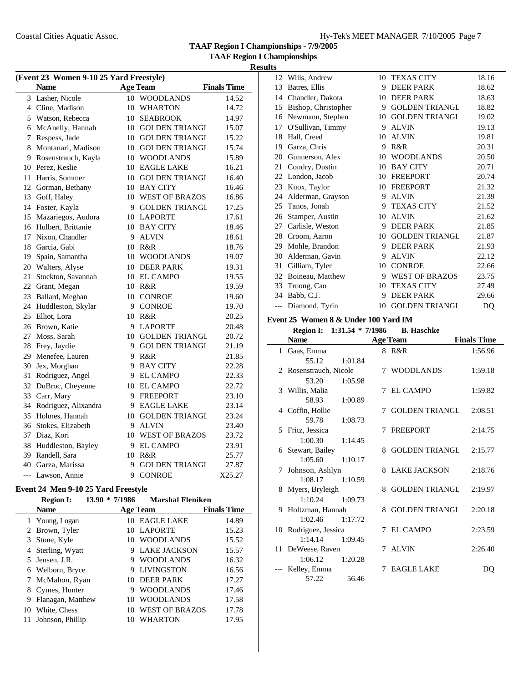**TAAF Region I Championships - 7/9/2005**

**TAAF Region I Championships**

 $\overline{\phantom{0}}$ 

# **Results**

|       | (Event 23 Women 9-10 25 Yard Freestyle) |    |                       |                    |  |  |
|-------|-----------------------------------------|----|-----------------------|--------------------|--|--|
|       | <b>Name</b>                             |    | <b>Age Team</b>       | <b>Finals Time</b> |  |  |
|       | 3 Lasher, Nicole                        |    | 10 WOODLANDS          | 14.52              |  |  |
|       | 4 Cline, Madison                        | 10 | <b>WHARTON</b>        | 14.72              |  |  |
|       | 5 Watson, Rebecca                       |    | 10 SEABROOK           | 14.97              |  |  |
|       | 6 McAnelly, Hannah                      |    | 10 GOLDEN TRIANGL     | 15.07              |  |  |
|       | 7 Respess, Jade                         |    | 10 GOLDEN TRIANGL     | 15.22              |  |  |
|       | 8 Montanari, Madison                    |    | 10 GOLDEN TRIANGL     | 15.74              |  |  |
|       | 9 Rosenstrauch, Kayla                   |    | 10 WOODLANDS          | 15.89              |  |  |
|       | 10 Perez, Keslie                        |    | 10 EAGLE LAKE         | 16.21              |  |  |
| 11    | Harris, Sommer                          | 10 | <b>GOLDEN TRIANGL</b> | 16.40              |  |  |
| 12    | Gorman, Bethany                         |    | 10 BAY CITY           | 16.46              |  |  |
| 13    | Goff, Haley                             |    | 10 WEST OF BRAZOS     | 16.86              |  |  |
|       | 14 Foster, Kayla                        |    | 9 GOLDEN TRIANGL      | 17.25              |  |  |
| 15    | Mazariegos, Audora                      |    | 10 LAPORTE            | 17.61              |  |  |
|       | 16 Hulbert, Brittanie                   |    | 10 BAY CITY           | 18.46              |  |  |
|       | 17 Nixon, Chandler                      | 9  | <b>ALVIN</b>          | 18.61              |  |  |
|       | 18 Garcia, Gabi                         |    | 10 R&R                | 18.76              |  |  |
|       | 19 Spain, Samantha                      |    | 10 WOODLANDS          | 19.07              |  |  |
|       | 20 Walters, Alyse                       |    | 10 DEER PARK          | 19.31              |  |  |
| 21    | Stockton, Savannah                      |    | 10 EL CAMPO           | 19.55              |  |  |
|       | 22 Grant, Megan                         |    | 10 R&R                | 19.59              |  |  |
|       | 23 Ballard, Meghan                      |    | 10 CONROE             | 19.60              |  |  |
|       | 24 Huddleston, Skylar                   |    | 9 CONROE              | 19.70              |  |  |
|       | 25 Elliot, Lora                         |    | 10 R&R                | 20.25              |  |  |
|       | 26 Brown, Katie                         |    | 9 LAPORTE             | 20.48              |  |  |
|       | 27 Moss, Sarah                          |    | 10 GOLDEN TRIANGL     | 20.72              |  |  |
|       | 28 Frey, Jaydie                         |    | 9 GOLDEN TRIANGL      | 21.19              |  |  |
| 29    | Menefee, Lauren                         |    | 9 R&R                 | 21.85              |  |  |
|       | 30 Jex, Morghan                         |    | 9 BAY CITY            | 22.28              |  |  |
| 31    | Rodriguez, Angel                        |    | 9 EL CAMPO            | 22.33              |  |  |
| 32    | DuBroc, Cheyenne                        |    | 10 EL CAMPO           | 22.72              |  |  |
|       | 33 Carr, Mary                           |    | 9 FREEPORT            | 23.10              |  |  |
|       | 34 Rodriguez, Alixandra                 |    | 9 EAGLE LAKE          | 23.14              |  |  |
|       | 35 Holmes, Hannah                       |    | 10 GOLDEN TRIANGL     | 23.24              |  |  |
|       | 36 Stokes, Elizabeth                    |    | 9 ALVIN               | 23.40              |  |  |
|       | 37 Diaz, Kori                           |    | 10 WEST OF BRAZOS     | 23.72              |  |  |
|       | 38 Huddleston, Bayley                   |    | 9 EL CAMPO            | 23.91              |  |  |
|       | 39 Randell, Sara                        |    | 10 R&R                | 25.77              |  |  |
|       | 40 Garza, Marissa                       | 9  | <b>GOLDEN TRIANGL</b> | 27.87              |  |  |
| $---$ | Lawson, Annie                           | 9  | <b>CONROE</b>         | X25.27             |  |  |

# **Event 24 Men 9-10 25 Yard Freestyle**

|    | <b>Region I:</b>  | 13.90<br>$*7/1986$ | <b>Marshal Fleniken</b> |                    |
|----|-------------------|--------------------|-------------------------|--------------------|
|    | <b>Name</b>       |                    | <b>Age Team</b>         | <b>Finals Time</b> |
|    | 1 Young, Logan    | 10.                | <b>EAGLE LAKE</b>       | 14.89              |
|    | 2 Brown, Tyler    | 10                 | <b>LAPORTE</b>          | 15.23              |
|    | 3 Stone, Kyle     |                    | 10 WOODLANDS            | 15.52              |
|    | 4 Sterling, Wyatt |                    | LAKE JACKSON<br>9       | 15.57              |
|    | 5 Jensen, J.R.    |                    | <b>WOODLANDS</b><br>9   | 16.32              |
|    | 6 Welborn, Bryce  |                    | LIVINGSTON<br>9         | 16.56              |
|    | 7 McMahon, Ryan   |                    | 10 DEER PARK            | 17.27              |
|    | 8 Cymes, Hunter   |                    | <b>WOODLANDS</b><br>9   | 17.46              |
| 9  | Flanagan, Matthew | 10                 | <b>WOODLANDS</b>        | 17.58              |
| 10 | White, Chess      | 10                 | <b>WEST OF BRAZOS</b>   | 17.78              |
|    | Johnson, Phillip  |                    | WHARTON                 | 17.95              |

| 12    | Wills, Andrew       | 10 | <b>TEXAS CITY</b>     | 18.16 |
|-------|---------------------|----|-----------------------|-------|
| 13    | Batres, Ellis       | 9  | <b>DEER PARK</b>      | 18.62 |
| 14    | Chandler, Dakota    | 10 | <b>DEER PARK</b>      | 18.63 |
| 15    | Bishop, Christopher | 9  | <b>GOLDEN TRIANGL</b> | 18.82 |
| 16    | Newmann, Stephen    | 10 | <b>GOLDEN TRIANGL</b> | 19.02 |
| 17    | O'Sullivan, Timmy   | 9  | <b>ALVIN</b>          | 19.13 |
| 18    | Hall, Creed         | 10 | <b>ALVIN</b>          | 19.81 |
| 19    | Garza, Chris        | 9  | R&R                   | 20.31 |
| 20    | Gunnerson, Alex     | 10 | <b>WOODLANDS</b>      | 20.50 |
| 21    | Condry, Dustin      | 10 | <b>BAY CITY</b>       | 20.71 |
| 22    | London, Jacob       | 10 | <b>FREEPORT</b>       | 20.74 |
| 23    | Knox, Taylor        | 10 | <b>FREEPORT</b>       | 21.32 |
| 24    | Alderman, Grayson   | 9  | <b>ALVIN</b>          | 21.39 |
| 25    | Tanos, Jonah        | 9  | <b>TEXAS CITY</b>     | 21.52 |
| 26    | Stamper, Austin     | 10 | <b>ALVIN</b>          | 21.62 |
| 27    | Carlisle, Weston    | 9  | <b>DEER PARK</b>      | 21.85 |
| 28    | Croom, Aaron        | 10 | <b>GOLDEN TRIANGL</b> | 21.87 |
| 29    | Mohle, Brandon      | 9  | <b>DEER PARK</b>      | 21.93 |
| 30    | Alderman, Gavin     | 9  | <b>ALVIN</b>          | 22.12 |
| 31    | Gilliam, Tyler      | 10 | <b>CONROE</b>         | 22.66 |
| 32    | Boineau, Matthew    | 9  | <b>WEST OF BRAZOS</b> | 23.75 |
| 33    | Truong, Cao         | 10 | <b>TEXAS CITY</b>     | 27.49 |
| 34    | Babb, C.J.          | 9  | <b>DEER PARK</b>      | 29.66 |
| $---$ | Diamond, Tyrin      | 10 | <b>GOLDEN TRIANGL</b> | DQ    |

# **Event 25 Women 8 & Under 100 Yard IM**

| <b>Region I:</b>          | $1:31.54 * 7/1986$  |   | <b>B.</b> Haschke     |                    |
|---------------------------|---------------------|---|-----------------------|--------------------|
| <b>Name</b>               |                     |   | <b>Age Team</b>       | <b>Finals Time</b> |
| 1 Gaas, Emma              |                     |   | 8 R&R                 | 1:56.96            |
| 55.12                     | 1:01.84             |   |                       |                    |
| 2 Rosenstrauch, Nicole    |                     | 7 | <b>WOODLANDS</b>      | 1:59.18            |
| 53.20                     | 1:05.98             |   |                       |                    |
| 3 Willis, Malia           |                     | 7 | EL CAMPO              | 1:59.82            |
| 58.93                     | 1:00.89             |   |                       |                    |
| 4 Coffin, Hollie          |                     | 7 | <b>GOLDEN TRIANGL</b> | 2:08.51            |
| 59.78                     | 1:08.73             |   |                       |                    |
| 5 Fritz, Jessica          |                     | 7 | FREEPORT              | 2:14.75            |
| 1:00.30                   | 1:14.45             |   |                       |                    |
| 6 Stewart, Bailey         |                     | 8 | <b>GOLDEN TRIANGL</b> | 2:15.77            |
|                           | $1:05.60$ $1:10.17$ |   |                       |                    |
| 7 Johnson, Ashlyn         |                     |   | 8 LAKE JACKSON        | 2:18.76            |
|                           | $1:08.17$ $1:10.59$ |   |                       |                    |
| 8 Myers, Bryleigh         |                     | 8 | GOLDEN TRIANGI        | 2:19.97            |
|                           | $1:10.24$ $1:09.73$ |   |                       |                    |
| 9 Holtzman, Hannah        |                     | 8 | <b>GOLDEN TRIANGL</b> | 2:20.18            |
|                           | $1:02.46$ $1:17.72$ |   |                       |                    |
| 10 Rodriguez, Jessica     |                     |   | 7 EL CAMPO            | 2:23.59            |
|                           | $1:14.14$ $1:09.45$ |   | 7 ALVIN               | 2:26.40            |
| 11 DeWeese, Raven         |                     |   |                       |                    |
| 1:06.12                   | 1:20.28             | 7 | <b>EAGLE LAKE</b>     |                    |
| --- Kelley, Emma<br>57.22 | 56.46               |   |                       | DO                 |
|                           |                     |   |                       |                    |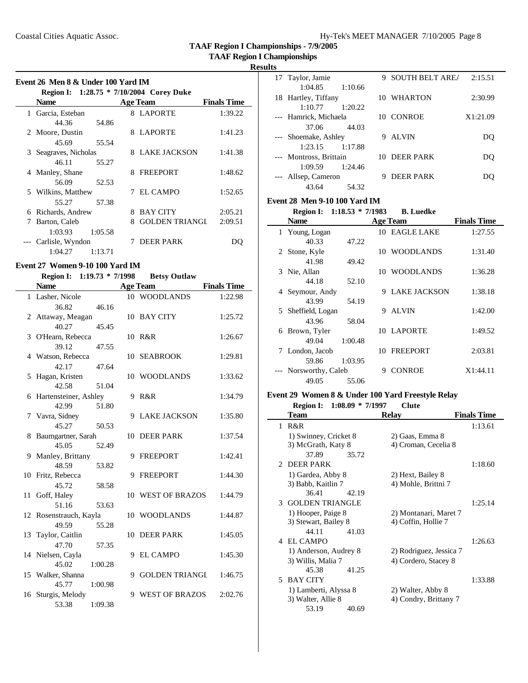**TAAF Region I Championships**

### **Results**

 $\overline{\phantom{0}}$ 

| Event 26 Men 8 & Under 100 Yard IM |                     |         |   |                                          |                    |
|------------------------------------|---------------------|---------|---|------------------------------------------|--------------------|
|                                    |                     |         |   | Region I: 1:28.75 * 7/10/2004 Corey Duke |                    |
|                                    | <b>Name</b>         |         |   | <b>Age Team</b>                          | <b>Finals Time</b> |
| 1                                  | Garcia, Esteban     |         |   | 8 LAPORTE                                | 1:39.22            |
|                                    | 44.36               | 54.86   |   |                                          |                    |
|                                    | 2 Moore, Dustin     |         | 8 | LAPORTE                                  | 1:41.23            |
|                                    | 45.69               | 55.54   |   |                                          |                    |
| 3                                  | Seagraves, Nicholas |         | 8 | LAKE JACKSON                             | 1:41.38            |
|                                    | 46.11               | 55.27   |   |                                          |                    |
|                                    | 4 Manley, Shane     |         | 8 | <b>FREEPORT</b>                          | 1:48.62            |
|                                    | 56.09               | 52.53   |   |                                          |                    |
|                                    | 5 Wilkins, Matthew  |         | 7 | EL CAMPO                                 | 1:52.65            |
|                                    | 55.27               | 57.38   |   |                                          |                    |
| 6                                  | Richards, Andrew    |         | 8 | <b>BAY CITY</b>                          | 2:05.21            |
| 7                                  | Barton, Caleb       |         | 8 | <b>GOLDEN TRIANGI</b>                    | 2:09.51            |
|                                    | 1:03.93             | 1:05.58 |   |                                          |                    |
|                                    | Carlisle, Wyndon    |         |   | <b>DEER PARK</b>                         | DO                 |
|                                    | 1:04.27             | 1:13.71 |   |                                          |                    |

# **Event 27 Women 9-10 100 Yard IM**

| <b>Region I:</b>        | $1:19.73 * 7/1998$ |    | <b>Betsy Outlaw</b> |                    |
|-------------------------|--------------------|----|---------------------|--------------------|
| <b>Name</b>             |                    |    | <b>Age Team</b>     | <b>Finals Time</b> |
| 1 Lasher, Nicole        |                    |    | 10 WOODLANDS        | 1:22.98            |
| 36.82                   | 46.16              |    |                     |                    |
| 2 Attaway, Meagan       |                    |    | 10 BAY CITY         | 1:25.72            |
| 40.27                   | 45.45              |    |                     |                    |
| 3 O'Hearn, Rebecca      |                    |    | 10 R&R              | 1:26.67            |
| 39.12                   | 47.55              |    |                     |                    |
| 4 Watson, Rebecca       |                    |    | 10 SEABROOK         | 1:29.81            |
| 42.17                   | 47.64              |    |                     |                    |
| 5 Hagan, Kristen        |                    |    | 10 WOODLANDS        | 1:33.62            |
| 42.58                   | 51.04              |    |                     |                    |
| 6 Hartensteiner, Ashley |                    |    | 9 R&R               | 1:34.79            |
| 42.99                   | 51.80              |    |                     |                    |
| 7 Vavra, Sidney         |                    | 9  | <b>LAKE JACKSON</b> | 1:35.80            |
| 45.27                   | 50.53              |    |                     |                    |
| 8 Baumgartner, Sarah    |                    |    | 10 DEER PARK        | 1:37.54            |
| 45.05                   | 52.49              |    |                     |                    |
| 9 Manley, Brittany      |                    |    | 9 FREEPORT          | 1:42.41            |
| 48.59                   | 53.82              |    |                     |                    |
| 10 Fritz, Rebecca       |                    |    | 9 FREEPORT          | 1:44.30            |
| 45.72                   | 58.58              |    |                     |                    |
| 11 Goff, Haley          |                    |    | 10 WEST OF BRAZOS   | 1:44.79            |
| 51.16                   | 53.63              |    |                     |                    |
| 12 Rosenstrauch, Kayla  |                    |    | 10 WOODLANDS        | 1:44.87            |
| 49.59                   | 55.28              |    |                     |                    |
| 13 Taylor, Caitlin      |                    | 10 | <b>DEER PARK</b>    | 1:45.05            |
| 47.70                   | 57.35              |    |                     |                    |
| 14 Nielsen, Cayla       |                    |    | 9 EL CAMPO          | 1:45.30            |
| 45.02                   | 1:00.28            |    |                     |                    |
| 15 Walker, Shanna       |                    |    | 9 GOLDEN TRIANGL    | 1:46.75            |
| 45.77                   | 1:00.98            |    |                     |                    |
| 16 Sturgis, Melody      |                    | 9  | WEST OF BRAZOS      | 2:02.76            |
| 53.38                   | 1:09.38            |    |                     |                    |

| 17 Taylor, Jamie       | <b>SOUTH BELT AREA</b><br>9 | 2:15.51  |
|------------------------|-----------------------------|----------|
| 1:04.85<br>1:10.66     |                             |          |
| 18 Hartley, Tiffany    | 10 WHARTON                  | 2:30.99  |
| 1:10.77<br>1:20.22     |                             |          |
| --- Hamrick, Michaela  | 10 CONROE                   | X1:21.09 |
| 37.06<br>44.03         |                             |          |
| --- Shoemake, Ashley   | AL VIN<br>9                 | DΟ       |
| 1:17.88<br>1:23.15     |                             |          |
| --- Montross, Brittain | 10 DEER PARK                | DO       |
| 1:24.46<br>1:09.59     |                             |          |
| Allsep, Cameron        | DEER PARK                   |          |
| 54.32<br>43.64         |                             |          |

### **Event 28 Men 9-10 100 Yard IM**

|   | <b>Region I:</b>  | $1:18.53 * 7/1983$ |    | <b>B.</b> Luedke    |                    |
|---|-------------------|--------------------|----|---------------------|--------------------|
|   | <b>Name</b>       |                    |    | <b>Age Team</b>     | <b>Finals Time</b> |
|   | 1 Young, Logan    |                    |    | 10 EAGLE LAKE       | 1:27.55            |
|   | 40.33             | 47.22              |    |                     |                    |
|   | 2 Stone, Kyle     |                    |    | 10 WOODLANDS        | 1:31.40            |
|   | 41.98             | 49.42              |    |                     |                    |
|   | 3 Nie, Allan      |                    |    | 10 WOODLANDS        | 1:36.28            |
|   | 44.18             | 52.10              |    |                     |                    |
|   | 4 Seymour, Andy   |                    | 9  | <b>LAKE JACKSON</b> | 1:38.18            |
|   | 43.99             | 54.19              |    |                     |                    |
| 5 | Sheffield, Logan  |                    | 9  | <b>ALVIN</b>        | 1:42.00            |
|   | 43.96             | 58.04              |    |                     |                    |
| 6 | Brown, Tyler      |                    |    | 10 LAPORTE          | 1:49.52            |
|   | 49.04             | 1:00.48            |    |                     |                    |
| 7 | London, Jacob     |                    | 10 | <b>FREEPORT</b>     | 2:03.81            |
|   | 59.86             | 1:03.95            |    |                     |                    |
|   | Norsworthy, Caleb |                    | 9  | <b>CONROE</b>       | X1:44.11           |
|   | 49.05             | 55.06              |    |                     |                    |

# **Event 29 Women 8 & Under 100 Yard Freestyle Relay**

**Region I: 1:08.09 \* 7/1997 Clute**

|                             | Team                     | <b>Relay</b>            | <b>Finals Time</b> |
|-----------------------------|--------------------------|-------------------------|--------------------|
| 1                           | R&R                      |                         | 1:13.61            |
|                             | 1) Swinney, Cricket 8    | 2) Gaas, Emma 8         |                    |
|                             | 3) McGrath, Katy 8       | 4) Croman, Cecelia 8    |                    |
|                             | 37.89<br>35.72           |                         |                    |
| $\mathcal{D}_{\mathcal{L}}$ | <b>DEER PARK</b>         |                         | 1:18.60            |
|                             | 1) Gardea, Abby 8        | 2) Hext, Bailey 8       |                    |
|                             | 3) Babb, Kaitlin 7       | 4) Mohle, Brittni 7     |                    |
|                             | 36.41<br>42.19           |                         |                    |
|                             | <b>3 GOLDEN TRIANGLE</b> |                         | 1:25.14            |
|                             | 1) Hooper, Paige 8       | 2) Montanari, Maret 7   |                    |
|                             | 3) Stewart, Bailey 8     | 4) Coffin, Hollie 7     |                    |
|                             | 44.11<br>41.03           |                         |                    |
|                             | 4 EL CAMPO               |                         | 1:26.63            |
|                             | 1) Anderson, Audrey 8    | 2) Rodriguez, Jessica 7 |                    |
|                             | 3) Willis, Malia 7       | 4) Cordero, Stacey 8    |                    |
|                             | 45.38<br>41.25           |                         |                    |
| 5.                          | <b>BAY CITY</b>          |                         | 1:33.88            |
|                             | 1) Lamberti, Alyssa 8    | 2) Walter, Abby 8       |                    |
|                             | 3) Walter, Allie 8       | 4) Condry, Brittany 7   |                    |
|                             | 53.19<br>40.69           |                         |                    |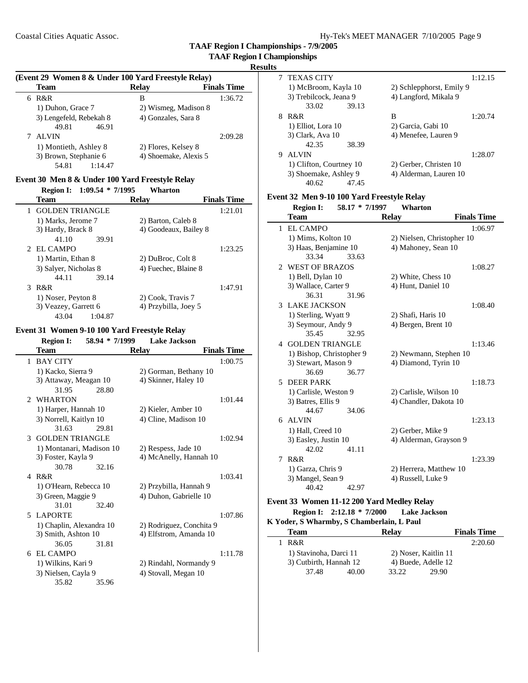**TAAF Region I Championships - 7/9/2005**

### **Results**

### **(Event 29 Women 8 & Under 100 Yard Freestyle Relay)**

| Team                    | <b>Relay</b>          | <b>Finals Time</b> |
|-------------------------|-----------------------|--------------------|
| R&R<br>6                | в                     | 1:36.72            |
| 1) Duhon, Grace 7       | 2) Wismeg, Madison 8  |                    |
| 3) Lengefeld, Rebekah 8 | 4) Gonzales, Sara 8   |                    |
| 49.81<br>46.91          |                       |                    |
| <b>ALVIN</b>            |                       | 2:09.28            |
| 1) Montieth, Ashley 8   | 2) Flores, Kelsey 8   |                    |
| 3) Brown, Stephanie 6   | 4) Shoemake, Alexis 5 |                    |
| 54.81<br>1:14.47        |                       |                    |

### **Event 30 Men 8 & Under 100 Yard Freestyle Relay**

| $1:09.54 * 7/1995$<br><b>Region I:</b> | <b>Wharton</b>                     |
|----------------------------------------|------------------------------------|
| Team                                   | <b>Finals Time</b><br><b>Relav</b> |
| <b>GOLDEN TRIANGLE</b>                 | 1:21.01                            |
| 1) Marks, Jerome 7                     | 2) Barton, Caleb 8                 |
| 3) Hardy, Brack 8                      | 4) Goodeaux, Bailey 8              |
| 41.10<br>39.91                         |                                    |
| 2 EL CAMPO                             | 1:23.25                            |
| 1) Martin, Ethan 8                     | 2) DuBroc, Colt 8                  |
| 3) Salver, Nicholas 8                  | 4) Fuechec, Blaine 8               |
| 39.14<br>44.11                         |                                    |
| R&R<br>3                               | 1:47.91                            |
| 1) Noser, Peyton 8                     | 2) Cook, Travis 7                  |
| 3) Veazey, Garrett 6                   | 4) Przybilla, Joey 5               |
| 1:04.87<br>43.04                       |                                    |

### **Event 31 Women 9-10 100 Yard Freestyle Relay**

| <b>Region I:</b> | $58.94 * 7/1999$ | <b>Lake Jackson</b> |
|------------------|------------------|---------------------|

| $\ldots$                 |       |                          |                    |
|--------------------------|-------|--------------------------|--------------------|
| Team                     |       | <b>Relay</b>             | <b>Finals Time</b> |
| <b>BAY CITY</b><br>1     |       |                          | 1:00.75            |
| 1) Kacko, Sierra 9       |       | 2) Gorman, Bethany 10    |                    |
| 3) Attaway, Meagan 10    |       | 4) Skinner, Haley 10     |                    |
| 31.95                    | 28.80 |                          |                    |
| 2 WHARTON                |       |                          | 1:01.44            |
| 1) Harper, Hannah 10     |       | 2) Kieler, Amber 10      |                    |
| 3) Norrell, Kaitlyn 10   |       | 4) Cline, Madison 10     |                    |
| 31.63                    | 29.81 |                          |                    |
| 3 GOLDEN TRIANGLE        |       |                          | 1:02.94            |
| 1) Montanari, Madison 10 |       | 2) Respess, Jade 10      |                    |
| 3) Foster, Kayla 9       |       | 4) McAnelly, Hannah 10   |                    |
| 30.78                    | 32.16 |                          |                    |
| 4 R&R                    |       |                          | 1:03.41            |
| 1) O'Hearn, Rebecca 10   |       | 2) Przybilla, Hannah 9   |                    |
| 3) Green, Maggie 9       |       | 4) Duhon, Gabrielle 10   |                    |
| 31.01                    | 32.40 |                          |                    |
| 5 LAPORTE                |       |                          | 1:07.86            |
| 1) Chaplin, Alexandra 10 |       | 2) Rodriguez, Conchita 9 |                    |
| 3) Smith, Ashton 10      |       | 4) Elfstrom, Amanda 10   |                    |
| 36.05                    | 31.81 |                          |                    |
| <b>EL CAMPO</b><br>6     |       |                          | 1:11.78            |
| 1) Wilkins, Kari 9       |       | 2) Rindahl, Normandy 9   |                    |
| 3) Nielsen, Cayla 9      |       | 4) Stovall, Megan 10     |                    |
| 35.82                    | 35.96 |                          |                    |

|   | <b>TEXAS CITY</b>       |       |                          | 1:12.15 |
|---|-------------------------|-------|--------------------------|---------|
|   | 1) McBroom, Kayla 10    |       | 2) Schlepphorst, Emily 9 |         |
|   | 3) Trebilcock, Jeana 9  |       | 4) Langford, Mikala 9    |         |
|   | 33.02                   | 39.13 |                          |         |
| 8 | $R\&R$                  |       | в                        | 1:20.74 |
|   | 1) Elliot, Lora 10      |       | 2) Garcia, Gabi 10       |         |
|   | 3) Clark, Ava 10        |       | 4) Menefee, Lauren 9     |         |
|   | 42.35                   | 38.39 |                          |         |
| 9 | ALVIN                   |       |                          | 1:28.07 |
|   | 1) Clifton, Courtney 10 |       | 2) Gerber, Christen 10   |         |
|   | 3) Shoemake, Ashley 9   |       | 4) Alderman, Lauren 10   |         |
|   | 40.62                   | 47.45 |                          |         |

# **Event 32 Men 9-10 100 Yard Freestyle Relay**

|    | <b>Region I:</b>         | 58.17 * 7/1997 | Wharton                    |                    |
|----|--------------------------|----------------|----------------------------|--------------------|
|    | Team                     |                | <b>Relay</b>               | <b>Finals Time</b> |
| 1. | <b>EL CAMPO</b>          |                |                            | 1:06.97            |
|    | 1) Mims, Kolton 10       |                | 2) Nielsen, Christopher 10 |                    |
|    | 3) Haas, Benjamine 10    |                | 4) Mahoney, Sean 10        |                    |
|    | 33.34                    | 33.63          |                            |                    |
|    | 2 WEST OF BRAZOS         |                |                            | 1:08.27            |
|    | 1) Bell, Dylan 10        |                | 2) White, Chess 10         |                    |
|    | 3) Wallace, Carter 9     |                | 4) Hunt, Daniel 10         |                    |
|    | 36.31                    | 31.96          |                            |                    |
|    | <b>3 LAKE JACKSON</b>    |                |                            | 1:08.40            |
|    | 1) Sterling, Wyatt 9     |                | 2) Shafi, Haris 10         |                    |
|    | 3) Seymour, Andy 9       |                | 4) Bergen, Brent 10        |                    |
|    | 35.45                    | 32.95          |                            |                    |
|    | <b>4 GOLDEN TRIANGLE</b> |                |                            | 1:13.46            |
|    | 1) Bishop, Christopher 9 |                | 2) Newmann, Stephen 10     |                    |
|    | 3) Stewart, Mason 9      |                | 4) Diamond, Tyrin 10       |                    |
|    | 36.69                    | 36.77          |                            |                    |
| 5. | <b>DEER PARK</b>         |                |                            | 1:18.73            |
|    | 1) Carlisle, Weston 9    |                | 2) Carlisle, Wilson 10     |                    |
|    | 3) Batres, Ellis 9       |                | 4) Chandler, Dakota 10     |                    |
|    | 44.67                    | 34.06          |                            |                    |
|    | 6 ALVIN                  |                |                            | 1:23.13            |
|    | 1) Hall, Creed 10        |                | 2) Gerber, Mike 9          |                    |
|    | 3) Easley, Justin 10     |                | 4) Alderman, Grayson 9     |                    |
|    | 42.02                    | 41.11          |                            |                    |
| 7  | R&R                      |                |                            | 1:23.39            |
|    | 1) Garza, Chris 9        |                | 2) Herrera, Matthew 10     |                    |
|    | 3) Mangel, Sean 9        |                | 4) Russell, Luke 9         |                    |
|    | 40.42                    | 42.97          |                            |                    |

# **Event 33 Women 11-12 200 Yard Medley Relay**

### **Region I: 2:12.18 \* 7/2000 Lake Jackson**

 $\overline{\phantom{0}}$ 

| K Yoder, S Wharmby, S Chamberlain, L Paul |                        |                |                      |                    |  |  |
|-------------------------------------------|------------------------|----------------|----------------------|--------------------|--|--|
| Team                                      |                        | <b>Relay</b>   |                      | <b>Finals Time</b> |  |  |
| R&R<br>$\mathbf{I}$                       |                        |                |                      | 2:20.60            |  |  |
|                                           | 1) Stavinoha, Darci 11 |                | 2) Noser, Kaitlin 11 |                    |  |  |
|                                           | 3) Cutbirth, Hannah 12 |                | 4) Buede, Adelle 12  |                    |  |  |
|                                           | 37.48                  | 33.22<br>40.00 | 29.90                |                    |  |  |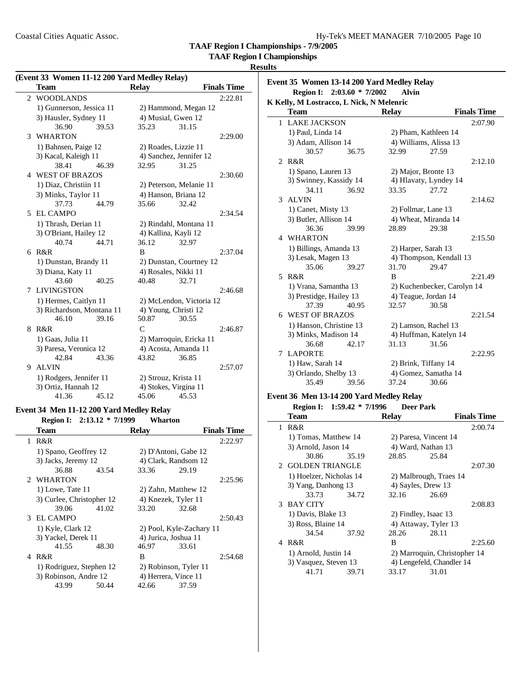### **TAAF Region I Championships**

### **Results**

 $\overline{\phantom{0}}$ 

|    | Event 33 Women 11-12 200 Yard Medley Relay) |       |                       |                          |                    |
|----|---------------------------------------------|-------|-----------------------|--------------------------|--------------------|
|    | <b>Team</b>                                 |       | <b>Relay</b>          |                          | <b>Finals Time</b> |
| 2  | <b>WOODLANDS</b>                            |       |                       |                          | 2:22.81            |
|    | 1) Gunnerson, Jessica 11                    |       |                       | 2) Hammond, Megan 12     |                    |
|    | 3) Hausler, Sydney 11                       |       | 4) Musial, Gwen 12    |                          |                    |
|    | 36.90                                       | 39.53 | 35.23                 | 31.15                    |                    |
| 3  | <b>WHARTON</b>                              |       |                       |                          | 2:29.00            |
|    | 1) Bahnsen, Paige 12                        |       | 2) Roades, Lizzie 11  |                          |                    |
|    | 3) Kacal, Kaleigh 11                        |       |                       | 4) Sanchez, Jennifer 12  |                    |
|    | 38.41                                       | 46.39 | 32.95                 | 31.25                    |                    |
|    | 4 WEST OF BRAZOS                            |       |                       |                          | 2:30.60            |
|    | 1) Diaz, Christiin 11                       |       |                       | 2) Peterson, Melanie 11  |                    |
|    | 3) Minks, Taylor 11                         |       | 4) Hanson, Briana 12  |                          |                    |
|    | 37.73                                       | 44.79 | 35.66                 | 32.42                    |                    |
|    | 5 EL CAMPO                                  |       |                       |                          | 2:34.54            |
|    | 1) Thrash, Derian 11                        |       |                       | 2) Rindahl, Montana 11   |                    |
|    | 3) O'Briant, Hailey 12                      |       | 4) Kallina, Kayli 12  |                          |                    |
|    | 40.74                                       | 44.71 | 36.12                 | 32.97                    |                    |
|    | $6$ R&R                                     |       | B                     |                          | 2:37.04            |
|    | 1) Dunstan, Brandy 11                       |       |                       | 2) Dunstan, Courtney 12  |                    |
|    | 3) Diana, Katy 11                           |       | 4) Rosales, Nikki 11  |                          |                    |
|    | 43.60                                       | 40.25 | 40.48                 | 32.71                    |                    |
|    | 7 LIVINGSTON                                |       |                       |                          | 2:46.68            |
|    | 1) Hermes, Caitlyn 11                       |       |                       | 2) McLendon, Victoria 12 |                    |
|    | 3) Richardson, Montana 11                   |       | 4) Young, Christi 12  |                          |                    |
|    | 46.10                                       | 39.16 | 50.87                 | 30.55                    |                    |
| 8  | R&R                                         |       | $\mathcal{C}$         |                          | 2:46.87            |
|    | 1) Gaas, Julia 11                           |       |                       | 2) Marroquin, Ericka 11  |                    |
|    | 3) Paresa, Veronica 12                      |       | 4) Acosta, Amanda 11  |                          |                    |
|    | 42.84                                       | 43.36 | 43.82                 | 36.85                    |                    |
| 9. | <b>ALVIN</b>                                |       |                       |                          | 2:57.07            |
|    | 1) Rodgers, Jennifer 11                     |       | 2) Strouz, Krista 11  |                          |                    |
|    | 3) Ortiz, Hannah 12                         |       | 4) Stokes, Virgina 11 |                          |                    |
|    | 41.36                                       | 45.12 | 45.06                 | 45.53                    |                    |

#### **Event 34 Men 11-12 200 Yard Medley Relay**

### **Region I: 2:13.12 \* 7/1999 Wharton Team Relay Finals Time** 1 R&R 2:22.97 1) Spano, Geoffrey 12 2) D'Antoni, Gabe 12<br>
3) Jacks, Jeremy 12 4) Clark, Randsom 12 4) Clark, Randsom 12 36.88 43.54 33.36 29.19 2 WHARTON 2:25.96 1) Lowe, Tate 11 2) Zahn, Matthew 12 3) Curlee, Christopher 12 4) Knezek, Tyler 11<br>39.06 41.02 33.20 32.68 33.20 3 EL CAMPO 2:50.43 1) Kyle, Clark 12 2) Pool, Kyle-Zachary 11 3) Yackel, Derek 11 4) Jurica, Joshua 11 41.55 48.30 46.97 33.61 4 R&R B 2:54.68 1) Rodriguez, Stephen 12 2) Robinson, Tyler 11 3) Robinson, Andre 12 4) Herrera, Vince 11 43.99 50.44 42.66 37.59

| Event 35 Women 13-14 200 Yard Medley Relay |       |                                                                                                                                                                                                                                                                                                                                                            |                                                                        |                                                                                                                                                                                                                                                                                                                                           |  |  |  |  |
|--------------------------------------------|-------|------------------------------------------------------------------------------------------------------------------------------------------------------------------------------------------------------------------------------------------------------------------------------------------------------------------------------------------------------------|------------------------------------------------------------------------|-------------------------------------------------------------------------------------------------------------------------------------------------------------------------------------------------------------------------------------------------------------------------------------------------------------------------------------------|--|--|--|--|
|                                            |       |                                                                                                                                                                                                                                                                                                                                                            |                                                                        |                                                                                                                                                                                                                                                                                                                                           |  |  |  |  |
|                                            |       |                                                                                                                                                                                                                                                                                                                                                            |                                                                        |                                                                                                                                                                                                                                                                                                                                           |  |  |  |  |
| <b>Team</b>                                |       | <b>Relay</b>                                                                                                                                                                                                                                                                                                                                               |                                                                        | <b>Finals Time</b>                                                                                                                                                                                                                                                                                                                        |  |  |  |  |
|                                            |       |                                                                                                                                                                                                                                                                                                                                                            |                                                                        | 2:07.90                                                                                                                                                                                                                                                                                                                                   |  |  |  |  |
|                                            |       |                                                                                                                                                                                                                                                                                                                                                            |                                                                        |                                                                                                                                                                                                                                                                                                                                           |  |  |  |  |
|                                            |       |                                                                                                                                                                                                                                                                                                                                                            |                                                                        |                                                                                                                                                                                                                                                                                                                                           |  |  |  |  |
| 30.57                                      | 36.75 | 32.99                                                                                                                                                                                                                                                                                                                                                      | 27.59                                                                  |                                                                                                                                                                                                                                                                                                                                           |  |  |  |  |
| 2 R&R                                      |       |                                                                                                                                                                                                                                                                                                                                                            |                                                                        | 2:12.10                                                                                                                                                                                                                                                                                                                                   |  |  |  |  |
|                                            |       |                                                                                                                                                                                                                                                                                                                                                            |                                                                        |                                                                                                                                                                                                                                                                                                                                           |  |  |  |  |
|                                            |       |                                                                                                                                                                                                                                                                                                                                                            |                                                                        |                                                                                                                                                                                                                                                                                                                                           |  |  |  |  |
| 34.11                                      | 36.92 | 33.35                                                                                                                                                                                                                                                                                                                                                      | 27.72                                                                  |                                                                                                                                                                                                                                                                                                                                           |  |  |  |  |
| 3 ALVIN                                    |       |                                                                                                                                                                                                                                                                                                                                                            |                                                                        | 2:14.62                                                                                                                                                                                                                                                                                                                                   |  |  |  |  |
|                                            |       |                                                                                                                                                                                                                                                                                                                                                            |                                                                        |                                                                                                                                                                                                                                                                                                                                           |  |  |  |  |
|                                            |       |                                                                                                                                                                                                                                                                                                                                                            |                                                                        |                                                                                                                                                                                                                                                                                                                                           |  |  |  |  |
| 36.36                                      | 39.99 | 28.89                                                                                                                                                                                                                                                                                                                                                      | 29.38                                                                  |                                                                                                                                                                                                                                                                                                                                           |  |  |  |  |
| 4 WHARTON                                  |       |                                                                                                                                                                                                                                                                                                                                                            |                                                                        | 2:15.50                                                                                                                                                                                                                                                                                                                                   |  |  |  |  |
|                                            |       |                                                                                                                                                                                                                                                                                                                                                            |                                                                        |                                                                                                                                                                                                                                                                                                                                           |  |  |  |  |
|                                            |       |                                                                                                                                                                                                                                                                                                                                                            |                                                                        |                                                                                                                                                                                                                                                                                                                                           |  |  |  |  |
| 35.06                                      | 39.27 | 31.70                                                                                                                                                                                                                                                                                                                                                      | 29.47                                                                  |                                                                                                                                                                                                                                                                                                                                           |  |  |  |  |
| 5 R&R                                      |       | R                                                                                                                                                                                                                                                                                                                                                          |                                                                        | 2:21.49                                                                                                                                                                                                                                                                                                                                   |  |  |  |  |
|                                            |       |                                                                                                                                                                                                                                                                                                                                                            | 2) Kuchenbecker, Carolyn 14                                            |                                                                                                                                                                                                                                                                                                                                           |  |  |  |  |
|                                            |       |                                                                                                                                                                                                                                                                                                                                                            |                                                                        |                                                                                                                                                                                                                                                                                                                                           |  |  |  |  |
| 37.39                                      | 40.95 | 32.57                                                                                                                                                                                                                                                                                                                                                      | 30.58                                                                  |                                                                                                                                                                                                                                                                                                                                           |  |  |  |  |
|                                            |       |                                                                                                                                                                                                                                                                                                                                                            |                                                                        | 2:21.54                                                                                                                                                                                                                                                                                                                                   |  |  |  |  |
|                                            |       |                                                                                                                                                                                                                                                                                                                                                            |                                                                        |                                                                                                                                                                                                                                                                                                                                           |  |  |  |  |
| 3) Minks, Madison 14                       |       |                                                                                                                                                                                                                                                                                                                                                            |                                                                        |                                                                                                                                                                                                                                                                                                                                           |  |  |  |  |
| 36.68                                      | 42.17 | 31.13                                                                                                                                                                                                                                                                                                                                                      | 31.56                                                                  |                                                                                                                                                                                                                                                                                                                                           |  |  |  |  |
| <b>LAPORTE</b>                             |       |                                                                                                                                                                                                                                                                                                                                                            |                                                                        | 2:22.95                                                                                                                                                                                                                                                                                                                                   |  |  |  |  |
|                                            |       |                                                                                                                                                                                                                                                                                                                                                            |                                                                        |                                                                                                                                                                                                                                                                                                                                           |  |  |  |  |
|                                            |       |                                                                                                                                                                                                                                                                                                                                                            |                                                                        |                                                                                                                                                                                                                                                                                                                                           |  |  |  |  |
| 35.49                                      | 39.56 | 37.24                                                                                                                                                                                                                                                                                                                                                      | 30.66                                                                  |                                                                                                                                                                                                                                                                                                                                           |  |  |  |  |
|                                            |       | 1 LAKE JACKSON<br>1) Paul, Linda 14<br>3) Adam, Allison 14<br>1) Spano, Lauren 13<br>3) Swinney, Kassidy 14<br>1) Canet, Misty 13<br>3) Butler, Allison 14<br>1) Billings, Amanda 13<br>3) Lesak, Magen 13<br>1) Vrana, Samantha 13<br>3) Prestidge, Hailey 13<br>6 WEST OF BRAZOS<br>1) Hanson, Christine 13<br>1) Haw, Sarah 14<br>3) Orlando, Shelby 13 | Region I: 2:03.60 * 7/2002<br>K Kelly, M Lostracco, L Nick, N Melenric | <b>Alvin</b><br>2) Pham, Kathleen 14<br>4) Williams, Alissa 13<br>2) Major, Bronte 13<br>4) Hlavaty, Lyndey 14<br>2) Follmar, Lane 13<br>4) Wheat, Miranda 14<br>2) Harper, Sarah 13<br>4) Thompson, Kendall 13<br>4) Teague, Jordan 14<br>2) Lamson, Rachel 13<br>4) Huffman, Katelyn 14<br>2) Brink, Tiffany 14<br>4) Gomez, Samatha 14 |  |  |  |  |

# **Event 36 Men 13-14 200 Yard Medley Relay**

|   | Region I: 1:59.42 * 7/1996 |       | <b>Deer Park</b>      |                              |                    |
|---|----------------------------|-------|-----------------------|------------------------------|--------------------|
|   | <b>Team</b>                |       | <b>Relay</b>          |                              | <b>Finals Time</b> |
| 1 | R&R                        |       |                       |                              | 2:00.74            |
|   | 1) Tomas, Matthew 14       |       | 2) Paresa, Vincent 14 |                              |                    |
|   | 3) Arnold, Jason 14        |       | 4) Ward, Nathan 13    |                              |                    |
|   | 30.86                      | 35.19 | 28.85                 | 25.84                        |                    |
|   | 2 GOLDEN TRIANGLE          |       |                       |                              | 2:07.30            |
|   | 1) Hoelzer, Nicholas 14    |       |                       | 2) Malbrough, Traes 14       |                    |
|   | 3) Yang, Danhong 13        |       | 4) Sayles, Drew 13    |                              |                    |
|   | 33.73                      | 34.72 | 32.16                 | 26.69                        |                    |
|   | 3 BAY CITY                 |       |                       |                              | 2:08.83            |
|   | 1) Davis, Blake 13         |       | 2) Findley, Isaac 13  |                              |                    |
|   | 3) Ross, Blaine 14         |       | 4) Attaway, Tyler 13  |                              |                    |
|   | 34.54                      | 37.92 | 28.26                 | 28.11                        |                    |
|   | 4 R&R                      |       | B                     |                              | 2:25.60            |
|   | 1) Arnold, Justin 14       |       |                       | 2) Marroquin, Christopher 14 |                    |
|   | 3) Vasquez, Steven 13      |       |                       | 4) Lengefeld, Chandler 14    |                    |
|   | 41.71                      | 39.71 | 33.17                 | 31.01                        |                    |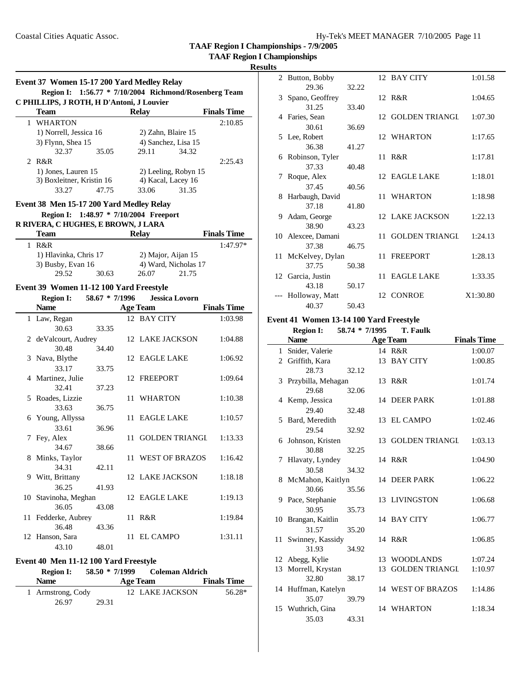**TAAF Region I Championships**

### **Results**

|    | Event 37 Women 15-17 200 Yard Medley Relay |                |      |                                             |                    |
|----|--------------------------------------------|----------------|------|---------------------------------------------|--------------------|
|    | <b>Region I:</b>                           |                |      | 1:56.77 * 7/10/2004 Richmond/Rosenberg Team |                    |
|    | C PHILLIPS, J ROTH, H D'Antoni, J Louvier  |                |      |                                             |                    |
|    | <b>Team</b>                                |                |      | <b>Relay</b>                                | <b>Finals Time</b> |
|    | 1 WHARTON                                  |                |      |                                             | 2:10.85            |
|    | 1) Norrell, Jessica 16                     |                |      | 2) Zahn, Blaire 15                          |                    |
|    | 3) Flynn, Shea 15                          |                |      | 4) Sanchez, Lisa 15                         |                    |
|    | 32.37                                      | 35.05          |      | 29.11<br>34.32                              |                    |
|    | 2 R&R                                      |                |      |                                             | 2:25.43            |
|    | 1) Jones, Lauren 15                        |                |      | 2) Leeling, Robyn 15                        |                    |
|    | 3) Boxleitner, Kristin 16                  |                |      | 4) Kacal, Lacey 16                          |                    |
|    | 33.27                                      | 47.75          |      | 33.06<br>31.35                              |                    |
|    | Event 38 Men 15-17 200 Yard Medley Relay   |                |      |                                             |                    |
|    |                                            |                |      |                                             |                    |
|    | Region I: 1:48.97 * 7/10/2004 Freeport     |                |      |                                             |                    |
|    | R RIVERA, C HUGHES, E BROWN, J LARA        |                |      |                                             |                    |
|    | <b>Team</b>                                |                |      | <b>Relay</b>                                | <b>Finals Time</b> |
|    | 1 R&R                                      |                |      |                                             | 1:47.97*           |
|    | 1) Hlavinka, Chris 17                      |                |      | 2) Major, Aijan 15                          |                    |
|    | 3) Busby, Evan 16                          |                |      | 4) Ward, Nicholas 17                        |                    |
|    | 29.52                                      | 30.63          |      | 26.07<br>21.75                              |                    |
|    | Event 39 Women 11-12 100 Yard Freestyle    |                |      |                                             |                    |
|    | <b>Region I:</b>                           | 58.67 * 7/1996 |      | <b>Jessica Lovorn</b>                       |                    |
|    | <b>Name</b>                                |                |      | <b>Age Team</b>                             | <b>Finals Time</b> |
|    |                                            |                |      | 12 BAY CITY                                 |                    |
|    | 1 Law, Regan                               |                |      |                                             | 1:03.98            |
|    | 30.63                                      | 33.35          |      |                                             |                    |
|    | 2 deValcourt, Audrey                       |                |      | 12 LAKE JACKSON                             | 1:04.88            |
|    | 30.48                                      | 34.40          |      |                                             |                    |
|    | 3 Nava, Blythe                             |                |      | 12 EAGLE LAKE                               | 1:06.92            |
|    | 33.17                                      | 33.75          |      |                                             |                    |
|    | 4 Martinez, Julie                          |                |      | 12 FREEPORT                                 | 1:09.64            |
|    | 32.41                                      | 37.23          |      |                                             |                    |
|    | 5 Roades, Lizzie                           |                |      | 11 WHARTON                                  | 1:10.38            |
|    | 33.63                                      | 36.75          |      |                                             |                    |
|    | 6 Young, Allyssa                           |                |      | 11 EAGLE LAKE                               | 1:10.57            |
|    | 33.61                                      | 36.96          |      |                                             |                    |
|    | 7 Fey, Alex                                |                | 11 - | <b>GOLDEN TRIANGL</b>                       | 1:13.33            |
|    | 34.67                                      | 38.66          |      |                                             |                    |
|    | 8 Minks, Taylor                            |                |      | 11 WEST OF BRAZOS                           | 1:16.42            |
|    | 34.31                                      | 42.11          |      |                                             |                    |
|    | 9 Witt, Brittany                           |                |      | 12 LAKE JACKSON                             | 1:18.18            |
|    |                                            |                |      |                                             |                    |
|    | 36.25                                      | 41.93          |      |                                             |                    |
| 10 | Stavinoha, Meghan                          |                |      | 12 EAGLE LAKE                               | 1:19.13            |
|    | 36.05                                      | 43.08          |      |                                             |                    |
| 11 | Fedderke, Aubrey                           |                | 11   | R&R                                         | 1:19.84            |
|    | 36.48                                      | 43.36          |      |                                             |                    |
|    | 12 Hanson, Sara                            |                |      | 11 EL CAMPO                                 | 1:31.11            |
|    | 43.10                                      | 48.01          |      |                                             |                    |

# **Event 40 Men 11-12 100 Yard Freestyle**

| <b>Region I:</b>  | $58.50 * 7/1999$ |          | Coleman Aldrich |                    |
|-------------------|------------------|----------|-----------------|--------------------|
| <b>Name</b>       |                  | Age Team |                 | <b>Finals Time</b> |
| 1 Armstrong, Cody |                  |          | 12 LAKE JACKSON | 56.28*             |
| 26.97             | 29.31            |          |                 |                    |

|   | 2 Button, Bobby    |       |     | 12 BAY CITY           | 1:01.58  |
|---|--------------------|-------|-----|-----------------------|----------|
|   | 29.36              | 32.22 |     |                       |          |
|   | 3 Spano, Geoffrey  |       |     | 12 R&R                | 1:04.65  |
|   | 31.25              | 33.40 |     |                       |          |
|   | 4 Faries, Sean     |       |     | 12 GOLDEN TRIANGL     | 1:07.30  |
|   | 30.61              | 36.69 |     |                       |          |
|   | 5 Lee, Robert      |       |     | 12 WHARTON            | 1:17.65  |
|   | 36.38              | 41.27 |     |                       |          |
|   | 6 Robinson, Tyler  |       |     | 11 R&R                | 1:17.81  |
|   | 37.33              | 40.48 |     |                       |          |
| 7 | Roque, Alex        |       |     | 12 EAGLE LAKE         | 1:18.01  |
|   | 37.45              | 40.56 |     |                       |          |
| 8 | Harbaugh, David    |       |     | 11 WHARTON            | 1:18.98  |
|   | 37.18              | 41.80 |     |                       |          |
| 9 | Adam, George       |       |     | 12 LAKE JACKSON       | 1:22.13  |
|   | 38.90              | 43.23 |     |                       |          |
|   | 10 Alexcee, Damani |       | 11. | <b>GOLDEN TRIANGL</b> | 1:24.13  |
|   | 37.38              | 46.75 |     |                       |          |
|   | 11 McKelvey, Dylan |       |     | 11 FREEPORT           | 1:28.13  |
|   | 37.75              | 50.38 |     |                       |          |
|   | 12 Garcia, Justin  |       |     | 11 EAGLE LAKE         | 1:33.35  |
|   | 43.18              | 50.17 |     |                       |          |
|   | --- Holloway, Matt |       |     | 12 CONROE             | X1:30.80 |
|   | 40.37              | 50.43 |     |                       |          |

# **Event 41 Women 13-14 100 Yard Freestyle**

|              | <b>Region I:</b>     |       | 58.74 * 7/1995 | <b>T. Faulk</b>       |                    |
|--------------|----------------------|-------|----------------|-----------------------|--------------------|
|              | <b>Name</b>          |       |                | <b>Age Team</b>       | <b>Finals Time</b> |
| $\mathbf{1}$ | Snider, Valerie      |       |                | 14 R&R                | 1:00.07            |
|              | 2 Griffith, Kara     |       |                | 13 BAY CITY           | 1:00.85            |
|              | 28.73                | 32.12 |                |                       |                    |
|              | 3 Przybilla, Mehagan |       |                | 13 R&R                | 1:01.74            |
|              | 29.68                | 32.06 |                |                       |                    |
|              | 4 Kemp, Jessica      |       |                | 14 DEER PARK          | 1:01.88            |
|              | 29.40                | 32.48 |                |                       |                    |
|              | 5 Bard, Meredith     |       |                | 13 EL CAMPO           | 1:02.46            |
|              | 29.54                | 32.92 |                |                       |                    |
|              | 6 Johnson, Kristen   |       |                | 13 GOLDEN TRIANGL     | 1:03.13            |
|              | 30.88                | 32.25 |                |                       |                    |
| 7            | Hlavaty, Lyndey      |       |                | 14 R&R                | 1:04.90            |
|              | 30.58                | 34.32 |                |                       |                    |
|              | 8 McMahon, Kaitlyn   |       |                | 14 DEER PARK          | 1:06.22            |
|              | 30.66                | 35.56 |                |                       |                    |
|              | 9 Pace, Stephanie    |       |                | 13 LIVINGSTON         | 1:06.68            |
|              | 30.95                | 35.73 |                |                       |                    |
|              | 10 Brangan, Kaitlin  |       |                | 14 BAY CITY           | 1:06.77            |
|              | 31.57                | 35.20 |                |                       |                    |
|              | 11 Swinney, Kassidy  |       |                | 14 R&R                | 1:06.85            |
|              | 31.93                | 34.92 |                |                       |                    |
|              | 12 Abegg, Kylie      |       |                | 13 WOODLANDS          | 1:07.24            |
|              | 13 Morrell, Krystan  |       | 13             | <b>GOLDEN TRIANGL</b> | 1:10.97            |
|              | 32.80                | 38.17 |                |                       |                    |
|              | 14 Huffman, Katelyn  |       |                | 14 WEST OF BRAZOS     | 1:14.86            |
|              | 35.07                | 39.79 |                |                       |                    |
|              | 15 Wuthrich, Gina    |       |                | 14 WHARTON            | 1:18.34            |
|              | 35.03                | 43.31 |                |                       |                    |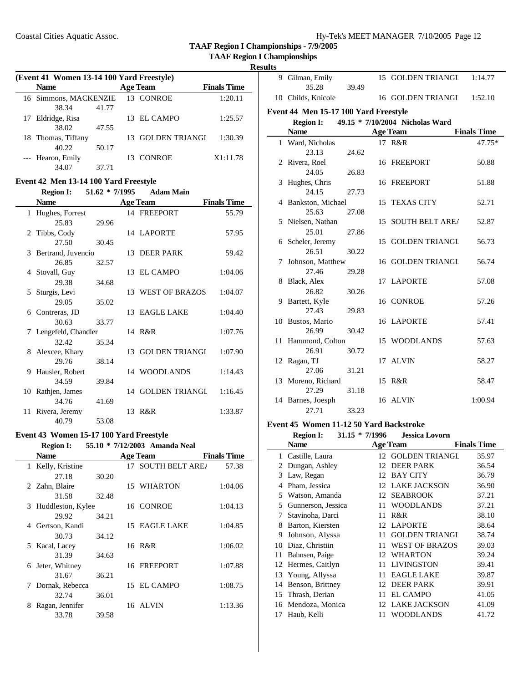**TAAF Region I Championships - 7/9/2005**

**TAAF Region I Championships**

| (Event 41 Women 13-14 100 Yard Freestyle) |       |                 |                       |                    |  |  |  |  |
|-------------------------------------------|-------|-----------------|-----------------------|--------------------|--|--|--|--|
| <b>Name</b>                               |       | <b>Age Team</b> |                       | <b>Finals Time</b> |  |  |  |  |
| 16 Simmons, MACKENZIE                     |       |                 | 13 CONROE             | 1:20.11            |  |  |  |  |
| 38.34                                     | 41.77 |                 |                       |                    |  |  |  |  |
| 17 Eldridge, Risa                         |       |                 | 13 EL CAMPO           | 1:25.57            |  |  |  |  |
| 38.02                                     | 47.55 |                 |                       |                    |  |  |  |  |
| 18 Thomas, Tiffany                        |       | 13              | <b>GOLDEN TRIANGL</b> | 1:30.39            |  |  |  |  |
| 40.22                                     | 50.17 |                 |                       |                    |  |  |  |  |
| --- Hearon, Emily                         |       |                 | 13 CONROE             | X1:11.78           |  |  |  |  |
| 34.07                                     | 37.71 |                 |                       |                    |  |  |  |  |

### **Event 42 Men 13-14 100 Yard Freestyle**

|              | <b>Region I:</b>      | $51.62 * 7/1995$ |    | <b>Adam Main</b>  |                    |
|--------------|-----------------------|------------------|----|-------------------|--------------------|
|              | <b>Name</b>           |                  |    | <b>Age Team</b>   | <b>Finals Time</b> |
| $\mathbf{1}$ | Hughes, Forrest       |                  |    | 14 FREEPORT       | 55.79              |
|              | 25.83                 | 29.96            |    |                   |                    |
|              | 2 Tibbs, Cody         |                  |    | 14 LAPORTE        | 57.95              |
|              | 27.50                 | 30.45            |    |                   |                    |
|              | 3 Bertrand, Juvencio  |                  |    | 13 DEER PARK      | 59.42              |
|              | 26.85                 | 32.57            |    |                   |                    |
|              | 4 Stovall, Guy        |                  |    | 13 EL CAMPO       | 1:04.06            |
|              | 29.38                 | 34.68            |    |                   |                    |
|              | 5 Sturgis, Levi       |                  |    | 13 WEST OF BRAZOS | 1:04.07            |
|              | 29.05                 | 35.02            |    |                   |                    |
|              | 6 Contreras, JD       |                  |    | 13 EAGLE LAKE     | 1:04.40            |
|              | 30.63                 | 33.77            |    |                   |                    |
|              | 7 Lengefeld, Chandler |                  |    | 14 R&R            | 1:07.76            |
|              | 32.42                 | 35.34            |    |                   |                    |
|              | 8 Alexcee, Khary      |                  |    | 13 GOLDEN TRIANGL | 1:07.90            |
|              | 29.76                 | 38.14            |    |                   |                    |
| 9            | Hausler, Robert       |                  |    | 14 WOODLANDS      | 1:14.43            |
|              | 34.59                 | 39.84            |    |                   |                    |
|              | 10 Rathjen, James     |                  |    | 14 GOLDEN TRIANGI | 1:16.45            |
|              | 34.76                 | 41.69            |    |                   |                    |
| 11.          | Rivera, Jeremy        |                  | 13 | R&R               | 1:33.87            |
|              | 40.79                 | 53.08            |    |                   |                    |

### **Event 43 Women 15-17 100 Yard Freestyle**

### **Region I: 55.10 \* 7/12/2003 Amanda Neal**

|   | <b>Name</b>         |       | <b>Age Team</b>    | <b>Finals Time</b> |
|---|---------------------|-------|--------------------|--------------------|
|   | 1 Kelly, Kristine   |       | 17 SOUTH BELT AREA | 57.38              |
|   | 27.18               | 30.20 |                    |                    |
|   | 2 Zahn, Blaire      |       | 15 WHARTON         | 1:04.06            |
|   | 31.58               | 32.48 |                    |                    |
|   | 3 Huddleston, Kylee |       | 16 CONROE          | 1:04.13            |
|   | 29.92               | 34.21 |                    |                    |
| 4 | Gertson, Kandi      |       | 15 EAGLE LAKE      | 1:04.85            |
|   | 30.73               | 34.12 |                    |                    |
|   | 5 Kacal, Lacey      |       | 16 R&R             | 1:06.02            |
|   | 31.39               | 34.63 |                    |                    |
| 6 | Jeter, Whitney      |       | 16 FREEPORT        | 1:07.88            |
|   | 31.67               | 36.21 |                    |                    |
| 7 | Dornak, Rebecca     |       | 15 EL CAMPO        | 1:08.75            |
|   | 32.74               | 36.01 |                    |                    |
| 8 | Ragan, Jennifer     |       | 16 ALVIN           | 1:13.36            |
|   | 33.78               | 39.58 |                    |                    |

| mıs |                                                     |       |  |                    |                    |  |  |  |  |  |
|-----|-----------------------------------------------------|-------|--|--------------------|--------------------|--|--|--|--|--|
|     | 9 Gilman, Emily<br>35.28                            | 39.49 |  | 15 GOLDEN TRIANGL  | 1:14.77            |  |  |  |  |  |
|     | 10 Childs, Knicole                                  |       |  | 16 GOLDEN TRIANGL  | 1:52.10            |  |  |  |  |  |
|     | Event 44 Men 15-17 100 Yard Freestyle               |       |  |                    |                    |  |  |  |  |  |
|     | 49.15 * 7/10/2004 Nicholas Ward<br><b>Region I:</b> |       |  |                    |                    |  |  |  |  |  |
|     | <b>Name</b>                                         |       |  | <b>Age Team</b>    | <b>Finals Time</b> |  |  |  |  |  |
|     | 1 Ward, Nicholas                                    |       |  | 17 R&R             | 47.75*             |  |  |  |  |  |
|     | 23.13                                               | 24.62 |  |                    |                    |  |  |  |  |  |
|     | 2 Rivera, Roel                                      |       |  | 16 FREEPORT        | 50.88              |  |  |  |  |  |
|     | 24.05                                               | 26.83 |  |                    |                    |  |  |  |  |  |
| 3   | Hughes, Chris                                       |       |  | 16 FREEPORT        | 51.88              |  |  |  |  |  |
|     | 24.15                                               | 27.73 |  |                    |                    |  |  |  |  |  |
|     | 4 Bankston, Michael                                 |       |  | 15 TEXAS CITY      | 52.71              |  |  |  |  |  |
|     | 25.63                                               | 27.08 |  |                    |                    |  |  |  |  |  |
|     | 5 Nielsen, Nathan                                   |       |  | 15 SOUTH BELT AREA | 52.87              |  |  |  |  |  |
|     | 25.01                                               | 27.86 |  |                    |                    |  |  |  |  |  |
|     | 6 Scheler, Jeremy                                   |       |  | 15 GOLDEN TRIANGL  | 56.73              |  |  |  |  |  |
|     | 26.51                                               | 30.22 |  |                    |                    |  |  |  |  |  |
|     | 7 Johnson, Matthew                                  |       |  | 16 GOLDEN TRIANGL  | 56.74              |  |  |  |  |  |
|     | 27.46                                               | 29.28 |  |                    |                    |  |  |  |  |  |
|     | 8 Black, Alex                                       |       |  | 17 LAPORTE         | 57.08              |  |  |  |  |  |
|     | 26.82                                               | 30.26 |  |                    |                    |  |  |  |  |  |
|     | 9 Bartett, Kyle                                     |       |  | 16 CONROE          | 57.26              |  |  |  |  |  |
|     | 27.43                                               | 29.83 |  |                    |                    |  |  |  |  |  |
|     | 10 Bustos, Mario                                    |       |  | 16 LAPORTE         | 57.41              |  |  |  |  |  |
|     | 26.99                                               | 30.42 |  |                    |                    |  |  |  |  |  |
|     | 11 Hammond, Colton                                  |       |  | 15 WOODLANDS       | 57.63              |  |  |  |  |  |
|     | 26.91                                               | 30.72 |  |                    |                    |  |  |  |  |  |
|     | 12 Ragan, TJ                                        |       |  | 17 ALVIN           | 58.27              |  |  |  |  |  |
|     | 27.06                                               | 31.21 |  |                    |                    |  |  |  |  |  |
|     | 13 Moreno, Richard                                  |       |  | 15 R&R             | 58.47              |  |  |  |  |  |
|     | 27.29                                               | 31.18 |  |                    |                    |  |  |  |  |  |
|     | 14 Barnes, Joesph                                   |       |  | 16 ALVIN           | 1:00.94            |  |  |  |  |  |
|     | 27.71                                               | 33.23 |  |                    |                    |  |  |  |  |  |

### **Event 45 Women 11-12 50 Yard Backstroke**

|    | <b>Region I:</b>   | $31.15 * 7/1996$ | <b>Jessica Lovorn</b> |                    |
|----|--------------------|------------------|-----------------------|--------------------|
|    | Name               |                  | <b>Age Team</b>       | <b>Finals Time</b> |
| 1  | Castille, Laura    |                  | 12 GOLDEN TRIANGL     | 35.97              |
| 2  | Dungan, Ashley     | 12               | <b>DEER PARK</b>      | 36.54              |
| 3  | Law, Regan         | 12               | BAY CITY              | 36.79              |
| 4  | Pham, Jessica      |                  | 12 LAKE JACKSON       | 36.90              |
| 5  | Watson, Amanda     |                  | 12 SEABROOK           | 37.21              |
| 5  | Gunnerson, Jessica | 11               | <b>WOODLANDS</b>      | 37.21              |
| 7  | Stavinoha, Darci   | 11               | R&R                   | 38.10              |
| 8  | Barton, Kiersten   | 12               | <b>LAPORTE</b>        | 38.64              |
| 9  | Johnson, Alyssa    | 11               | <b>GOLDEN TRIANGL</b> | 38.74              |
| 10 | Diaz, Christiin    | 11               | <b>WEST OF BRAZOS</b> | 39.03              |
| 11 | Bahnsen, Paige     | 12               | <b>WHARTON</b>        | 39.24              |
| 12 | Hermes, Caitlyn    | 11               | <b>LIVINGSTON</b>     | 39.41              |
|    | 13 Young, Allyssa  | 11               | <b>EAGLE LAKE</b>     | 39.87              |
| 14 | Benson, Brittney   | 12               | <b>DEER PARK</b>      | 39.91              |
| 15 | Thrash, Derian     | 11               | <b>EL CAMPO</b>       | 41.05              |
|    | 16 Mendoza, Monica | 12               | <b>LAKE JACKSON</b>   | 41.09              |
| 17 | Haub, Kelli        | 11               | <b>WOODLANDS</b>      | 41.72              |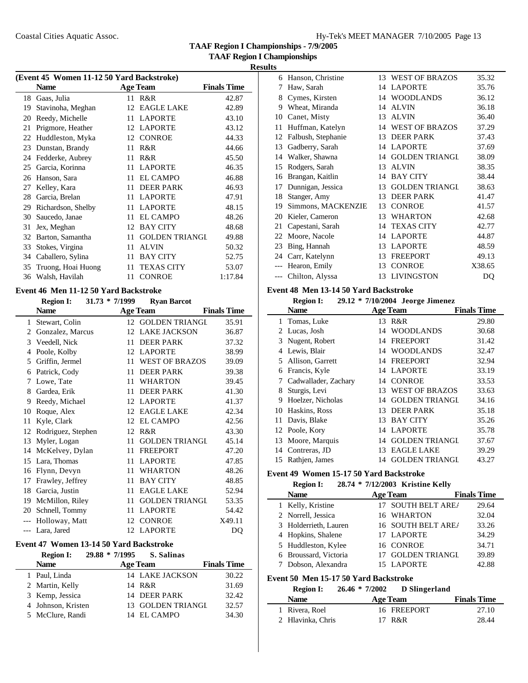|  | Hy-Tek's MEET MANAGER 7/10/2005 Page 13 |  |  |
|--|-----------------------------------------|--|--|
|  |                                         |  |  |

**TAAF Region I Championships - 7/9/2005**

**TAAF Region I Championships**

|    | (Event 45 Women 11-12 50 Yard Backstroke) |    |                       |                    |  |  |
|----|-------------------------------------------|----|-----------------------|--------------------|--|--|
|    | <b>Name</b>                               |    | <b>Age Team</b>       | <b>Finals Time</b> |  |  |
| 18 | Gaas, Julia                               | 11 | R&R                   | 42.87              |  |  |
| 19 | Stavinoha, Meghan                         |    | 12 EAGLE LAKE         | 42.89              |  |  |
| 20 | Reedy, Michelle                           |    | 11 LAPORTE            | 43.10              |  |  |
| 21 | Prigmore, Heather                         |    | 12 LAPORTE            | 43.12              |  |  |
| 22 | Huddleston, Myka                          | 12 | CONROE                | 44.33              |  |  |
| 23 | Dunstan, Brandy                           | 11 | R&R                   | 44.66              |  |  |
| 24 | Fedderke, Aubrey                          | 11 | R&R                   | 45.50              |  |  |
| 25 | Garcia, Korinna                           | 11 | <b>LAPORTE</b>        | 46.35              |  |  |
| 26 | Hanson, Sara                              | 11 | <b>EL CAMPO</b>       | 46.88              |  |  |
| 27 | Kelley, Kara                              | 11 | <b>DEER PARK</b>      | 46.93              |  |  |
| 28 | Garcia, Brelan                            | 11 | <b>LAPORTE</b>        | 47.91              |  |  |
| 29 | Richardson, Shelby                        |    | 11 LAPORTE            | 48.15              |  |  |
| 30 | Saucedo, Janae                            | 11 | <b>EL CAMPO</b>       | 48.26              |  |  |
| 31 | Jex, Meghan                               | 12 | <b>BAY CITY</b>       | 48.68              |  |  |
| 32 | Barton, Samantha                          | 11 | <b>GOLDEN TRIANGL</b> | 49.88              |  |  |
| 33 | Stokes, Virgina                           | 11 | <b>ALVIN</b>          | 50.32              |  |  |
| 34 | Caballero, Sylina                         | 11 | <b>BAY CITY</b>       | 52.75              |  |  |
| 35 | Truong, Hoai Huong                        | 11 | <b>TEXAS CITY</b>     | 53.07              |  |  |
| 36 | Walsh, Havilah                            | 11 | <b>CONROE</b>         | 1:17.84            |  |  |

# **Event 46 Men 11-12 50 Yard Backstroke**

|    | <b>Region I:</b>   | $31.73 * 7/1999$ | <b>Ryan Barcot</b>    |                    |
|----|--------------------|------------------|-----------------------|--------------------|
|    | <b>Name</b>        |                  | <b>Age Team</b>       | <b>Finals Time</b> |
| 1  | Stewart, Colin     | 12 <sup>1</sup>  | <b>GOLDEN TRIANGL</b> | 35.91              |
| 2  | Gonzalez, Marcus   | 12               | <b>LAKE JACKSON</b>   | 36.87              |
| 3  | Veedell, Nick      | 11               | <b>DEER PARK</b>      | 37.32              |
| 4  | Poole, Kolby       | 12               | <b>LAPORTE</b>        | 38.99              |
| 5  | Griffin, Jermel    | 11               | <b>WEST OF BRAZOS</b> | 39.09              |
| 6  | Patrick, Cody      | 11               | <b>DEER PARK</b>      | 39.38              |
| 7  | Lowe, Tate         | 11               | WHARTON               | 39.45              |
| 8  | Gardea, Erik       | 11               | <b>DEER PARK</b>      | 41.30              |
| 9  | Reedy, Michael     | 12               | <b>LAPORTE</b>        | 41.37              |
| 10 | Roque, Alex        | 12               | <b>EAGLE LAKE</b>     | 42.34              |
| 11 | Kyle, Clark        | 12               | <b>EL CAMPO</b>       | 42.56              |
| 12 | Rodriguez, Stephen | 12               | R&R                   | 43.30              |
| 13 | Myler, Logan       | 11               | <b>GOLDEN TRIANGL</b> | 45.14              |
| 14 | McKelvey, Dylan    | 11               | <b>FREEPORT</b>       | 47.20              |
| 15 | Lara, Thomas       | 11               | <b>LAPORTE</b>        | 47.85              |
| 16 | Flynn, Devyn       | 11               | <b>WHARTON</b>        | 48.26              |
| 17 | Frawley, Jeffrey   | 11               | <b>BAY CITY</b>       | 48.85              |
| 18 | Garcia, Justin     | 11               | <b>EAGLE LAKE</b>     | 52.94              |
| 19 | McMillon, Riley    | 11               | <b>GOLDEN TRIANGL</b> | 53.35              |
| 20 | Schnell, Tommy     | 11               | <b>LAPORTE</b>        | 54.42              |
|    | Holloway, Matt     | 12               | <b>CONROE</b>         | X49.11             |
|    | Lara, Jared        |                  | 12 LAPORTE            | DQ                 |

#### **Event 47 Women 13-14 50 Yard Backstroke**

| <b>Region I:</b>   | $29.88 * 7/1995$ | S. Salinas             |                    |
|--------------------|------------------|------------------------|--------------------|
| <b>Name</b>        |                  | <b>Age Team</b>        | <b>Finals Time</b> |
| 1 Paul, Linda      |                  | <b>14 LAKE JACKSON</b> | 30.22              |
| 2 Martin, Kelly    |                  | 14 R&R                 | 31.69              |
| 3 Kemp, Jessica    |                  | 14 DEER PARK           | 32.42              |
| 4 Johnson, Kristen |                  | 13 GOLDEN TRIANGL      | 32.57              |
| 5 McClure, Randi   |                  | 14 EL CAMPO            | 34.30              |

| 6     | Hanson, Christine  | 13 | <b>WEST OF BRAZOS</b> | 35.32  |
|-------|--------------------|----|-----------------------|--------|
| 7     | Haw, Sarah         | 14 | <b>LAPORTE</b>        | 35.76  |
| 8     | Cymes, Kirsten     | 14 | <b>WOODLANDS</b>      | 36.12  |
| 9     | Wheat, Miranda     | 14 | <b>ALVIN</b>          | 36.18  |
| 10    | Canet, Misty       | 13 | <b>ALVIN</b>          | 36.40  |
| 11    | Huffman, Katelyn   | 14 | <b>WEST OF BRAZOS</b> | 37.29  |
| 12    | Falbush, Stephanie | 13 | <b>DEER PARK</b>      | 37.43  |
| 13    | Gadberry, Sarah    | 14 | <b>LAPORTE</b>        | 37.69  |
| 14    | Walker, Shawna     | 14 | <b>GOLDEN TRIANGL</b> | 38.09  |
| 15    | Rodgers, Sarah     | 13 | <b>ALVIN</b>          | 38.35  |
| 16    | Brangan, Kaitlin   | 14 | <b>BAY CITY</b>       | 38.44  |
| 17    | Dunnigan, Jessica  | 13 | <b>GOLDEN TRIANGL</b> | 38.63  |
| 18    | Stanger, Amy       | 13 | <b>DEER PARK</b>      | 41.47  |
| 19    | Simmons, MACKENZIE | 13 | <b>CONROE</b>         | 41.57  |
| 20    | Kieler, Cameron    | 13 | <b>WHARTON</b>        | 42.68  |
| 21    | Capestani, Sarah   | 14 | <b>TEXAS CITY</b>     | 42.77  |
| 22    | Moore, Nacole      | 14 | <b>LAPORTE</b>        | 44.87  |
| 23    | Bing, Hannah       | 13 | <b>LAPORTE</b>        | 48.59  |
| 24    | Carr, Katelynn     | 13 | <b>FREEPORT</b>       | 49.13  |
| $---$ | Hearon, Emily      | 13 | <b>CONROE</b>         | X38.65 |
| $---$ | Chilton, Alyssa    |    | 13 LIVINGSTON         | DQ     |

# **Event 48 Men 13-14 50 Yard Backstroke**

|    | <b>Region I:</b>     |    | 29.12 * 7/10/2004 Jeorge Jimenez |                    |
|----|----------------------|----|----------------------------------|--------------------|
|    | <b>Name</b>          |    | <b>Age Team</b>                  | <b>Finals Time</b> |
|    | 1 Tomas, Luke        | 13 | R&R                              | 29.80              |
|    | 2 Lucas, Josh        | 14 | <b>WOODLANDS</b>                 | 30.68              |
| 3  | Nugent, Robert       | 14 | FREEPORT                         | 31.42              |
| 4  | Lewis, Blair         | 14 | <b>WOODLANDS</b>                 | 32.47              |
|    | Allison, Garrett     | 14 | <b>FREEPORT</b>                  | 32.94              |
| 6  | Francis, Kyle        |    | 14 LAPORTE                       | 33.19              |
|    | Cadwallader, Zachary |    | 14 CONROE                        | 33.53              |
| 8  | Sturgis, Levi        | 13 | WEST OF BRAZOS                   | 33.63              |
| 9  | Hoelzer, Nicholas    | 14 | <b>GOLDEN TRIANGL</b>            | 34.16              |
| 10 | Haskins, Ross        | 13 | <b>DEER PARK</b>                 | 35.18              |
|    | 11 Davis, Blake      | 13 | <b>BAY CITY</b>                  | 35.26              |
|    | 12 Poole, Kory       | 14 | <b>LAPORTE</b>                   | 35.78              |
| 13 | Moore, Marquis       | 14 | <b>GOLDEN TRIANGI</b>            | 37.67              |
| 14 | Contreras, JD        | 13 | <b>EAGLE LAKE</b>                | 39.29              |
| 15 | Rathjen, James       | 14 | <b>GOLDEN TRIANGL</b>            | 43.27              |

# **Event 49 Women 15-17 50 Yard Backstroke**

| <b>Region I:</b>      |  | 28.74 * 7/12/2003 Kristine Kelly |                    |
|-----------------------|--|----------------------------------|--------------------|
| <b>Name</b>           |  | <b>Age Team</b>                  | <b>Finals Time</b> |
| 1 Kelly, Kristine     |  | 17 SOUTH BELT AREA               | 29.64              |
| 2 Norrell, Jessica    |  | 16 WHARTON                       | 32.04              |
| 3 Holderrieth, Lauren |  | 16 SOUTH BELT AREA               | 33.26              |
| 4 Hopkins, Shalene    |  | 17 LAPORTE                       | 34.29              |
| 5 Huddleston, Kylee   |  | 16 CONROE                        | 34.71              |
| 6 Broussard, Victoria |  | <b>GOLDEN TRIANGL</b>            | 39.89              |
| 7 Dobson, Alexandra   |  | 15 LAPORTE                       | 42.88              |

### **Event 50 Men 15-17 50 Yard Backstroke**

| <b>Region I:</b>  | $26.46 * 7/2002$ D Slingerland |             |                    |
|-------------------|--------------------------------|-------------|--------------------|
| <b>Name</b>       | <b>Age Team</b>                |             | <b>Finals Time</b> |
| 1 Rivera, Roel    |                                | 16 FREEPORT | 27.10              |
| 2 Hlavinka, Chris | 17 R&R                         |             | 28.44              |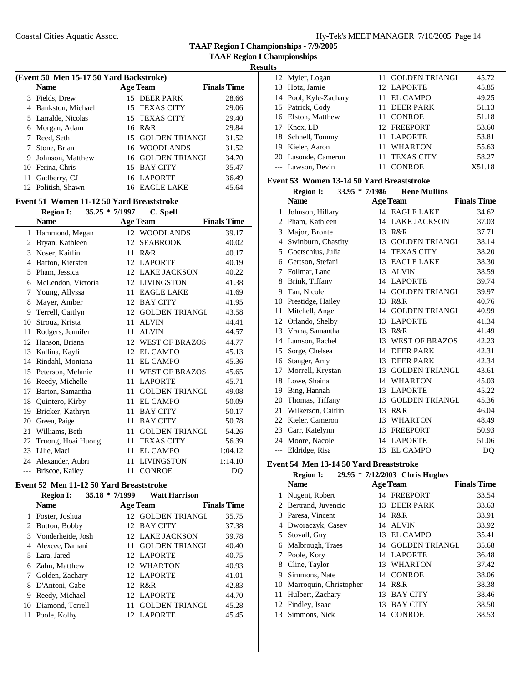**TAAF Region I Championships - 7/9/2005**

### **Results**

|    | (Event 50 Men 15-17 50 Yard Backstroke) |  |                   |                    |  |  |
|----|-----------------------------------------|--|-------------------|--------------------|--|--|
|    | <b>Name</b>                             |  | <b>Age Team</b>   | <b>Finals Time</b> |  |  |
| 3  | Fields, Drew                            |  | 15 DEER PARK      | 28.66              |  |  |
| 4  | Bankston, Michael                       |  | 15 TEXAS CITY     | 29.06              |  |  |
|    | 5 Larralde, Nicolas                     |  | 15 TEXAS CITY     | 29.40              |  |  |
|    | 6 Morgan, Adam                          |  | 16 R&R            | 29.84              |  |  |
|    | Reed, Seth                              |  | 15 GOLDEN TRIANGL | 31.52              |  |  |
|    | Stone, Brian                            |  | 16 WOODLANDS      | 31.52              |  |  |
| 9  | Johnson, Matthew                        |  | 16 GOLDEN TRIANGL | 34.70              |  |  |
|    | 10 Ferina, Chris                        |  | 15 BAY CITY       | 35.47              |  |  |
| 11 | Gadberry, CJ                            |  | 16 LAPORTE        | 36.49              |  |  |
|    | 12 Politish, Shawn                      |  | 16 EAGLE LAKE     | 45.64              |  |  |

# **Event 51 Women 11-12 50 Yard Breaststroke**

|                | <b>Region I:</b><br>35.25 * 7/1997 |    | C. Spell              |                    |
|----------------|------------------------------------|----|-----------------------|--------------------|
|                | <b>Name</b>                        |    | <b>Age Team</b>       | <b>Finals Time</b> |
| 1              | Hammond, Megan                     |    | 12 WOODLANDS          | 39.17              |
| $\overline{c}$ | Bryan, Kathleen                    | 12 | <b>SEABROOK</b>       | 40.02              |
| 3              | Noser, Kaitlin                     | 11 | R&R                   | 40.17              |
| 4              | Barton, Kiersten                   | 12 | <b>LAPORTE</b>        | 40.19              |
| 5              | Pham, Jessica                      | 12 | <b>LAKE JACKSON</b>   | 40.22              |
| 6              | McLendon, Victoria                 | 12 | <b>LIVINGSTON</b>     | 41.38              |
| 7              | Young, Allyssa                     | 11 | <b>EAGLE LAKE</b>     | 41.69              |
| 8              | Mayer, Amber                       | 12 | <b>BAY CITY</b>       | 41.95              |
| 9              | Terrell, Caitlyn                   | 12 | <b>GOLDEN TRIANGL</b> | 43.58              |
| 10             | Strouz, Krista                     | 11 | <b>ALVIN</b>          | 44.41              |
| 11             | Rodgers, Jennifer                  | 11 | <b>ALVIN</b>          | 44.57              |
| 12             | Hanson, Briana                     | 12 | <b>WEST OF BRAZOS</b> | 44.77              |
| 13             | Kallina, Kayli                     | 12 | <b>EL CAMPO</b>       | 45.13              |
| 14             | Rindahl, Montana                   | 11 | <b>EL CAMPO</b>       | 45.36              |
| 15             | Peterson, Melanie                  | 11 | <b>WEST OF BRAZOS</b> | 45.65              |
| 16             | Reedy, Michelle                    | 11 | <b>LAPORTE</b>        | 45.71              |
| 17             | Barton, Samantha                   | 11 | <b>GOLDEN TRIANGL</b> | 49.08              |
| 18             | Quintero, Kirby                    | 11 | <b>EL CAMPO</b>       | 50.09              |
| 19             | Bricker, Kathryn                   | 11 | <b>BAY CITY</b>       | 50.17              |
| 20             | Green, Paige                       | 11 | <b>BAY CITY</b>       | 50.78              |
| 21             | Williams, Beth                     | 11 | <b>GOLDEN TRIANGL</b> | 54.26              |
| 22             | Truong, Hoai Huong                 | 11 | <b>TEXAS CITY</b>     | 56.39              |
| 23             | Lilie, Maci                        | 11 | <b>EL CAMPO</b>       | 1:04.12            |
| 24             | Alexander, Aubri                   | 11 | <b>LIVINGSTON</b>     | 1:14.10            |
| $---$          | Briscoe, Kailey                    | 11 | <b>CONROE</b>         | DQ                 |

# **Event 52 Men 11-12 50 Yard Breaststroke**

### **Region I: 35.18 \* 7/1999 Watt Harrison**

|   | <b>Name</b>         |     | <b>Age Team</b>       | <b>Finals Time</b> |  |
|---|---------------------|-----|-----------------------|--------------------|--|
|   | 1 Foster, Joshua    |     | 12 GOLDEN TRIANGL     | 35.75              |  |
|   | 2 Button, Bobby     |     | 12 BAY CITY           | 37.38              |  |
|   | 3 Vonderheide, Josh |     | 12 LAKE JACKSON       | 39.78              |  |
|   | 4 Alexcee, Damani   |     | 11 GOLDEN TRIANGL     | 40.40              |  |
|   | 5 Lara, Jared       |     | 12 LAPORTE            | 40.75              |  |
|   | 6 Zahn, Matthew     |     | 12 WHARTON            | 40.93              |  |
|   | Golden, Zachary     |     | 12 LAPORTE            | 41.01              |  |
|   | 8 D'Antoni, Gabe    |     | 12 R&R                | 42.83              |  |
| 9 | Reedy, Michael      |     | 12 LAPORTE            | 44.70              |  |
|   | 10 Diamond, Terrell |     | <b>GOLDEN TRIANGI</b> | 45.28              |  |
|   | 11 Poole, Kolby     | 12. | LAPORTE               | 45.45              |  |
|   |                     |     |                       |                    |  |

| 12 Myler, Logan       | 11 GOLDEN TRIANGL | 45.72  |
|-----------------------|-------------------|--------|
| 13 Hotz, Jamie        | 12 LAPORTE        | 45.85  |
| 14 Pool, Kyle-Zachary | 11 EL CAMPO       | 49.25  |
| 15 Patrick, Cody      | 11 DEER PARK      | 51.13  |
| 16 Elston, Matthew    | 11 CONROE         | 51.18  |
| 17 Knox, LD           | 12 FREEPORT       | 53.60  |
| 18 Schnell, Tommy     | 11 LAPORTE        | 53.81  |
| 19 Kieler, Aaron      | 11 WHARTON        | 55.63  |
| 20 Lasonde, Cameron   | 11 TEXAS CITY     | 58.27  |
| --- Lawson, Devin     | <b>CONROE</b>     | X51.18 |

# **Event 53 Women 13-14 50 Yard Breaststroke**

|       | <b>Region I:</b>   | $33.95 * 7/1986$ | <b>Rene Mullins</b>   |                    |
|-------|--------------------|------------------|-----------------------|--------------------|
|       | <b>Name</b>        |                  | Age Team              | <b>Finals Time</b> |
| 1     | Johnson, Hillary   |                  | 14 EAGLE LAKE         | 34.62              |
| 2     | Pham, Kathleen     | 14               | <b>LAKE JACKSON</b>   | 37.03              |
| 3     | Major, Bronte      | 13               | R&R                   | 37.71              |
| 4     | Swinburn, Chastity | 13               | <b>GOLDEN TRIANGL</b> | 38.14              |
| 5     | Goetschius, Julia  | 14               | <b>TEXAS CITY</b>     | 38.20              |
| 6     | Gertson, Stefani   | 13               | <b>EAGLE LAKE</b>     | 38.30              |
| 7     | Follmar, Lane      | 13               | <b>ALVIN</b>          | 38.59              |
| 8     | Brink, Tiffany     | 14               | <b>LAPORTE</b>        | 39.74              |
| 9     | Tan, Nicole        | 14               | <b>GOLDEN TRIANGL</b> | 39.97              |
| 10    | Prestidge, Hailey  | 13               | R&R                   | 40.76              |
| 11    | Mitchell, Angel    | 14               | <b>GOLDEN TRIANGL</b> | 40.99              |
| 12    | Orlando, Shelby    | 13               | <b>LAPORTE</b>        | 41.34              |
| 13    | Vrana, Samantha    | 13               | R&R                   | 41.49              |
| 14    | Lamson, Rachel     | 13               | <b>WEST OF BRAZOS</b> | 42.23              |
| 15    | Sorge, Chelsea     | 14               | <b>DEER PARK</b>      | 42.31              |
| 16    | Stanger, Amy       | 13               | <b>DEER PARK</b>      | 42.34              |
| 17    | Morrell, Krystan   | 13               | <b>GOLDEN TRIANGL</b> | 43.61              |
| 18    | Lowe, Shaina       | 14               | <b>WHARTON</b>        | 45.03              |
| 19    | Bing, Hannah       | 13               | <b>LAPORTE</b>        | 45.22              |
| 20    | Thomas, Tiffany    | 13               | <b>GOLDEN TRIANGL</b> | 45.36              |
| 21    | Wilkerson, Caitlin | 13               | R&R                   | 46.04              |
| 22    | Kieler, Cameron    | 13               | <b>WHARTON</b>        | 48.49              |
| 23    | Carr, Katelynn     | 13               | <b>FREEPORT</b>       | 50.93              |
| 24    | Moore, Nacole      | 14               | <b>LAPORTE</b>        | 51.06              |
| $---$ | Eldridge, Risa     | 13               | <b>EL CAMPO</b>       | D <sub>O</sub>     |

### **Event 54 Men 13-14 50 Yard Breaststroke**

| 29.95 * 7/12/2003 Chris Hughes | <b>Region I:</b> |  |  |  |
|--------------------------------|------------------|--|--|--|
|--------------------------------|------------------|--|--|--|

|    | <b>Name</b>               |    | <b>Age Team</b>       | <b>Finals Time</b> |
|----|---------------------------|----|-----------------------|--------------------|
| 1  | Nugent, Robert            | 14 | FREEPORT              | 33.54              |
|    | 2 Bertrand, Juvencio      |    | 13 DEER PARK          | 33.63              |
|    | 3 Paresa, Vincent         | 14 | R&R                   | 33.91              |
| 4  | Dworaczyk, Casey          | 14 | <b>ALVIN</b>          | 33.92              |
|    | 5 Stovall, Guy            | 13 | EL CAMPO              | 35.41              |
|    | 6 Malbrough, Traes        | 14 | <b>GOLDEN TRIANGL</b> | 35.68              |
|    | Poole, Kory               | 14 | <b>LAPORTE</b>        | 36.48              |
| 8  | Cline, Taylor             |    | 13 WHARTON            | 37.42              |
| 9  | Simmons, Nate             |    | 14 CONROE             | 38.06              |
|    | 10 Marroquin, Christopher | 14 | R&R                   | 38.38              |
| 11 | Hulbert, Zachary          | 13 | <b>BAY CITY</b>       | 38.46              |
|    | 12 Findley, Isaac         | 13 | <b>BAY CITY</b>       | 38.50              |
| 13 | Simmons, Nick             | 14 | <b>CONROE</b>         | 38.53              |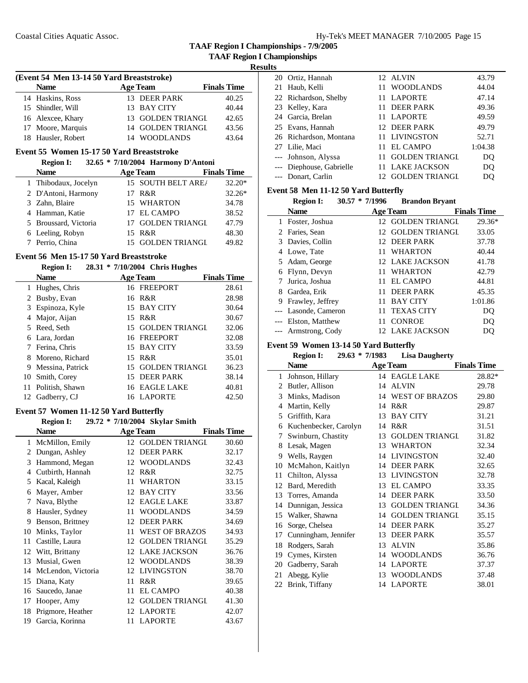**TAAF Region I Championships - 7/9/2005**

### **Results**

| (Event 54 Men 13-14 50 Yard Breaststroke) |                    |  |                   |                    |  |
|-------------------------------------------|--------------------|--|-------------------|--------------------|--|
|                                           | <b>Name</b>        |  | <b>Age Team</b>   | <b>Finals Time</b> |  |
|                                           | 14 Haskins, Ross   |  | 13 DEER PARK      | 40.25              |  |
|                                           | 15 Shindler, Will  |  | 13 BAY CITY       | 40.44              |  |
|                                           | 16 Alexcee, Khary  |  | 13 GOLDEN TRIANGL | 42.65              |  |
|                                           | 17 Moore, Marquis  |  | 14 GOLDEN TRIANGL | 43.56              |  |
|                                           | 18 Hausler, Robert |  | 14 WOODLANDS      | 43.64              |  |

# **Event 55 Women 15-17 50 Yard Breaststroke**

**Region I: 32.65 \* 7/10/2004 Harmony D'Antoni**

| <b>Name</b>           | <b>Age Team</b>       | <b>Finals Time</b> |
|-----------------------|-----------------------|--------------------|
| 1 Thibodaux, Jocelyn  | 15 SOUTH BELT ARE/    | $32.20*$           |
| 2 D'Antoni, Harmony   | 17 R&R                | $32.26*$           |
| 3 Zahn, Blaire        | 15 WHARTON            | 34.78              |
| 4 Hamman, Katie       | 17 EL CAMPO           | 38.52              |
| 5 Broussard, Victoria | 17 GOLDEN TRIANGL     | 47.79              |
| 6 Leeling, Robyn      | 15 R&R                | 48.30              |
| Perrio, China         | <b>GOLDEN TRIANGL</b> | 49.82              |

### **Event 56 Men 15-17 50 Yard Breaststroke**

#### **Region I: 28.31 \* 7/10/2004 Chris Hughes**

|    | <b>Name</b>        | <b>Age Team</b>   | <b>Finals Time</b> |
|----|--------------------|-------------------|--------------------|
|    | 1 Hughes, Chris    | 16 FREEPORT       | 28.61              |
|    | 2 Busby, Evan      | 16 R&R            | 28.98              |
|    | 3 Espinoza, Kyle   | 15 BAY CITY       | 30.64              |
|    | 4 Major, Aijan     | 15 R&R            | 30.67              |
|    | 5 Reed, Seth       | 15 GOLDEN TRIANGL | 32.06              |
|    | 6 Lara, Jordan     | 16 FREEPORT       | 32.08              |
|    | Ferina, Chris      | 15 BAY CITY       | 33.59              |
|    | 8 Moreno, Richard  | 15 R&R            | 35.01              |
|    | 9 Messina, Patrick | 15 GOLDEN TRIANGL | 36.23              |
| 10 | Smith, Corey       | 15 DEER PARK      | 38.14              |
| 11 | Politish, Shawn    | 16 EAGLE LAKE     | 40.81              |
| 12 | Gadberry, CJ       | 16 LAPORTE        | 42.50              |

#### **Event 57 Women 11-12 50 Yard Butterfly**

#### **Region I: 29.72 \* 7/10/2004 Skylar Smith**

|    | Name               |    | <b>Age Team</b>       | <b>Finals Time</b> |
|----|--------------------|----|-----------------------|--------------------|
| 1  | McMillon, Emily    |    | 12 GOLDEN TRIANGL     | 30.60              |
| 2  | Dungan, Ashley     | 12 | <b>DEER PARK</b>      | 32.17              |
| 3  | Hammond, Megan     | 12 | <b>WOODLANDS</b>      | 32.43              |
| 4  | Cutbirth, Hannah   | 12 | R&R                   | 32.75              |
| 5  | Kacal, Kaleigh     | 11 | <b>WHARTON</b>        | 33.15              |
| 6  | Mayer, Amber       | 12 | <b>BAY CITY</b>       | 33.56              |
| 7  | Nava, Blythe       | 12 | <b>EAGLE LAKE</b>     | 33.87              |
| 8  | Hausler, Sydney    | 11 | <b>WOODLANDS</b>      | 34.59              |
| 9  | Benson, Brittney   | 12 | <b>DEER PARK</b>      | 34.69              |
| 10 | Minks, Taylor      | 11 | <b>WEST OF BRAZOS</b> | 34.93              |
| 11 | Castille, Laura    | 12 | <b>GOLDEN TRIANGL</b> | 35.29              |
| 12 | Witt, Brittany     | 12 | <b>LAKE JACKSON</b>   | 36.76              |
| 13 | Musial, Gwen       | 12 | <b>WOODLANDS</b>      | 38.39              |
| 14 | McLendon, Victoria | 12 | <b>LIVINGSTON</b>     | 38.70              |
| 15 | Diana, Katy        | 11 | R&R                   | 39.65              |
| 16 | Saucedo, Janae     | 11 | <b>EL CAMPO</b>       | 40.38              |
| 17 | Hooper, Amy        | 12 | <b>GOLDEN TRIANGL</b> | 41.30              |
| 18 | Prigmore, Heather  |    | 12 LAPORTE            | 42.07              |
| 19 | Garcia, Korinna    |    | 11 LAPORTE            | 43.67              |

| 20 Ortiz, Hannah         | 12 ALVIN               | 43.79   |
|--------------------------|------------------------|---------|
| 21 Haub, Kelli           | <b>WOODLANDS</b><br>11 | 44.04   |
| 22 Richardson, Shelby    | 11 LAPORTE             | 47.14   |
| 23 Kelley, Kara          | 11 DEER PARK           | 49.36   |
| 24 Garcia, Brelan        | 11 LAPORTE             | 49.59   |
| 25 Evans, Hannah         | 12 DEER PARK           | 49.79   |
| 26 Richardson, Montana   | 11 LIVINGSTON          | 52.71   |
| 27 Lilie, Maci           | 11 EL CAMPO            | 1:04.38 |
| --- Johnson, Alyssa      | <b>GOLDEN TRIANGL</b>  | DO      |
| --- Diephouse, Gabrielle | 11 LAKE JACKSON        | DO      |
| --- Donart, Carlin       | <b>GOLDEN TRIANGL</b>  | DO      |

### **Event 58 Men 11-12 50 Yard Butterfly**

|   | <b>Region I:</b>     | $30.57 * 7/1996$ |        | <b>Brandon Bryant</b> |                    |
|---|----------------------|------------------|--------|-----------------------|--------------------|
|   | <b>Name</b>          |                  |        | <b>Age Team</b>       | <b>Finals Time</b> |
|   | 1 Foster, Joshua     |                  |        | 12 GOLDEN TRIANGL     | $29.36*$           |
|   | 2 Faries, Sean       |                  | $12 -$ | <b>GOLDEN TRIANGL</b> | 33.05              |
|   | 3 Davies, Collin     |                  | 12.    | <b>DEER PARK</b>      | 37.78              |
| 4 | Lowe, Tate           |                  | 11.    | <b>WHARTON</b>        | 40.44              |
|   | 5 Adam, George       |                  |        | 12 LAKE JACKSON       | 41.78              |
| 6 | Flynn, Devyn         |                  | 11     | <b>WHARTON</b>        | 42.79              |
|   | Jurica, Joshua       |                  | 11     | EL CAMPO              | 44.81              |
| 8 | Gardea, Erik         |                  |        | <b>DEER PARK</b>      | 45.35              |
| 9 | Frawley, Jeffrey     |                  | 11     | <b>BAY CITY</b>       | 1:01.86            |
|   | --- Lasonde, Cameron |                  | 11     | <b>TEXAS CITY</b>     | DQ                 |
|   | --- Elston, Matthew  |                  |        | <b>CONROE</b>         | DO                 |
|   | --- Armstrong, Cody  |                  |        | LAKE JACKSON          | DO                 |

### **Event 59 Women 13-14 50 Yard Butterfly**

|                        | <b>Region I:</b><br>$29.63 * 7/1983$ |    | <b>Lisa Daugherty</b> |                    |
|------------------------|--------------------------------------|----|-----------------------|--------------------|
|                        | <b>Name</b>                          |    | <b>Age Team</b>       | <b>Finals Time</b> |
| 1                      | Johnson, Hillary                     |    | 14 EAGLE LAKE         | 28.82*             |
| $\mathfrak{D}_{\cdot}$ | Butler, Allison                      | 14 | <b>ALVIN</b>          | 29.78              |
| 3                      | Minks, Madison                       | 14 | <b>WEST OF BRAZOS</b> | 29.80              |
| 4                      | Martin, Kelly                        | 14 | R&R                   | 29.87              |
| 5                      | Griffith, Kara                       | 13 | <b>BAY CITY</b>       | 31.21              |
| 6                      | Kuchenbecker, Carolyn                | 14 | R&R                   | 31.51              |
| 7                      | Swinburn, Chastity                   | 13 | <b>GOLDEN TRIANGI</b> | 31.82              |
| 8                      | Lesak, Magen                         | 13 | <b>WHARTON</b>        | 32.34              |
| 9                      | Wells, Raygen                        | 14 | <b>LIVINGSTON</b>     | 32.40              |
| 10                     | McMahon, Kaitlyn                     | 14 | <b>DEER PARK</b>      | 32.65              |
| 11                     | Chilton, Alyssa                      | 13 | <b>LIVINGSTON</b>     | 32.78              |
| 12                     | Bard, Meredith                       | 13 | EL CAMPO              | 33.35              |
| 13                     | Torres, Amanda                       | 14 | <b>DEER PARK</b>      | 33.50              |
| 14                     | Dunnigan, Jessica                    | 13 | <b>GOLDEN TRIANGL</b> | 34.36              |
| 15                     | Walker, Shawna                       | 14 | <b>GOLDEN TRIANGI</b> | 35.15              |
| 16                     | Sorge, Chelsea                       | 14 | <b>DEER PARK</b>      | 35.27              |
| 17                     | Cunningham, Jennifer                 | 13 | <b>DEER PARK</b>      | 35.57              |
| 18                     | Rodgers, Sarah                       | 13 | <b>ALVIN</b>          | 35.86              |
| 19                     | Cymes, Kirsten                       | 14 | <b>WOODLANDS</b>      | 36.76              |
| 20                     | Gadberry, Sarah                      | 14 | <b>LAPORTE</b>        | 37.37              |
| 21                     | Abegg, Kylie                         | 13 | <b>WOODLANDS</b>      | 37.48              |
| 22                     | Brink, Tiffany                       |    | 14 LAPORTE            | 38.01              |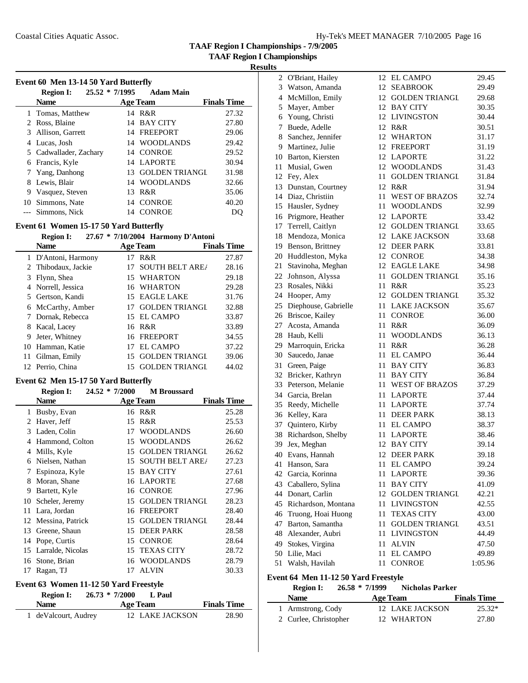**TAAF Region I Championships - 7/9/2005**

**TAAF Region I Championships**

| Event 60 Men 13-14 50 Yard Butterfly |                                      |    |                   |                    |  |
|--------------------------------------|--------------------------------------|----|-------------------|--------------------|--|
|                                      | $25.52 * 7/1995$<br><b>Region I:</b> |    | <b>Adam Main</b>  |                    |  |
|                                      | <b>Name</b>                          |    | <b>Age Team</b>   | <b>Finals Time</b> |  |
|                                      | 1 Tomas, Matthew                     |    | 14 R&R            | 27.32              |  |
|                                      | 2 Ross, Blaine                       |    | 14 BAY CITY       | 27.80              |  |
| 3                                    | Allison, Garrett                     |    | 14 FREEPORT       | 29.06              |  |
| 4                                    | Lucas, Josh                          |    | 14 WOODLANDS      | 29.42              |  |
|                                      | 5 Cadwallader, Zachary               |    | 14 CONROE         | 29.52              |  |
| 6                                    | Francis, Kyle                        |    | 14 LAPORTE        | 30.94              |  |
|                                      | 7 Yang, Danhong                      |    | 13 GOLDEN TRIANGI | 31.98              |  |
| 8                                    | Lewis, Blair                         |    | 14 WOODLANDS      | 32.66              |  |
| 9                                    | Vasquez, Steven                      |    | 13 R&R            | 35.06              |  |
| 10                                   | Simmons, Nate                        |    | 14 CONROE         | 40.20              |  |
|                                      | Simmons, Nick                        | 14 | <b>CONROE</b>     |                    |  |

### **Event 61 Women 15-17 50 Yard Butterfly**

#### **Region I: 27.67 \* 7/10/2004 Harmony D'Antoni**

|   | <b>Name</b>         | <b>Age Team</b> |                       | <b>Finals Time</b> |
|---|---------------------|-----------------|-----------------------|--------------------|
|   | 1 D'Antoni, Harmony |                 | 17 R&R                | 27.87              |
|   | 2 Thibodaux, Jackie |                 | 17 SOUTH BELT AREA    | 28.16              |
|   | 3 Flynn, Shea       |                 | 15 WHARTON            | 29.18              |
|   | 4 Norrell, Jessica  |                 | 16 WHARTON            | 29.28              |
|   | 5 Gertson, Kandi    |                 | 15 EAGLE LAKE         | 31.76              |
|   | 6 McCarthy, Amber   |                 | 17 GOLDEN TRIANGL     | 32.88              |
|   | 7 Dornak, Rebecca   |                 | 15 EL CAMPO           | 33.87              |
|   | 8 Kacal, Lacey      |                 | 16 R&R                | 33.89              |
| 9 | Jeter, Whitney      |                 | 16 FREEPORT           | 34.55              |
|   | 10 Hamman, Katie    |                 | 17 EL CAMPO           | 37.22              |
|   | 11 Gilman, Emily    |                 | 15 GOLDEN TRIANGL     | 39.06              |
|   | 12 Perrio, China    | 15.             | <b>GOLDEN TRIANGL</b> | 44.02              |

# **Event 62 Men 15-17 50 Yard Butterfly**

|    | <b>Region I:</b>  | $24.52 * 7/2000$ | <b>M</b> Broussard     |                    |
|----|-------------------|------------------|------------------------|--------------------|
|    | <b>Name</b>       |                  | <b>Age Team</b>        | <b>Finals Time</b> |
| 1  | Busby, Evan       |                  | 16 R&R                 | 25.28              |
| 2  | Haver, Jeff       | 15               | R&R                    | 25.53              |
| 3  | Laden, Colin      | 17               | <b>WOODLANDS</b>       | 26.60              |
| 4  | Hammond, Colton   | 15               | <b>WOODLANDS</b>       | 26.62              |
| 4  | Mills, Kyle       | 15               | <b>GOLDEN TRIANGI</b>  | 26.62              |
| 6  | Nielsen, Nathan   | 15               | <b>SOUTH BELT AREA</b> | 27.23              |
| 7  | Espinoza, Kyle    | 15               | <b>BAY CITY</b>        | 27.61              |
| 8  | Moran, Shane      | 16               | <b>LAPORTE</b>         | 27.68              |
| 9  | Bartett, Kyle     | 16               | <b>CONROE</b>          | 27.96              |
| 10 | Scheler, Jeremy   | 15               | <b>GOLDEN TRIANGL</b>  | 28.23              |
| 11 | Lara, Jordan      | 16               | <b>FREEPORT</b>        | 28.40              |
| 12 | Messina, Patrick  | 15               | <b>GOLDEN TRIANGL</b>  | 28.44              |
| 13 | Greene, Shaun     | 15               | <b>DEER PARK</b>       | 28.58              |
| 14 | Pope, Curtis      | 15               | <b>CONROE</b>          | 28.64              |
| 15 | Larralde, Nicolas | 15               | TEXAS CITY             | 28.72              |
| 16 | Stone, Brian      | 16               | <b>WOODLANDS</b>       | 28.79              |
| 17 | Ragan, TJ         | 17               | <b>ALVIN</b>           | 30.33              |

### **Event 63 Women 11-12 50 Yard Freestyle**

#### **Region I: 26.73 \* 7/2000 L Paul**

| <b>Name</b>           | <b>Age Team</b> | <b>Finals Time</b> |  |
|-----------------------|-----------------|--------------------|--|
| 1 de Valcourt, Audrey | 12 LAKE JACKSON | 28.90              |  |

| ັບ |                      |      |                       |         |
|----|----------------------|------|-----------------------|---------|
| 2  | O'Briant, Hailey     |      | 12 EL CAMPO           | 29.45   |
|    | 3 Watson, Amanda     | 12   | <b>SEABROOK</b>       | 29.49   |
| 4  | McMillon, Emily      |      | 12 GOLDEN TRIANGL     | 29.68   |
| 5  | Mayer, Amber         |      | 12 BAY CITY           | 30.35   |
| 6  | Young, Christi       |      | 12 LIVINGSTON         | 30.44   |
| 7  | Buede, Adelle        | 12   | R&R                   | 30.51   |
| 8  | Sanchez, Jennifer    | 12   | WHARTON               | 31.17   |
| 9  | Martinez, Julie      |      | 12 FREEPORT           | 31.19   |
|    | 10 Barton, Kiersten  |      | 12 LAPORTE            | 31.22   |
| 11 | Musial, Gwen         |      | 12 WOODLANDS          | 31.43   |
|    | 12 Fey, Alex         | 11   | <b>GOLDEN TRIANGL</b> | 31.84   |
|    | 13 Dunstan, Courtney | 12   | R&R                   | 31.94   |
|    | 14 Diaz, Christiin   | 11   | <b>WEST OF BRAZOS</b> | 32.74   |
|    | 15 Hausler, Sydney   | 11   | <b>WOODLANDS</b>      | 32.99   |
|    | 16 Prigmore, Heather |      | 12 LAPORTE            | 33.42   |
| 17 | Terrell, Caitlyn     | 12   | <b>GOLDEN TRIANGL</b> | 33.65   |
|    | 18 Mendoza, Monica   |      | 12 LAKE JACKSON       | 33.68   |
|    | 19 Benson, Brittney  | 12   | <b>DEER PARK</b>      | 33.81   |
|    | 20 Huddleston, Myka  |      | 12 CONROE             | 34.38   |
| 21 | Stavinoha, Meghan    |      | 12 EAGLE LAKE         | 34.98   |
|    | 22 Johnson, Alyssa   | 11   | <b>GOLDEN TRIANGL</b> | 35.16   |
|    | 23 Rosales, Nikki    | 11   | R&R                   | 35.23   |
|    | 24 Hooper, Amy       |      | 12 GOLDEN TRIANGL     | 35.32   |
| 25 | Diephouse, Gabrielle |      | 11 LAKE JACKSON       | 35.67   |
|    | 26 Briscoe, Kailey   | 11   | <b>CONROE</b>         | 36.00   |
| 27 | Acosta, Amanda       | 11   | R&R                   | 36.09   |
|    | 28 Haub, Kelli       | 11   | <b>WOODLANDS</b>      | 36.13   |
| 29 | Marroquin, Ericka    | 11   | R&R                   | 36.28   |
|    | 30 Saucedo, Janae    | 11   | <b>EL CAMPO</b>       | 36.44   |
| 31 | Green, Paige         | 11   | <b>BAY CITY</b>       | 36.83   |
| 32 | Bricker, Kathryn     | 11   | <b>BAY CITY</b>       | 36.84   |
| 33 | Peterson, Melanie    | 11 - | <b>WEST OF BRAZOS</b> | 37.29   |
|    | 34 Garcia, Brelan    | 11   | <b>LAPORTE</b>        | 37.44   |
| 35 | Reedy, Michelle      |      | 11 LAPORTE            | 37.74   |
|    | 36 Kelley, Kara      |      | 11 DEER PARK          | 38.13   |
| 37 | Quintero, Kirby      |      | 11 EL CAMPO           | 38.37   |
| 38 | Richardson, Shelby   |      | 11 LAPORTE            | 38.46   |
| 39 | Jex, Meghan          |      | 12 BAY CITY           | 39.14   |
|    | 40 Evans, Hannah     |      | 12 DEER PARK          | 39.18   |
|    | 41 Hanson, Sara      | 11.  | <b>EL CAMPO</b>       | 39.24   |
| 42 | Garcia, Korinna      | 11   | <b>LAPORTE</b>        | 39.36   |
| 43 | Caballero, Sylina    | 11   | <b>BAY CITY</b>       | 41.09   |
|    | 44 Donart, Carlin    | 12   | <b>GOLDEN TRIANGL</b> | 42.21   |
| 45 | Richardson, Montana  | 11   | <b>LIVINGSTON</b>     | 42.55   |
| 46 | Truong, Hoai Huong   | 11   | <b>TEXAS CITY</b>     | 43.00   |
| 47 | Barton, Samantha     | 11   | <b>GOLDEN TRIANGL</b> | 43.51   |
|    | 48 Alexander, Aubri  | 11   | <b>LIVINGSTON</b>     | 44.49   |
|    | 49 Stokes, Virgina   | 11   | ALVIN                 | 47.50   |
| 50 | Lilie, Maci          | 11   | <b>EL CAMPO</b>       | 49.89   |
| 51 | Walsh, Havilah       | 11   | <b>CONROE</b>         | 1:05.96 |
|    |                      |      |                       |         |

### **Event 64 Men 11-12 50 Yard Freestyle**

J.

| <b>Region I:</b>      | $26.58 * 7/1999$ | <b>Nicholas Parker</b> |                    |
|-----------------------|------------------|------------------------|--------------------|
| <b>Name</b>           | <b>Age Team</b>  |                        | <b>Finals Time</b> |
| 1 Armstrong, Cody     |                  | 12 LAKE JACKSON        | $25.32*$           |
| 2 Curlee, Christopher |                  | 12 WHARTON             | 27.80              |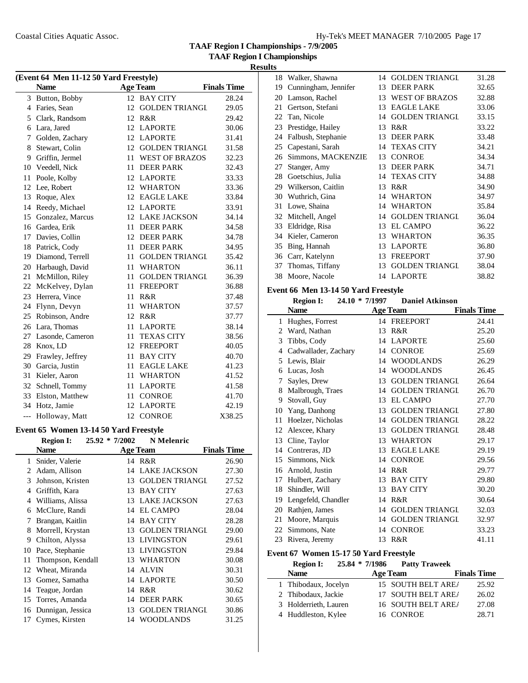**TAAF Region I Championships - 7/9/2005**

**TAAF Region I Championships**

| (Event 64 Men 11-12 50 Yard Freestyle) |                   |    |                       |                    |  |
|----------------------------------------|-------------------|----|-----------------------|--------------------|--|
|                                        | <b>Name</b>       |    | <b>Age Team</b>       | <b>Finals Time</b> |  |
|                                        | 3 Button, Bobby   |    | 12 BAY CITY           | 28.24              |  |
|                                        | 4 Faries, Sean    |    | 12 GOLDEN TRIANGL     | 29.05              |  |
| 5                                      | Clark, Randsom    | 12 | R&R                   | 29.42              |  |
| 6                                      | Lara, Jared       | 12 | <b>LAPORTE</b>        | 30.06              |  |
| 7                                      | Golden, Zachary   | 12 | <b>LAPORTE</b>        | 31.41              |  |
| 8                                      | Stewart, Colin    |    | 12 GOLDEN TRIANGL     | 31.58              |  |
| 9                                      | Griffin, Jermel   | 11 | <b>WEST OF BRAZOS</b> | 32.23              |  |
| 10                                     | Veedell, Nick     | 11 | <b>DEER PARK</b>      | 32.43              |  |
| 11                                     | Poole, Kolby      |    | 12 LAPORTE            | 33.33              |  |
| 12                                     | Lee, Robert       | 12 | <b>WHARTON</b>        | 33.36              |  |
| 13                                     | Roque, Alex       | 12 | <b>EAGLE LAKE</b>     | 33.84              |  |
| 14                                     | Reedy, Michael    | 12 | <b>LAPORTE</b>        | 33.91              |  |
| 15                                     | Gonzalez, Marcus  |    | 12 LAKE JACKSON       | 34.14              |  |
|                                        | 16 Gardea, Erik   | 11 | <b>DEER PARK</b>      | 34.58              |  |
| 17                                     | Davies, Collin    | 12 | <b>DEER PARK</b>      | 34.78              |  |
| 18                                     | Patrick, Cody     | 11 | <b>DEER PARK</b>      | 34.95              |  |
| 19                                     | Diamond, Terrell  |    | 11 GOLDEN TRIANGL     | 35.42              |  |
| 20                                     | Harbaugh, David   | 11 | <b>WHARTON</b>        | 36.11              |  |
| 21                                     | McMillon, Riley   | 11 | <b>GOLDEN TRIANGL</b> | 36.39              |  |
| 22                                     | McKelvey, Dylan   | 11 | <b>FREEPORT</b>       | 36.88              |  |
| 23                                     | Herrera, Vince    | 11 | R&R                   | 37.48              |  |
| 24                                     | Flynn, Devyn      | 11 | <b>WHARTON</b>        | 37.57              |  |
| 25                                     | Robinson, Andre   | 12 | R&R                   | 37.77              |  |
| 26                                     | Lara, Thomas      | 11 | <b>LAPORTE</b>        | 38.14              |  |
| 27                                     | Lasonde, Cameron  | 11 | <b>TEXAS CITY</b>     | 38.56              |  |
| 28                                     | Knox, LD          | 12 | <b>FREEPORT</b>       | 40.05              |  |
| 29                                     | Frawley, Jeffrey  | 11 | <b>BAY CITY</b>       | 40.70              |  |
| 30                                     | Garcia, Justin    | 11 | <b>EAGLE LAKE</b>     | 41.23              |  |
| 31                                     | Kieler, Aaron     | 11 | <b>WHARTON</b>        | 41.52              |  |
|                                        | 32 Schnell, Tommy | 11 | <b>LAPORTE</b>        | 41.58              |  |
| 33                                     | Elston, Matthew   |    | 11 CONROE             | 41.70              |  |
| 34                                     | Hotz, Jamie       | 12 | <b>LAPORTE</b>        | 42.19              |  |
| $---$                                  | Holloway, Matt    |    | 12 CONROE             | X38.25             |  |

# **Event 65 Women 13-14 50 Yard Freestyle**

|    | <b>Region I:</b>  | $25.92 * 7/2002$ | <b>N</b> Melenric     |                    |
|----|-------------------|------------------|-----------------------|--------------------|
|    | Name              |                  | <b>Age Team</b>       | <b>Finals Time</b> |
| 1  | Snider, Valerie   |                  | 14 R&R                | 26.90              |
| 2  | Adam, Allison     | 14               | <b>LAKE JACKSON</b>   | 27.30              |
| 3  | Johnson, Kristen  | 13               | <b>GOLDEN TRIANGL</b> | 27.52              |
| 4  | Griffith, Kara    | 13               | <b>BAY CITY</b>       | 27.63              |
| 4  | Williams, Alissa  | 13               | <b>LAKE JACKSON</b>   | 27.63              |
| 6  | McClure, Randi    | 14               | <b>EL CAMPO</b>       | 28.04              |
| 7  | Brangan, Kaitlin  | 14               | <b>BAY CITY</b>       | 28.28              |
| 8  | Morrell, Krystan  | 13               | <b>GOLDEN TRIANGL</b> | 29.00              |
| 9  | Chilton, Alyssa   | 13               | <b>LIVINGSTON</b>     | 29.61              |
| 10 | Pace, Stephanie   | 13               | LIVINGSTON            | 29.84              |
| 11 | Thompson, Kendall | 13               | <b>WHARTON</b>        | 30.08              |
| 12 | Wheat, Miranda    | 14               | <b>ALVIN</b>          | 30.31              |
| 13 | Gomez, Samatha    | 14               | <b>LAPORTE</b>        | 30.50              |
| 14 | Teague, Jordan    | 14               | R&R                   | 30.62              |
| 15 | Torres, Amanda    | 14               | <b>DEER PARK</b>      | 30.65              |
| 16 | Dunnigan, Jessica | 13               | <b>GOLDEN TRIANGL</b> | 30.86              |
| 17 | Cymes, Kirsten    | 14               | <b>WOODLANDS</b>      | 31.25              |

| 18 | Walker, Shawna       | 14 | <b>GOLDEN TRIANGL</b> | 31.28 |
|----|----------------------|----|-----------------------|-------|
| 19 | Cunningham, Jennifer | 13 | <b>DEER PARK</b>      | 32.65 |
| 20 | Lamson, Rachel       | 13 | <b>WEST OF BRAZOS</b> | 32.88 |
| 21 | Gertson, Stefani     | 13 | <b>EAGLE LAKE</b>     | 33.06 |
| 22 | Tan, Nicole          | 14 | <b>GOLDEN TRIANGL</b> | 33.15 |
| 23 | Prestidge, Hailey    | 13 | R&R                   | 33.22 |
| 24 | Falbush, Stephanie   | 13 | <b>DEER PARK</b>      | 33.48 |
| 25 | Capestani, Sarah     | 14 | <b>TEXAS CITY</b>     | 34.21 |
| 26 | Simmons, MACKENZIE   | 13 | <b>CONROE</b>         | 34.34 |
| 27 | Stanger, Amy         | 13 | <b>DEER PARK</b>      | 34.71 |
| 28 | Goetschius, Julia    | 14 | <b>TEXAS CITY</b>     | 34.88 |
| 29 | Wilkerson, Caitlin   | 13 | R&R                   | 34.90 |
| 30 | Wuthrich, Gina       | 14 | WHARTON               | 34.97 |
| 31 | Lowe, Shaina         | 14 | <b>WHARTON</b>        | 35.84 |
| 32 | Mitchell, Angel      | 14 | <b>GOLDEN TRIANGL</b> | 36.04 |
| 33 | Eldridge, Risa       | 13 | <b>EL CAMPO</b>       | 36.22 |
| 34 | Kieler, Cameron      | 13 | <b>WHARTON</b>        | 36.35 |
| 35 | Bing, Hannah         | 13 | <b>LAPORTE</b>        | 36.80 |
| 36 | Carr, Katelynn       | 13 | <b>FREEPORT</b>       | 37.90 |
| 37 | Thomas, Tiffany      | 13 | <b>GOLDEN TRIANGL</b> | 38.04 |
|    | 38 Moore, Nacole     |    | 14 LAPORTE            | 38.82 |

# **Event 66 Men 13-14 50 Yard Freestyle**

|    | <b>Region I:</b>     | 24.10 * 7/1997 | <b>Daniel Atkinson</b> |                    |
|----|----------------------|----------------|------------------------|--------------------|
|    | <b>Name</b>          |                | <b>Age Team</b>        | <b>Finals Time</b> |
| 1  | Hughes, Forrest      |                | 14 FREEPORT            | 24.41              |
| 2  | Ward, Nathan         | 13             | R&R                    | 25.20              |
| 3  | Tibbs, Cody          | 14             | <b>LAPORTE</b>         | 25.60              |
| 4  | Cadwallader, Zachary | 14             | <b>CONROE</b>          | 25.69              |
| 5  | Lewis, Blair         | 14             | <b>WOODLANDS</b>       | 26.29              |
| 6  | Lucas, Josh          | 14             | <b>WOODLANDS</b>       | 26.45              |
| 7  | Sayles, Drew         | 13             | <b>GOLDEN TRIANGL</b>  | 26.64              |
| 8  | Malbrough, Traes     | 14             | <b>GOLDEN TRIANGL</b>  | 26.70              |
| 9  | Stovall, Guy         | 13             | <b>EL CAMPO</b>        | 27.70              |
| 10 | Yang, Danhong        | 13             | <b>GOLDEN TRIANGL</b>  | 27.80              |
| 11 | Hoelzer, Nicholas    | 14             | <b>GOLDEN TRIANGL</b>  | 28.22              |
| 12 | Alexcee, Khary       | 13             | <b>GOLDEN TRIANGL</b>  | 28.48              |
| 13 | Cline, Taylor        | 13             | <b>WHARTON</b>         | 29.17              |
| 14 | Contreras, JD        | 13             | <b>EAGLE LAKE</b>      | 29.19              |
| 15 | Simmons, Nick        | 14             | <b>CONROE</b>          | 29.56              |
| 16 | Arnold, Justin       | 14             | R&R                    | 29.77              |
| 17 | Hulbert, Zachary     | 13             | <b>BAY CITY</b>        | 29.80              |
| 18 | Shindler, Will       | 13             | <b>BAY CITY</b>        | 30.20              |
| 19 | Lengefeld, Chandler  | 14             | R&R                    | 30.64              |
| 20 | Rathjen, James       | 14             | <b>GOLDEN TRIANGL</b>  | 32.03              |
| 21 | Moore, Marquis       | 14             | <b>GOLDEN TRIANGL</b>  | 32.97              |
| 22 | Simmons, Nate        | 14             | <b>CONROE</b>          | 33.23              |
| 23 | Rivera, Jeremy       | 13             | R&R                    | 41.11              |

# **Event 67 Women 15-17 50 Yard Freestyle**

 $\overline{\phantom{a}}$ 

|  | <b>Region I:</b>      | 25.84 * 7/1986 | <b>Patty Traweek</b> |                    |
|--|-----------------------|----------------|----------------------|--------------------|
|  | <b>Name</b>           |                | <b>Age Team</b>      | <b>Finals Time</b> |
|  | 1 Thibodaux, Jocelyn  |                | 15 SOUTH BELT AREA   | 25.92              |
|  | 2 Thibodaux, Jackie   |                | 17 SOUTH BELT AREA   | 26.02              |
|  | 3 Holderrieth, Lauren |                | 16 SOUTH BELT AREA   | 27.08              |
|  | 4 Huddleston, Kylee   |                | 16 CONROE            | 28.71              |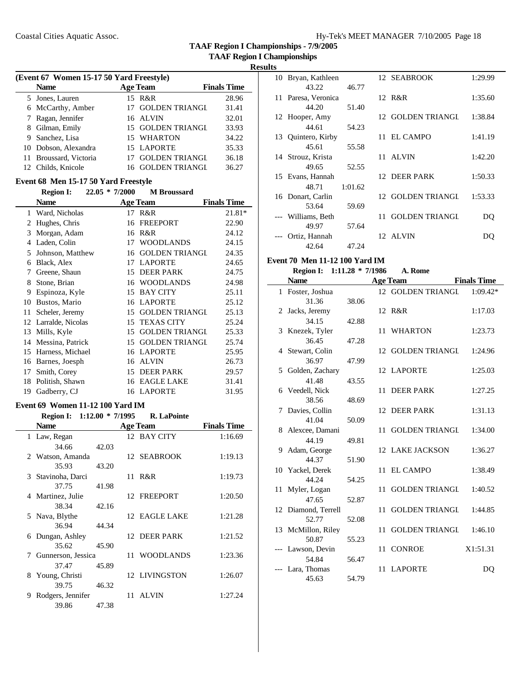**TAAF Region I Championships - 7/9/2005**

**TAAF Region I Championships**

| (Event 67 Women 15-17 50 Yard Freestyle) |  |                       |                                                                                                                                  |  |  |
|------------------------------------------|--|-----------------------|----------------------------------------------------------------------------------------------------------------------------------|--|--|
| <b>Name</b>                              |  |                       | <b>Finals Time</b>                                                                                                               |  |  |
| 5 Jones, Lauren                          |  |                       | 28.96                                                                                                                            |  |  |
| 6 McCarthy, Amber                        |  |                       | 31.41                                                                                                                            |  |  |
| 7 Ragan, Jennifer                        |  |                       | 32.01                                                                                                                            |  |  |
| 8 Gilman, Emily                          |  |                       | 33.93                                                                                                                            |  |  |
| 9 Sanchez, Lisa                          |  |                       | 34.22                                                                                                                            |  |  |
| 10 Dobson, Alexandra                     |  |                       | 35.33                                                                                                                            |  |  |
| 11 Broussard, Victoria                   |  | <b>GOLDEN TRIANGL</b> | 36.18                                                                                                                            |  |  |
| 12 Childs, Knicole                       |  |                       | 36.27                                                                                                                            |  |  |
|                                          |  |                       | <b>Age Team</b><br>15 R&R<br>17 GOLDEN TRIANGL<br>16 ALVIN<br>15 GOLDEN TRIANGL<br>15 WHARTON<br>15 LAPORTE<br>16 GOLDEN TRIANGL |  |  |

# **Event 68 Men 15-17 50 Yard Freestyle**

|    | <b>Region I:</b>  | $22.05 * 7/2000$ | <b>M</b> Broussard    |                    |
|----|-------------------|------------------|-----------------------|--------------------|
|    | <b>Name</b>       |                  | <b>Age Team</b>       | <b>Finals Time</b> |
| 1  | Ward, Nicholas    | 17               | R&R                   | $21.81*$           |
| 2  | Hughes, Chris     | 16               | <b>FREEPORT</b>       | 22.90              |
| 3  | Morgan, Adam      | 16               | R&R                   | 24.12              |
| 4  | Laden, Colin      | 17               | <b>WOODLANDS</b>      | 24.15              |
| 5  | Johnson, Matthew  | 16               | <b>GOLDEN TRIANGL</b> | 24.35              |
| 6  | Black, Alex       | 17               | <b>LAPORTE</b>        | 24.65              |
| 7  | Greene, Shaun     | 15               | <b>DEER PARK</b>      | 24.75              |
| 8  | Stone, Brian      | 16               | <b>WOODLANDS</b>      | 24.98              |
| 9  | Espinoza, Kyle    | 15               | <b>BAY CITY</b>       | 25.11              |
| 10 | Bustos, Mario     | 16               | <b>LAPORTE</b>        | 25.12              |
| 11 | Scheler, Jeremy   | 15               | <b>GOLDEN TRIANGI</b> | 25.13              |
| 12 | Larralde, Nicolas | 15               | <b>TEXAS CITY</b>     | 25.24              |
| 13 | Mills, Kyle       | 15               | <b>GOLDEN TRIANGL</b> | 25.33              |
| 14 | Messina, Patrick  | 15               | <b>GOLDEN TRIANGL</b> | 25.74              |
| 15 | Harness, Michael  | 16               | <b>LAPORTE</b>        | 25.95              |
| 16 | Barnes, Joesph    | 16               | <b>ALVIN</b>          | 26.73              |
| 17 | Smith, Corey      | 15               | <b>DEER PARK</b>      | 29.57              |
| 18 | Politish, Shawn   | 16               | <b>EAGLE LAKE</b>     | 31.41              |
| 19 | Gadberry, CJ      | 16               | <b>LAPORTE</b>        | 31.95              |

# **Event 69 Women 11-12 100 Yard IM**

|    | <b>Region I:</b>   | $1:12.00 * 7/1995$ | <b>R.</b> LaPointe |                    |
|----|--------------------|--------------------|--------------------|--------------------|
|    | <b>Name</b>        |                    | <b>Age Team</b>    | <b>Finals Time</b> |
|    | 1 Law, Regan       |                    | 12 BAY CITY        | 1:16.69            |
|    | 34.66              | 42.03              |                    |                    |
|    | 2 Watson, Amanda   |                    | 12 SEABROOK        | 1:19.13            |
|    | 35.93              | 43.20              |                    |                    |
|    | 3 Stavinoha, Darci |                    | 11 R&R             | 1:19.73            |
|    | 37.75              | 41.98              |                    |                    |
|    | 4 Martinez, Julie  |                    | 12 FREEPORT        | 1:20.50            |
|    | 38.34              | 42.16              |                    |                    |
|    | 5 Nava, Blythe     |                    | 12 EAGLE LAKE      | 1:21.28            |
|    | 36.94              | 44.34              |                    |                    |
| 6  | Dungan, Ashley     |                    | 12 DEER PARK       | 1:21.52            |
|    | 35.62              | 45.90              |                    |                    |
| 7  | Gunnerson, Jessica |                    | 11 WOODLANDS       | 1:23.36            |
|    | 37.47              | 45.89              |                    |                    |
| 8. | Young, Christi     |                    | 12 LIVINGSTON      | 1:26.07            |
|    | 39.75              | 46.32              |                    |                    |
| 9  | Rodgers, Jennifer  |                    | 11 ALVIN           | 1:27.24            |
|    | 39.86              | 47.38              |                    |                    |

| 10 | Bryan, Kathleen     |         | 12 SEABROOK       | 1:29.99 |
|----|---------------------|---------|-------------------|---------|
|    | 43.22               | 46.77   |                   |         |
|    | 11 Paresa, Veronica |         | 12 R&R            | 1:35.60 |
|    | 44.20               | 51.40   |                   |         |
|    | 12 Hooper, Amy      |         | 12 GOLDEN TRIANGL | 1:38.84 |
|    | 44.61               | 54.23   |                   |         |
| 13 | Quintero, Kirby     |         | 11 EL CAMPO       | 1:41.19 |
|    | 45.61               | 55.58   |                   |         |
|    | 14 Strouz, Krista   |         | 11 ALVIN          | 1:42.20 |
|    | 49.65               | 52.55   |                   |         |
| 15 | Evans, Hannah       |         | 12 DEER PARK      | 1:50.33 |
|    | 48.71               | 1:01.62 |                   |         |
|    | 16 Donart, Carlin   |         | 12 GOLDEN TRIANGL | 1:53.33 |
|    | 53.64               | 59.69   |                   |         |
|    | --- Williams, Beth  |         | 11 GOLDEN TRIANGL | DO      |
|    | 49.97               | 57.64   |                   |         |
|    | Ortiz, Hannah       |         | 12 ALVIN          | DΟ      |
|    | 42.64               | 47.24   |                   |         |

# **Event 70 Men 11-12 100 Yard IM**

|    | <b>Region I:</b>    | $1:11.28 * 7/1986$ |    | A. Rome               |                    |
|----|---------------------|--------------------|----|-----------------------|--------------------|
|    | <b>Name</b>         |                    |    | <b>Age Team</b>       | <b>Finals Time</b> |
|    | 1 Foster, Joshua    |                    |    | 12 GOLDEN TRIANGL     | $1:09.42*$         |
|    | 31.36               | 38.06              |    |                       |                    |
|    | 2 Jacks, Jeremy     |                    |    | 12 R&R                | 1:17.03            |
|    | 34.15               | 42.88              |    |                       |                    |
|    | 3 Knezek, Tyler     |                    |    | 11 WHARTON            | 1:23.73            |
|    | 36.45               | 47.28              |    |                       |                    |
|    | 4 Stewart, Colin    |                    |    | 12 GOLDEN TRIANGL     | 1:24.96            |
|    | 36.97               | 47.99              |    |                       |                    |
|    | 5 Golden, Zachary   |                    |    | 12 LAPORTE            | 1:25.03            |
|    | 41.48               | 43.55              |    |                       |                    |
|    | 6 Veedell, Nick     |                    |    | 11 DEER PARK          | 1:27.25            |
|    | 38.56               | 48.69              |    |                       |                    |
|    | 7 Davies, Collin    |                    |    | 12 DEER PARK          | 1:31.13            |
|    | 41.04               | 50.09              |    |                       |                    |
|    | 8 Alexcee, Damani   |                    | 11 | <b>GOLDEN TRIANGL</b> | 1:34.00            |
|    | 44.19               | 49.81              |    |                       |                    |
|    | 9 Adam, George      |                    |    | 12 LAKE JACKSON       | 1:36.27            |
|    | 44.37               | 51.90              |    |                       |                    |
|    | 10 Yackel, Derek    |                    |    | 11 EL CAMPO           | 1:38.49            |
|    | 44.24               | 54.25              |    |                       |                    |
| 11 | Myler, Logan        |                    | 11 | <b>GOLDEN TRIANGL</b> | 1:40.52            |
|    | 47.65               | 52.87              |    |                       |                    |
|    | 12 Diamond, Terrell |                    | 11 | <b>GOLDEN TRIANGL</b> | 1:44.85            |
|    | 52.77               | 52.08              |    |                       |                    |
|    | 13 McMillon, Riley  |                    | 11 | <b>GOLDEN TRIANGL</b> | 1:46.10            |
|    | 50.87               | 55.23              |    |                       |                    |
|    | --- Lawson, Devin   |                    | 11 | <b>CONROE</b>         | X1:51.31           |
|    | 54.84               | 56.47              |    |                       |                    |
|    | Lara, Thomas        |                    |    | 11 LAPORTE            | D <sub>0</sub>     |
|    | 45.63               | 54.79              |    |                       |                    |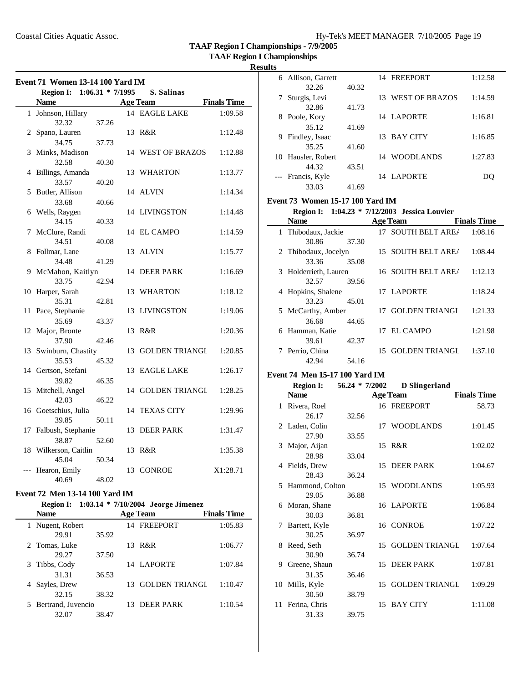**TAAF Region I Championships**

# **Results**

|       | Region I: 1:06.31 * 7/1995       |       |    | S. Salinas        |                    |
|-------|----------------------------------|-------|----|-------------------|--------------------|
|       | <b>Name</b>                      |       |    | <b>Age Team</b>   | <b>Finals Time</b> |
|       | 1 Johnson, Hillary<br>32.32      | 37.26 |    | 14 EAGLE LAKE     | 1:09.58            |
|       | 2 Spano, Lauren                  |       |    | 13 R&R            | 1:12.48            |
|       | 34.75                            | 37.73 |    |                   |                    |
|       | 3 Minks, Madison<br>32.58        | 40.30 |    | 14 WEST OF BRAZOS | 1:12.88            |
| 4     | Billings, Amanda                 |       |    | 13 WHARTON        | 1:13.77            |
|       | 33.57                            | 40.20 |    |                   |                    |
| 5     | Butler, Allison                  |       |    | 14 ALVIN          | 1:14.34            |
|       | 33.68                            | 40.66 |    |                   |                    |
|       | 6 Wells, Raygen                  |       |    | 14 LIVINGSTON     | 1:14.48            |
|       | 34.15                            | 40.33 |    |                   |                    |
|       | 7 McClure, Randi                 |       |    | 14 EL CAMPO       | 1:14.59            |
|       | 34.51                            | 40.08 |    |                   |                    |
| 8     | Follmar, Lane                    |       | 13 | <b>ALVIN</b>      | 1:15.77            |
|       | 34.48                            | 41.29 |    |                   |                    |
|       | 9 McMahon, Kaitlyn               |       |    | 14 DEER PARK      | 1:16.69            |
|       | 33.75                            | 42.94 |    |                   |                    |
|       | 10 Harper, Sarah                 |       |    | 13 WHARTON        | 1:18.12            |
|       | 35.31                            | 42.81 |    |                   |                    |
| 11    | Pace, Stephanie                  |       | 13 | LIVINGSTON        | 1:19.06            |
|       | 35.69                            | 43.37 |    |                   |                    |
|       | 12 Major, Bronte                 |       |    | 13 R&R            | 1:20.36            |
|       | 37.90                            | 42.46 |    |                   |                    |
|       | 13 Swinburn, Chastity            |       |    | 13 GOLDEN TRIANGL | 1:20.85            |
|       | 35.53                            | 45.32 |    |                   |                    |
|       | 14 Gertson, Stefani              |       |    | 13 EAGLE LAKE     | 1:26.17            |
|       | 39.82                            | 46.35 |    |                   |                    |
|       | 15 Mitchell, Angel               |       |    | 14 GOLDEN TRIANGL | 1:28.25            |
|       | 42.03                            | 46.22 |    |                   |                    |
|       | 16 Goetschius, Julia             |       |    | 14 TEXAS CITY     | 1:29.96            |
|       | 39.85                            | 50.11 |    |                   |                    |
|       | 17 Falbush, Stephanie            |       | 13 | <b>DEER PARK</b>  | 1:31.47            |
|       | 38.87                            | 52.60 |    |                   |                    |
|       | 18 Wilkerson, Caitlin            |       |    | 13 R&R            | 1:35.38            |
|       | 45.04                            | 50.34 |    |                   |                    |
| $---$ | Hearon, Emily                    |       |    | 13 CONROE         | X1:28.71           |
|       | 40.69                            | 48.02 |    |                   |                    |
|       | $Fcont$ 72 Mon 13 14 100 Vord IM |       |    |                   |                    |

| <b>Event 72 Men 13-14 100 Yard IM</b> |  |  |  |
|---------------------------------------|--|--|--|
|                                       |  |  |  |

| Region I: 1:03.14 * 7/10/2004 Jeorge Jimenez |  |  |
|----------------------------------------------|--|--|
|----------------------------------------------|--|--|

| <b>Name</b>              |       |     | <b>Age Team</b>       | <b>Finals Time</b> |
|--------------------------|-------|-----|-----------------------|--------------------|
| Nugent, Robert           |       |     | 14 FREEPORT           | 1:05.83            |
| 29.91                    | 35.92 |     |                       |                    |
| 2 Tomas, Luke            |       |     | 13 R&R                | 1:06.77            |
| 29.27                    | 37.50 |     |                       |                    |
| Tibbs, Cody<br>3         |       |     | 14 LAPORTE            | 1:07.84            |
| 31.31                    | 36.53 |     |                       |                    |
| Sayles, Drew             |       | 13. | <b>GOLDEN TRIANGI</b> | 1:10.47            |
| 32.15                    | 38.32 |     |                       |                    |
| Bertrand, Juvencio<br>5. |       |     | DEER PARK             | 1:10.54            |
| 32.07                    | 38.47 |     |                       |                    |

| ıэ |                   |       |                      |         |
|----|-------------------|-------|----------------------|---------|
| 6  | Allison, Garrett  |       | 14 FREEPORT          | 1:12.58 |
|    | 32.26             | 40.32 |                      |         |
| 7  | Sturgis, Levi     |       | WEST OF BRAZOS<br>13 | 1:14.59 |
|    | 32.86             | 41.73 |                      |         |
| 8  | Poole, Kory       |       | 14 LAPORTE           | 1:16.81 |
|    | 35.12             | 41.69 |                      |         |
| 9  | Findley, Isaac    |       | BAY CITY<br>13.      | 1:16.85 |
|    | 35.25             | 41.60 |                      |         |
| 10 | Hausler, Robert   |       | 14 WOODLANDS         | 1:27.83 |
|    | 44.32             | 43.51 |                      |         |
|    | --- Francis, Kyle |       | 14 LAPORTE           |         |
|    | 33.03             | 41.69 |                      |         |

### **Event 73 Women 15-17 100 Yard IM**

# **Region I: 1:04.23 \* 7/12/2003 Jessica Louvier**

| <b>Name</b> |                       | <b>Age Team</b> | <b>Finals Time</b> |         |
|-------------|-----------------------|-----------------|--------------------|---------|
|             | 1 Thibodaux, Jackie   |                 | 17 SOUTH BELT AREA | 1:08.16 |
|             | 30.86                 | 37.30           |                    |         |
|             | 2 Thibodaux, Jocelyn  |                 | 15 SOUTH BELT AREA | 1:08.44 |
|             | 33.36                 | 35.08           |                    |         |
|             | 3 Holderrieth, Lauren |                 | 16 SOUTH BELT AREA | 1:12.13 |
|             | 32.57                 | 39.56           |                    |         |
|             | 4 Hopkins, Shalene    |                 | 17 LAPORTE         | 1:18.24 |
|             | 33.23                 | 45.01           |                    |         |
|             | 5 McCarthy, Amber     |                 | 17 GOLDEN TRIANGI  | 1:21.33 |
|             | 36.68                 | 44.65           |                    |         |
|             | 6 Hamman, Katie       |                 | 17 EL CAMPO        | 1:21.98 |
|             | 39.61                 | 42.37           |                    |         |
|             | 7 Perrio, China       |                 | 15 GOLDEN TRIANGI  | 1:37.10 |
|             | 42.94                 | 54.16           |                    |         |

# **Event 74 Men 15-17 100 Yard IM**

 $\overline{\phantom{a}}$ 

|    | <b>Region I:</b> | $56.24 * 7/2002$ |    | D Slingerland         |                    |
|----|------------------|------------------|----|-----------------------|--------------------|
|    | <b>Name</b>      |                  |    | <b>Age Team</b>       | <b>Finals Time</b> |
|    | 1 Rivera, Roel   |                  |    | 16 FREEPORT           | 58.73              |
|    | 26.17            | 32.56            |    |                       |                    |
|    | 2 Laden, Colin   |                  |    | 17 WOODLANDS          | 1:01.45            |
|    | 27.90            | 33.55            |    |                       |                    |
| 3  | Major, Aijan     |                  |    | 15 R&R                | 1:02.02            |
|    | 28.98            | 33.04            |    |                       |                    |
|    | 4 Fields, Drew   |                  |    | 15 DEER PARK          | 1:04.67            |
|    | 28.43            | 36.24            |    |                       |                    |
| 5  | Hammond, Colton  |                  |    | 15 WOODLANDS          | 1:05.93            |
|    | 29.05            | 36.88            |    |                       |                    |
| 6  | Moran, Shane     |                  |    | 16 LAPORTE            | 1:06.84            |
|    | 30.03            | 36.81            |    |                       |                    |
| 7  | Bartett, Kyle    |                  |    | 16 CONROE             | 1:07.22            |
|    | 30.25            | 36.97            |    |                       |                    |
| 8  | Reed, Seth       |                  | 15 | <b>GOLDEN TRIANGL</b> | 1:07.64            |
|    | 30.90            | 36.74            |    |                       |                    |
| 9  | Greene, Shaun    |                  | 15 | <b>DEER PARK</b>      | 1:07.81            |
|    | 31.35            | 36.46            |    |                       |                    |
| 10 | Mills, Kyle      |                  |    | 15 GOLDEN TRIANGL     | 1:09.29            |
|    | 30.50            | 38.79            |    |                       |                    |
| 11 | Ferina, Chris    |                  | 15 | <b>BAY CITY</b>       | 1:11.08            |
|    | 31.33            | 39.75            |    |                       |                    |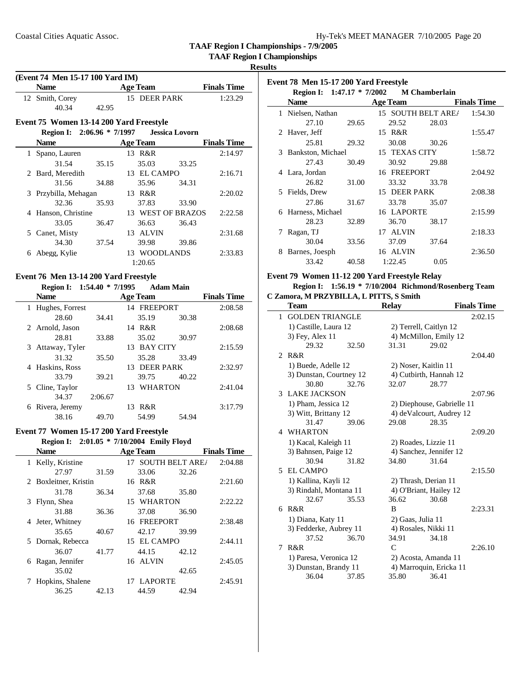**TAAF Region I Championships**

### **Results**

| (Event 74 Men 15-17 100 Yard IM)        |       |                 |                   |                    |
|-----------------------------------------|-------|-----------------|-------------------|--------------------|
| <b>Name</b>                             |       | <b>Age Team</b> |                   | <b>Finals Time</b> |
| 12 Smith, Corey                         |       | 15 DEER PARK    |                   | 1:23.29            |
| 40.34                                   | 42.95 |                 |                   |                    |
| Event 75 Women 13-14 200 Yard Freestyle |       |                 |                   |                    |
|                                         |       |                 |                   |                    |
| <b>Name</b>                             |       | <b>Age Team</b> |                   | <b>Finals Time</b> |
| 1 Spano, Lauren                         |       | 13 R&R          |                   | 2:14.97            |
| 31.54                                   | 35.15 | 35.03           | 33.25             |                    |
| 2 Bard, Meredith                        |       | 13 EL CAMPO     |                   | 2:16.71            |
| 31.56                                   | 34.88 | 35.96           | 34.31             |                    |
| 3 Przybilla, Mehagan                    |       | 13 R&R          |                   | 2:20.02            |
| 32.36                                   | 35.93 | 37.83           | 33.90             |                    |
| 4 Hanson, Christine                     |       |                 | 13 WEST OF BRAZOS | 2:22.58            |
| 33.05                                   | 36.47 | 36.63           | 36.43             |                    |
| 5 Canet, Misty                          |       | 13 ALVIN        |                   | 2:31.68            |
| 34.30                                   | 37.54 | 39.98           | 39.86             |                    |
| 6 Abegg, Kylie                          |       | 13 WOODLANDS    |                   | 2:33.83            |
|                                         |       | 1:20.65         |                   |                    |
| Event 76 Men 13-14 200 Yard Freestyle   |       |                 |                   |                    |
| Region I: 1:54.40 * 7/1995              |       |                 | <b>Adam Main</b>  |                    |
| <b>Name</b>                             |       | <b>Age Team</b> |                   | <b>Finals Time</b> |
| 1 Hughes, Forrest                       |       | 14 FREEPORT     |                   | 2:08.58            |
| 28.60                                   | 34.41 | 35.19           | 30.38             |                    |
| 2 Arnold, Jason                         |       | 14 R&R          |                   | 2:08.68            |
| 28.81                                   | 33.88 | 35.02           | 30.97             |                    |
| 3 Attaway, Tyler                        |       | 13 BAY CITY     |                   | 2:15.59            |
| 31.32                                   | 35.50 | 35.28           | 33.49             |                    |
| 4 Haskins, Ross                         |       | 13 DEER PARK    |                   | 2:32.97            |

| 4 Haskins, Ross  |         | 13 DEEK PARK |       |         |
|------------------|---------|--------------|-------|---------|
| 33.79            | 39.21   | 39.75        | 40.22 |         |
| 5 Cline, Taylor  |         | 13 WHARTON   |       | 2:41.04 |
| 34.37            | 2:06.67 |              |       |         |
| 6 Rivera, Jeremy |         | 13 R&R       |       | 3:17.79 |
| 38.16            | 49.70   | 54.99        | 54.94 |         |
|                  |         |              |       |         |

# **Event 77 Women 15-17 200 Yard Freestyle**

|                       |       | Region I: 2:01.05 * 7/10/2004 Emily Floyd |       |                    |
|-----------------------|-------|-------------------------------------------|-------|--------------------|
| <b>Name</b>           |       | <b>Age Team</b>                           |       | <b>Finals Time</b> |
| 1 Kelly, Kristine     |       | 17 SOUTH BELT AREA                        |       | 2:04.88            |
| 27.97                 | 31.59 | 33.06                                     | 32.26 |                    |
| 2 Boxleitner, Kristin |       | 16 R&R                                    |       | 2:21.60            |
| 31.78                 | 36.34 | 37.68                                     | 35.80 |                    |
| Flynn, Shea<br>3      |       | 15 WHARTON                                |       | 2:22.22            |
| 31.88                 | 36.36 | 37.08                                     | 36.90 |                    |
| Jeter, Whitney<br>4   |       | 16 FREEPORT                               |       | 2:38.48            |
| 35.65                 | 40.67 | 42.17                                     | 39.99 |                    |
| Dornak, Rebecca<br>5. |       | EL CAMPO<br>15                            |       | 2:44.11            |
| 36.07                 | 41.77 | 44.15                                     | 42.12 |                    |
| Ragan, Jennifer       |       | 16 ALVIN                                  |       | 2:45.05            |
| 35.02                 |       |                                           | 42.65 |                    |
| Hopkins, Shalene      |       | 17 LAPORTE                                |       | 2:45.91            |
| 36.25                 | 42.13 | 44.59                                     | 42.94 |                    |

| Event 78 Men 15-17 200 Yard Freestyle |                            |       |                 |                      |                    |  |
|---------------------------------------|----------------------------|-------|-----------------|----------------------|--------------------|--|
|                                       | Region I: 1:47.17 * 7/2002 |       |                 | <b>M</b> Chamberlain |                    |  |
|                                       | <b>Name</b>                |       | <b>Age Team</b> |                      | <b>Finals Time</b> |  |
| 1                                     | Nielsen, Nathan            |       |                 | 15 SOUTH BELT AREA   | 1:54.30            |  |
|                                       | 27.10                      | 29.65 | 29.52           | 28.03                |                    |  |
|                                       | 2 Haver, Jeff              |       | 15 R&R          |                      | 1:55.47            |  |
|                                       | 25.81                      | 29.32 | 30.08           | 30.26                |                    |  |
| 3                                     | Bankston, Michael          |       | 15 TEXAS CITY   |                      | 1:58.72            |  |
|                                       | 27.43                      | 30.49 | 30.92           | 29.88                |                    |  |
|                                       | 4 Lara, Jordan             |       | 16 FREEPORT     |                      | 2:04.92            |  |
|                                       | 26.82                      | 31.00 | 33.32           | 33.78                |                    |  |
|                                       | 5 Fields, Drew             |       | 15 DEER PARK    |                      | 2:08.38            |  |
|                                       | 27.86                      | 31.67 | 33.78           | 35.07                |                    |  |
|                                       | 6 Harness, Michael         |       | 16 LAPORTE      |                      | 2:15.99            |  |
|                                       | 28.23                      | 32.89 | 36.70           | 38.17                |                    |  |
| $\frac{1}{\sqrt{2}}$                  | Ragan, TJ                  |       | 17 ALVIN        |                      | 2:18.33            |  |
|                                       | 30.04                      | 33.56 | 37.09           | 37.64                |                    |  |
| 8                                     | Barnes, Joesph             |       | 16 ALVIN        |                      | 2:36.50            |  |
|                                       | 33.42                      | 40.58 | 1:22.45         | 0.05                 |                    |  |

# **Event 79 Women 11-12 200 Yard Freestyle Relay**

# **Region I: 1:56.19 \* 7/10/2004 Richmond/Rosenberg Team C Zamora, M PRZYBILLA, L PITTS, S Smith**

|                | <b>Team</b>             |       | <b>Relay</b>      |                            | <b>Finals Time</b> |
|----------------|-------------------------|-------|-------------------|----------------------------|--------------------|
| 1              | <b>GOLDEN TRIANGLE</b>  |       |                   |                            | 2:02.15            |
|                | 1) Castille, Laura 12   |       |                   | 2) Terrell, Caitlyn 12     |                    |
|                | 3) Fey, Alex 11         |       |                   | 4) McMillon, Emily 12      |                    |
|                | 29.32                   | 32.50 | 31.31             | 29.02                      |                    |
| $\mathfrak{D}$ | R&R                     |       |                   |                            | 2:04.40            |
|                | 1) Buede, Adelle 12     |       |                   | 2) Noser, Kaitlin 11       |                    |
|                | 3) Dunstan, Courtney 12 |       |                   | 4) Cutbirth, Hannah 12     |                    |
|                | 30.80                   | 32.76 | 32.07             | 28.77                      |                    |
|                | <b>3 LAKE JACKSON</b>   |       |                   |                            | 2:07.96            |
|                | 1) Pham, Jessica 12     |       |                   | 2) Diephouse, Gabrielle 11 |                    |
|                | 3) Witt, Brittany 12    |       |                   | 4) deValcourt, Audrey 12   |                    |
|                | 31.47                   | 39.06 | 29.08             | 28.35                      |                    |
|                | 4 WHARTON               |       |                   |                            | 2:09.20            |
|                | 1) Kacal, Kaleigh 11    |       |                   | 2) Roades, Lizzie 11       |                    |
|                | 3) Bahnsen, Paige 12    |       |                   | 4) Sanchez, Jennifer 12    |                    |
|                | 30.94                   | 31.82 | 34.80             | 31.64                      |                    |
|                | 5 EL CAMPO              |       |                   |                            | 2:15.50            |
|                | 1) Kallina, Kayli 12    |       |                   | 2) Thrash, Derian 11       |                    |
|                | 3) Rindahl, Montana 11  |       |                   | 4) O'Briant, Hailey 12     |                    |
|                | 32.67                   | 35.53 | 36.62             | 30.68                      |                    |
|                | 6 R&R                   |       | B                 |                            | 2:23.31            |
|                | 1) Diana, Katy 11       |       | 2) Gaas, Julia 11 |                            |                    |
|                | 3) Fedderke, Aubrey 11  |       |                   | 4) Rosales, Nikki 11       |                    |
|                | 37.52                   | 36.70 | 34.91             | 34.18                      |                    |
| 7              | R&R                     |       | $\mathsf{C}$      |                            | 2:26.10            |
|                | 1) Paresa, Veronica 12  |       |                   | 2) Acosta, Amanda 11       |                    |
|                | 3) Dunstan, Brandy 11   |       |                   | 4) Marroquin, Ericka 11    |                    |
|                | 36.04                   | 37.85 | 35.80             | 36.41                      |                    |